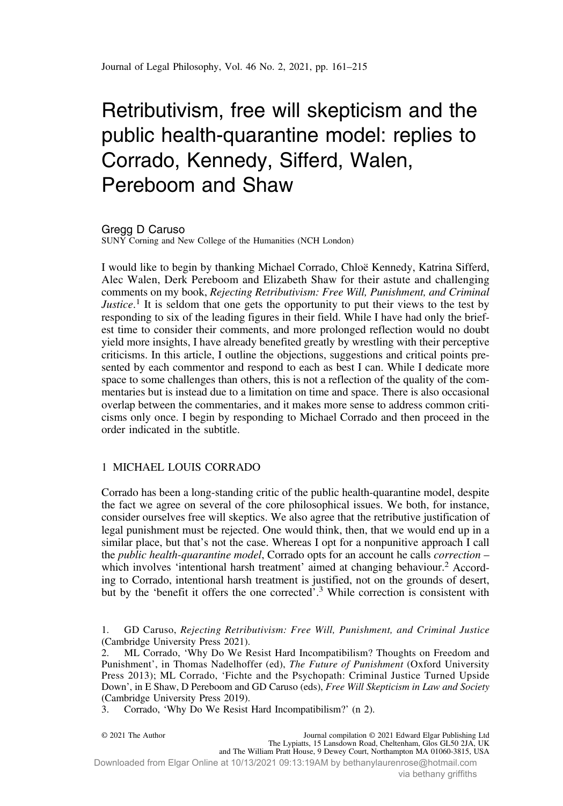# Retributivism, free will skepticism and the public health-quarantine model: replies to Corrado, Kennedy, Sifferd, Walen, Pereboom and Shaw

Gregg D Caruso SUNY Corning and New College of the Humanities (NCH London)

I would like to begin by thanking Michael Corrado, Chloë Kennedy, Katrina Sifferd, Alec Walen, Derk Pereboom and Elizabeth Shaw for their astute and challenging comments on my book, Rejecting Retributivism: Free Will, Punishment, and Criminal Justice.<sup>1</sup> It is seldom that one gets the opportunity to put their views to the test by responding to six of the leading figures in their field. While I have had only the briefest time to consider their comments, and more prolonged reflection would no doubt yield more insights, I have already benefited greatly by wrestling with their perceptive criticisms. In this article, I outline the objections, suggestions and critical points presented by each commentor and respond to each as best I can. While I dedicate more space to some challenges than others, this is not a reflection of the quality of the commentaries but is instead due to a limitation on time and space. There is also occasional overlap between the commentaries, and it makes more sense to address common criticisms only once. I begin by responding to Michael Corrado and then proceed in the order indicated in the subtitle.

# 1 MICHAEL LOUIS CORRADO

Corrado has been a long-standing critic of the public health-quarantine model, despite the fact we agree on several of the core philosophical issues. We both, for instance, consider ourselves free will skeptics. We also agree that the retributive justification of legal punishment must be rejected. One would think, then, that we would end up in a similar place, but that's not the case. Whereas I opt for a nonpunitive approach I call the public health-quarantine model, Corrado opts for an account he calls correction – which involves 'intentional harsh treatment' aimed at changing behaviour.<sup>2</sup> According to Corrado, intentional harsh treatment is justified, not on the grounds of desert, but by the 'benefit it offers the one corrected'.<sup>3</sup> While correction is consistent with

1. GD Caruso, Rejecting Retributivism: Free Will, Punishment, and Criminal Justice (Cambridge University Press 2021).

2. ML Corrado, 'Why Do We Resist Hard Incompatibilism? Thoughts on Freedom and Punishment', in Thomas Nadelhoffer (ed), The Future of Punishment (Oxford University Press 2013); ML Corrado, 'Fichte and the Psychopath: Criminal Justice Turned Upside Down', in E Shaw, D Pereboom and GD Caruso (eds), Free Will Skepticism in Law and Society (Cambridge University Press 2019).

3. Corrado, 'Why Do We Resist Hard Incompatibilism?' (n 2).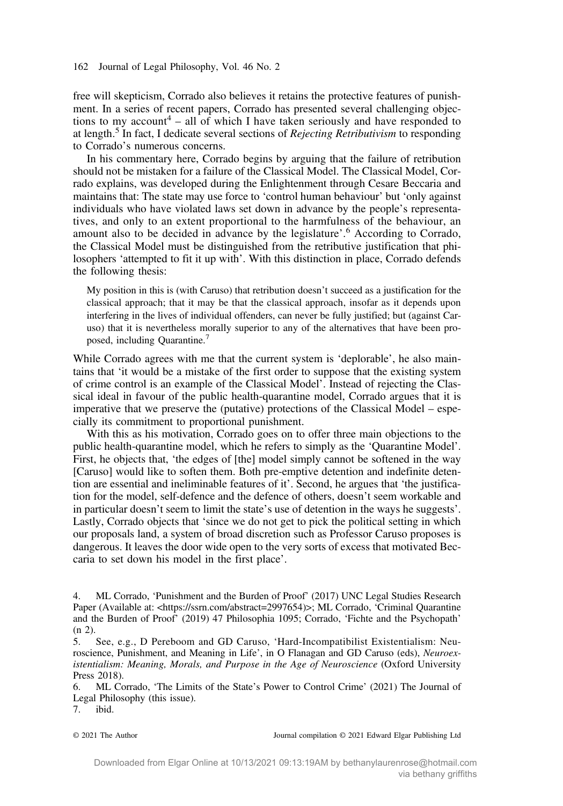free will skepticism, Corrado also believes it retains the protective features of punishment. In a series of recent papers, Corrado has presented several challenging objections to my account<sup>4</sup> – all of which I have taken seriously and have responded to at length.<sup>5</sup> In fact, I dedicate several sections of *Rejecting Retributivism* to responding to Corrado's numerous concerns.

In his commentary here, Corrado begins by arguing that the failure of retribution should not be mistaken for a failure of the Classical Model. The Classical Model, Corrado explains, was developed during the Enlightenment through Cesare Beccaria and maintains that: The state may use force to 'control human behaviour' but 'only against individuals who have violated laws set down in advance by the people's representatives, and only to an extent proportional to the harmfulness of the behaviour, an amount also to be decided in advance by the legislature'. <sup>6</sup> According to Corrado, the Classical Model must be distinguished from the retributive justification that philosophers 'attempted to fit it up with'. With this distinction in place, Corrado defends the following thesis:

My position in this is (with Caruso) that retribution doesn't succeed as a justification for the classical approach; that it may be that the classical approach, insofar as it depends upon interfering in the lives of individual offenders, can never be fully justified; but (against Caruso) that it is nevertheless morally superior to any of the alternatives that have been proposed, including Quarantine.<sup>7</sup>

While Corrado agrees with me that the current system is 'deplorable', he also maintains that 'it would be a mistake of the first order to suppose that the existing system of crime control is an example of the Classical Model'. Instead of rejecting the Classical ideal in favour of the public health-quarantine model, Corrado argues that it is imperative that we preserve the (putative) protections of the Classical Model – especially its commitment to proportional punishment.

With this as his motivation, Corrado goes on to offer three main objections to the public health-quarantine model, which he refers to simply as the 'Quarantine Model'. First, he objects that, 'the edges of [the] model simply cannot be softened in the way [Caruso] would like to soften them. Both pre-emptive detention and indefinite detention are essential and ineliminable features of it'. Second, he argues that 'the justification for the model, self-defence and the defence of others, doesn't seem workable and in particular doesn't seem to limit the state's use of detention in the ways he suggests'. Lastly, Corrado objects that 'since we do not get to pick the political setting in which our proposals land, a system of broad discretion such as Professor Caruso proposes is dangerous. It leaves the door wide open to the very sorts of excess that motivated Beccaria to set down his model in the first place'.

4. ML Corrado, 'Punishment and the Burden of Proof' (2017) UNC Legal Studies Research Paper (Available at: <<https://ssrn.com/abstract=2997654>)>; ML Corrado, 'Criminal Quarantine and the Burden of Proof' (2019) 47 Philosophia 1095; Corrado, 'Fichte and the Psychopath' (n 2).

5. See, e.g., D Pereboom and GD Caruso, 'Hard-Incompatibilist Existentialism: Neuroscience, Punishment, and Meaning in Life', in O Flanagan and GD Caruso (eds), Neuroexistentialism: Meaning, Morals, and Purpose in the Age of Neuroscience (Oxford University Press 2018).

6. ML Corrado, 'The Limits of the State's Power to Control Crime' (2021) The Journal of Legal Philosophy (this issue).

7. ibid.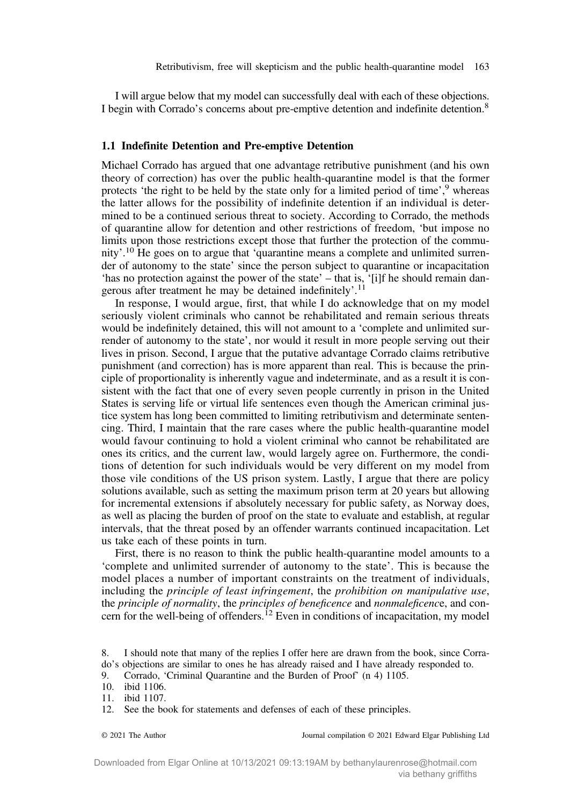I will argue below that my model can successfully deal with each of these objections. I begin with Corrado's concerns about pre-emptive detention and indefinite detention.8

## 1.1 Indefinite Detention and Pre-emptive Detention

Michael Corrado has argued that one advantage retributive punishment (and his own theory of correction) has over the public health-quarantine model is that the former protects 'the right to be held by the state only for a limited period of time', <sup>9</sup> whereas the latter allows for the possibility of indefinite detention if an individual is determined to be a continued serious threat to society. According to Corrado, the methods of quarantine allow for detention and other restrictions of freedom, 'but impose no limits upon those restrictions except those that further the protection of the community'.<sup>10</sup> He goes on to argue that 'quarantine means a complete and unlimited surrender of autonomy to the state' since the person subject to quarantine or incapacitation 'has no protection against the power of the state' – that is, '[i]f he should remain dangerous after treatment he may be detained indefinitely'.<sup>11</sup>

In response, I would argue, first, that while I do acknowledge that on my model seriously violent criminals who cannot be rehabilitated and remain serious threats would be indefinitely detained, this will not amount to a 'complete and unlimited surrender of autonomy to the state', nor would it result in more people serving out their lives in prison. Second, I argue that the putative advantage Corrado claims retributive punishment (and correction) has is more apparent than real. This is because the principle of proportionality is inherently vague and indeterminate, and as a result it is consistent with the fact that one of every seven people currently in prison in the United States is serving life or virtual life sentences even though the American criminal justice system has long been committed to limiting retributivism and determinate sentencing. Third, I maintain that the rare cases where the public health-quarantine model would favour continuing to hold a violent criminal who cannot be rehabilitated are ones its critics, and the current law, would largely agree on. Furthermore, the conditions of detention for such individuals would be very different on my model from those vile conditions of the US prison system. Lastly, I argue that there are policy solutions available, such as setting the maximum prison term at 20 years but allowing for incremental extensions if absolutely necessary for public safety, as Norway does, as well as placing the burden of proof on the state to evaluate and establish, at regular intervals, that the threat posed by an offender warrants continued incapacitation. Let us take each of these points in turn.

First, there is no reason to think the public health-quarantine model amounts to a 'complete and unlimited surrender of autonomy to the state'. This is because the model places a number of important constraints on the treatment of individuals, including the principle of least infringement, the prohibition on manipulative use, the principle of normality, the principles of beneficence and nonmaleficence, and concern for the well-being of offenders.<sup>12</sup> Even in conditions of incapacitation, my model

<sup>8.</sup> I should note that many of the replies I offer here are drawn from the book, since Corrado's objections are similar to ones he has already raised and I have already responded to.

<sup>9.</sup> Corrado, 'Criminal Quarantine and the Burden of Proof' (n 4) 1105.

<sup>10.</sup> ibid 1106.

<sup>11.</sup> ibid 1107.

<sup>12.</sup> See the book for statements and defenses of each of these principles.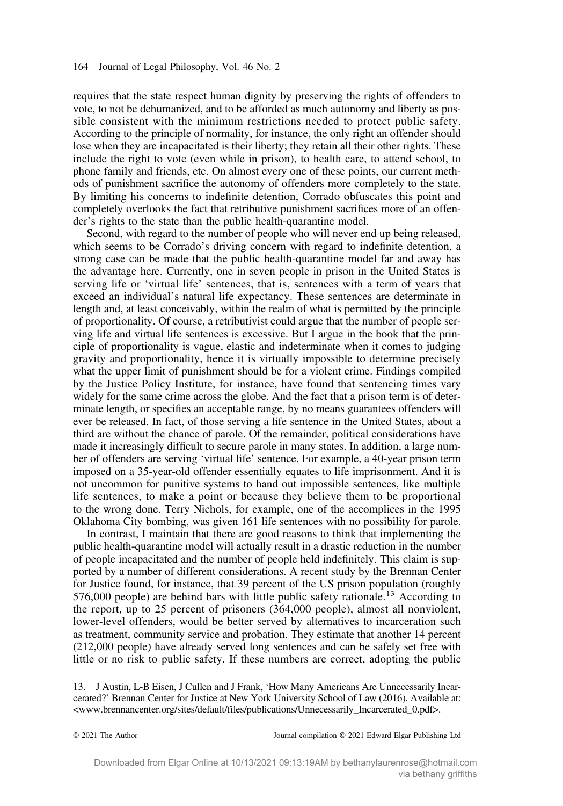requires that the state respect human dignity by preserving the rights of offenders to vote, to not be dehumanized, and to be afforded as much autonomy and liberty as possible consistent with the minimum restrictions needed to protect public safety. According to the principle of normality, for instance, the only right an offender should lose when they are incapacitated is their liberty; they retain all their other rights. These include the right to vote (even while in prison), to health care, to attend school, to phone family and friends, etc. On almost every one of these points, our current methods of punishment sacrifice the autonomy of offenders more completely to the state. By limiting his concerns to indefinite detention, Corrado obfuscates this point and completely overlooks the fact that retributive punishment sacrifices more of an offender's rights to the state than the public health-quarantine model.

Second, with regard to the number of people who will never end up being released, which seems to be Corrado's driving concern with regard to indefinite detention, a strong case can be made that the public health-quarantine model far and away has the advantage here. Currently, one in seven people in prison in the United States is serving life or 'virtual life' sentences, that is, sentences with a term of years that exceed an individual's natural life expectancy. These sentences are determinate in length and, at least conceivably, within the realm of what is permitted by the principle of proportionality. Of course, a retributivist could argue that the number of people serving life and virtual life sentences is excessive. But I argue in the book that the principle of proportionality is vague, elastic and indeterminate when it comes to judging gravity and proportionality, hence it is virtually impossible to determine precisely what the upper limit of punishment should be for a violent crime. Findings compiled by the Justice Policy Institute, for instance, have found that sentencing times vary widely for the same crime across the globe. And the fact that a prison term is of determinate length, or specifies an acceptable range, by no means guarantees offenders will ever be released. In fact, of those serving a life sentence in the United States, about a third are without the chance of parole. Of the remainder, political considerations have made it increasingly difficult to secure parole in many states. In addition, a large number of offenders are serving 'virtual life' sentence. For example, a 40-year prison term imposed on a 35-year-old offender essentially equates to life imprisonment. And it is not uncommon for punitive systems to hand out impossible sentences, like multiple life sentences, to make a point or because they believe them to be proportional to the wrong done. Terry Nichols, for example, one of the accomplices in the 1995 Oklahoma City bombing, was given 161 life sentences with no possibility for parole.

In contrast, I maintain that there are good reasons to think that implementing the public health-quarantine model will actually result in a drastic reduction in the number of people incapacitated and the number of people held indefinitely. This claim is supported by a number of different considerations. A recent study by the Brennan Center for Justice found, for instance, that 39 percent of the US prison population (roughly 576,000 people) are behind bars with little public safety rationale.<sup>13</sup> According to the report, up to 25 percent of prisoners (364,000 people), almost all nonviolent, lower-level offenders, would be better served by alternatives to incarceration such as treatment, community service and probation. They estimate that another 14 percent (212,000 people) have already served long sentences and can be safely set free with little or no risk to public safety. If these numbers are correct, adopting the public

<sup>13.</sup> J Austin, L-B Eisen, J Cullen and J Frank, 'How Many Americans Are Unnecessarily Incarcerated?' Brennan Center for Justice at New York University School of Law (2016). Available at: [<www.brennancenter.org/sites/default/files/publications/Unnecessarily\\_Incarcerated\\_0.pdf>](http://www.brennancenter.org/sites/default/files/publications/Unnecessarily_Incarcerated_0.pdf).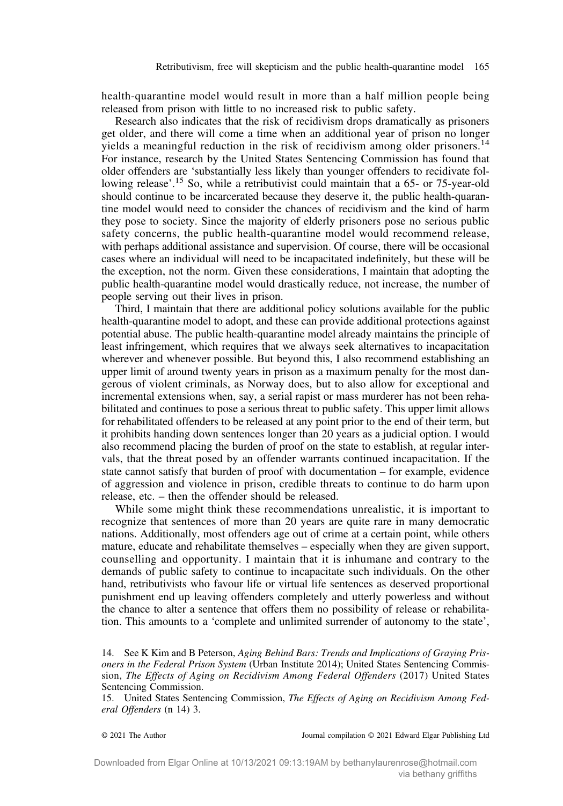health-quarantine model would result in more than a half million people being released from prison with little to no increased risk to public safety.

Research also indicates that the risk of recidivism drops dramatically as prisoners get older, and there will come a time when an additional year of prison no longer yields a meaningful reduction in the risk of recidivism among older prisoners.<sup>14</sup> For instance, research by the United States Sentencing Commission has found that older offenders are 'substantially less likely than younger offenders to recidivate following release'. <sup>15</sup> So, while a retributivist could maintain that a 65- or 75-year-old should continue to be incarcerated because they deserve it, the public health-quarantine model would need to consider the chances of recidivism and the kind of harm they pose to society. Since the majority of elderly prisoners pose no serious public safety concerns, the public health-quarantine model would recommend release, with perhaps additional assistance and supervision. Of course, there will be occasional cases where an individual will need to be incapacitated indefinitely, but these will be the exception, not the norm. Given these considerations, I maintain that adopting the public health-quarantine model would drastically reduce, not increase, the number of people serving out their lives in prison.

Third, I maintain that there are additional policy solutions available for the public health-quarantine model to adopt, and these can provide additional protections against potential abuse. The public health-quarantine model already maintains the principle of least infringement, which requires that we always seek alternatives to incapacitation wherever and whenever possible. But beyond this, I also recommend establishing an upper limit of around twenty years in prison as a maximum penalty for the most dangerous of violent criminals, as Norway does, but to also allow for exceptional and incremental extensions when, say, a serial rapist or mass murderer has not been rehabilitated and continues to pose a serious threat to public safety. This upper limit allows for rehabilitated offenders to be released at any point prior to the end of their term, but it prohibits handing down sentences longer than 20 years as a judicial option. I would also recommend placing the burden of proof on the state to establish, at regular intervals, that the threat posed by an offender warrants continued incapacitation. If the state cannot satisfy that burden of proof with documentation – for example, evidence of aggression and violence in prison, credible threats to continue to do harm upon release, etc. – then the offender should be released.

While some might think these recommendations unrealistic, it is important to recognize that sentences of more than 20 years are quite rare in many democratic nations. Additionally, most offenders age out of crime at a certain point, while others mature, educate and rehabilitate themselves – especially when they are given support, counselling and opportunity. I maintain that it is inhumane and contrary to the demands of public safety to continue to incapacitate such individuals. On the other hand, retributivists who favour life or virtual life sentences as deserved proportional punishment end up leaving offenders completely and utterly powerless and without the chance to alter a sentence that offers them no possibility of release or rehabilitation. This amounts to a 'complete and unlimited surrender of autonomy to the state',

<sup>14.</sup> See K Kim and B Peterson, Aging Behind Bars: Trends and Implications of Graying Prisoners in the Federal Prison System (Urban Institute 2014); United States Sentencing Commission, The Effects of Aging on Recidivism Among Federal Offenders (2017) United States Sentencing Commission.

<sup>15.</sup> United States Sentencing Commission, The Effects of Aging on Recidivism Among Federal Offenders (n 14) 3.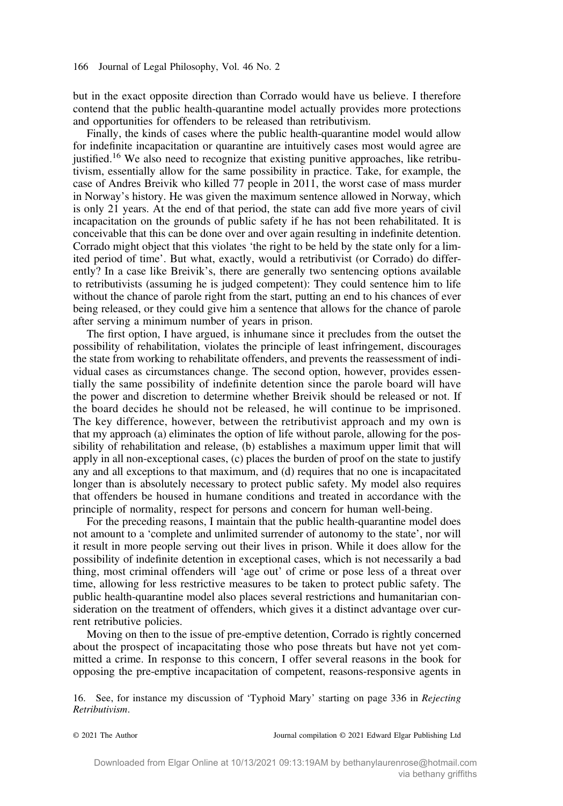but in the exact opposite direction than Corrado would have us believe. I therefore contend that the public health-quarantine model actually provides more protections and opportunities for offenders to be released than retributivism.

Finally, the kinds of cases where the public health-quarantine model would allow for indefinite incapacitation or quarantine are intuitively cases most would agree are justified.<sup>16</sup> We also need to recognize that existing punitive approaches, like retributivism, essentially allow for the same possibility in practice. Take, for example, the case of Andres Breivik who killed 77 people in 2011, the worst case of mass murder in Norway's history. He was given the maximum sentence allowed in Norway, which is only 21 years. At the end of that period, the state can add five more years of civil incapacitation on the grounds of public safety if he has not been rehabilitated. It is conceivable that this can be done over and over again resulting in indefinite detention. Corrado might object that this violates 'the right to be held by the state only for a limited period of time'. But what, exactly, would a retributivist (or Corrado) do differently? In a case like Breivik's, there are generally two sentencing options available to retributivists (assuming he is judged competent): They could sentence him to life without the chance of parole right from the start, putting an end to his chances of ever being released, or they could give him a sentence that allows for the chance of parole after serving a minimum number of years in prison.

The first option, I have argued, is inhumane since it precludes from the outset the possibility of rehabilitation, violates the principle of least infringement, discourages the state from working to rehabilitate offenders, and prevents the reassessment of individual cases as circumstances change. The second option, however, provides essentially the same possibility of indefinite detention since the parole board will have the power and discretion to determine whether Breivik should be released or not. If the board decides he should not be released, he will continue to be imprisoned. The key difference, however, between the retributivist approach and my own is that my approach (a) eliminates the option of life without parole, allowing for the possibility of rehabilitation and release, (b) establishes a maximum upper limit that will apply in all non-exceptional cases, (c) places the burden of proof on the state to justify any and all exceptions to that maximum, and (d) requires that no one is incapacitated longer than is absolutely necessary to protect public safety. My model also requires that offenders be housed in humane conditions and treated in accordance with the principle of normality, respect for persons and concern for human well-being.

For the preceding reasons, I maintain that the public health-quarantine model does not amount to a 'complete and unlimited surrender of autonomy to the state', nor will it result in more people serving out their lives in prison. While it does allow for the possibility of indefinite detention in exceptional cases, which is not necessarily a bad thing, most criminal offenders will 'age out' of crime or pose less of a threat over time, allowing for less restrictive measures to be taken to protect public safety. The public health-quarantine model also places several restrictions and humanitarian consideration on the treatment of offenders, which gives it a distinct advantage over current retributive policies.

Moving on then to the issue of pre-emptive detention, Corrado is rightly concerned about the prospect of incapacitating those who pose threats but have not yet committed a crime. In response to this concern, I offer several reasons in the book for opposing the pre-emptive incapacitation of competent, reasons-responsive agents in

16. See, for instance my discussion of 'Typhoid Mary' starting on page 336 in Rejecting Retributivism.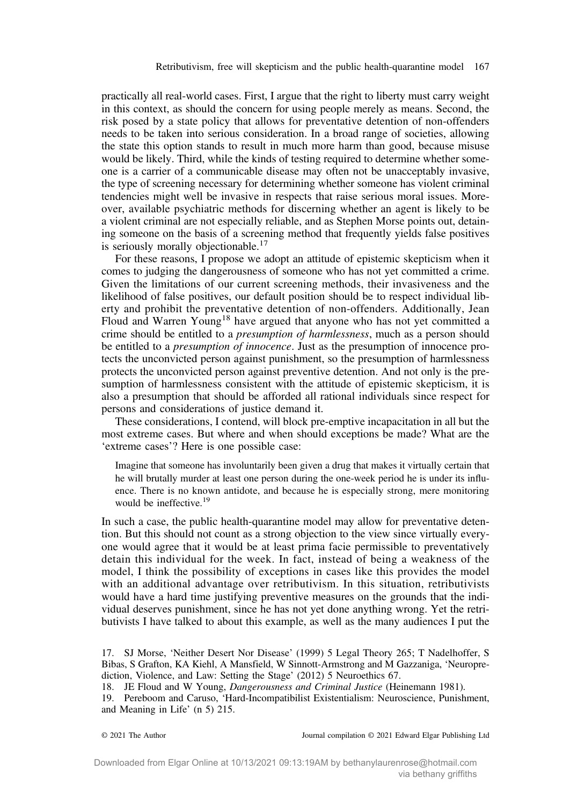practically all real-world cases. First, I argue that the right to liberty must carry weight in this context, as should the concern for using people merely as means. Second, the risk posed by a state policy that allows for preventative detention of non-offenders needs to be taken into serious consideration. In a broad range of societies, allowing the state this option stands to result in much more harm than good, because misuse would be likely. Third, while the kinds of testing required to determine whether someone is a carrier of a communicable disease may often not be unacceptably invasive, the type of screening necessary for determining whether someone has violent criminal tendencies might well be invasive in respects that raise serious moral issues. Moreover, available psychiatric methods for discerning whether an agent is likely to be a violent criminal are not especially reliable, and as Stephen Morse points out, detaining someone on the basis of a screening method that frequently yields false positives is seriously morally objectionable.<sup>17</sup>

For these reasons, I propose we adopt an attitude of epistemic skepticism when it comes to judging the dangerousness of someone who has not yet committed a crime. Given the limitations of our current screening methods, their invasiveness and the likelihood of false positives, our default position should be to respect individual liberty and prohibit the preventative detention of non-offenders. Additionally, Jean Floud and Warren Young<sup>18</sup> have argued that anyone who has not yet committed a crime should be entitled to a presumption of harmlessness, much as a person should be entitled to a presumption of innocence. Just as the presumption of innocence protects the unconvicted person against punishment, so the presumption of harmlessness protects the unconvicted person against preventive detention. And not only is the presumption of harmlessness consistent with the attitude of epistemic skepticism, it is also a presumption that should be afforded all rational individuals since respect for persons and considerations of justice demand it.

These considerations, I contend, will block pre-emptive incapacitation in all but the most extreme cases. But where and when should exceptions be made? What are the 'extreme cases'? Here is one possible case:

Imagine that someone has involuntarily been given a drug that makes it virtually certain that he will brutally murder at least one person during the one-week period he is under its influence. There is no known antidote, and because he is especially strong, mere monitoring would be ineffective.<sup>19</sup>

In such a case, the public health-quarantine model may allow for preventative detention. But this should not count as a strong objection to the view since virtually everyone would agree that it would be at least prima facie permissible to preventatively detain this individual for the week. In fact, instead of being a weakness of the model, I think the possibility of exceptions in cases like this provides the model with an additional advantage over retributivism. In this situation, retributivists would have a hard time justifying preventive measures on the grounds that the individual deserves punishment, since he has not yet done anything wrong. Yet the retributivists I have talked to about this example, as well as the many audiences I put the

<sup>17.</sup> SJ Morse, 'Neither Desert Nor Disease' (1999) 5 Legal Theory 265; T Nadelhoffer, S Bibas, S Grafton, KA Kiehl, A Mansfield, W Sinnott-Armstrong and M Gazzaniga, 'Neuroprediction, Violence, and Law: Setting the Stage' (2012) 5 Neuroethics 67.

<sup>18.</sup> JE Floud and W Young, Dangerousness and Criminal Justice (Heinemann 1981).

<sup>19.</sup> Pereboom and Caruso, 'Hard-Incompatibilist Existentialism: Neuroscience, Punishment, and Meaning in Life' (n 5) 215.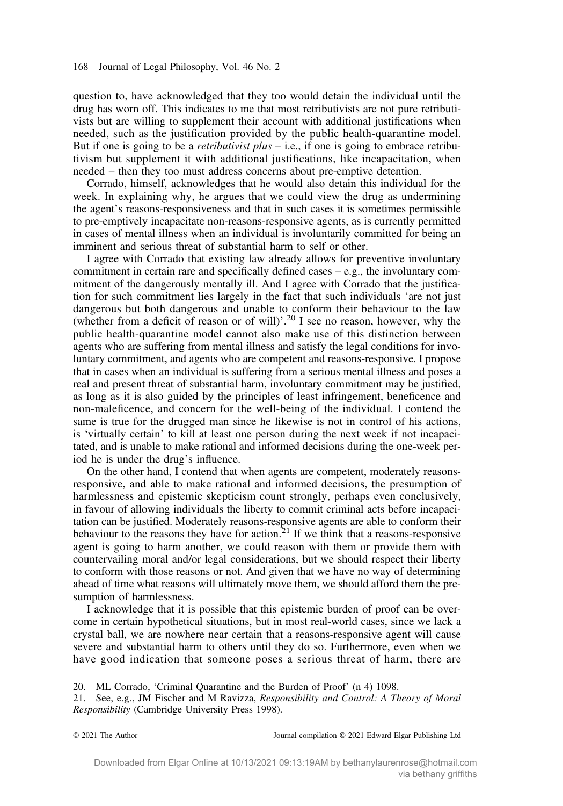question to, have acknowledged that they too would detain the individual until the drug has worn off. This indicates to me that most retributivists are not pure retributivists but are willing to supplement their account with additional justifications when needed, such as the justification provided by the public health-quarantine model. But if one is going to be a *retributivist plus –* i.e., if one is going to embrace retributivism but supplement it with additional justifications, like incapacitation, when needed – then they too must address concerns about pre-emptive detention.

Corrado, himself, acknowledges that he would also detain this individual for the week. In explaining why, he argues that we could view the drug as undermining the agent's reasons-responsiveness and that in such cases it is sometimes permissible to pre-emptively incapacitate non-reasons-responsive agents, as is currently permitted in cases of mental illness when an individual is involuntarily committed for being an imminent and serious threat of substantial harm to self or other.

I agree with Corrado that existing law already allows for preventive involuntary commitment in certain rare and specifically defined cases  $-e.g.,$  the involuntary commitment of the dangerously mentally ill. And I agree with Corrado that the justification for such commitment lies largely in the fact that such individuals 'are not just dangerous but both dangerous and unable to conform their behaviour to the law (whether from a deficit of reason or of will)'. <sup>20</sup> I see no reason, however, why the public health-quarantine model cannot also make use of this distinction between agents who are suffering from mental illness and satisfy the legal conditions for involuntary commitment, and agents who are competent and reasons-responsive. I propose that in cases when an individual is suffering from a serious mental illness and poses a real and present threat of substantial harm, involuntary commitment may be justified, as long as it is also guided by the principles of least infringement, beneficence and non-maleficence, and concern for the well-being of the individual. I contend the same is true for the drugged man since he likewise is not in control of his actions, is 'virtually certain' to kill at least one person during the next week if not incapacitated, and is unable to make rational and informed decisions during the one-week period he is under the drug's influence.

On the other hand, I contend that when agents are competent, moderately reasonsresponsive, and able to make rational and informed decisions, the presumption of harmlessness and epistemic skepticism count strongly, perhaps even conclusively, in favour of allowing individuals the liberty to commit criminal acts before incapacitation can be justified. Moderately reasons-responsive agents are able to conform their behaviour to the reasons they have for action.<sup>21</sup> If we think that a reasons-responsive agent is going to harm another, we could reason with them or provide them with countervailing moral and/or legal considerations, but we should respect their liberty to conform with those reasons or not. And given that we have no way of determining ahead of time what reasons will ultimately move them, we should afford them the presumption of harmlessness.

I acknowledge that it is possible that this epistemic burden of proof can be overcome in certain hypothetical situations, but in most real-world cases, since we lack a crystal ball, we are nowhere near certain that a reasons-responsive agent will cause severe and substantial harm to others until they do so. Furthermore, even when we have good indication that someone poses a serious threat of harm, there are

21. See, e.g., JM Fischer and M Ravizza, Responsibility and Control: A Theory of Moral Responsibility (Cambridge University Press 1998).

<sup>20.</sup> ML Corrado, 'Criminal Quarantine and the Burden of Proof' (n 4) 1098.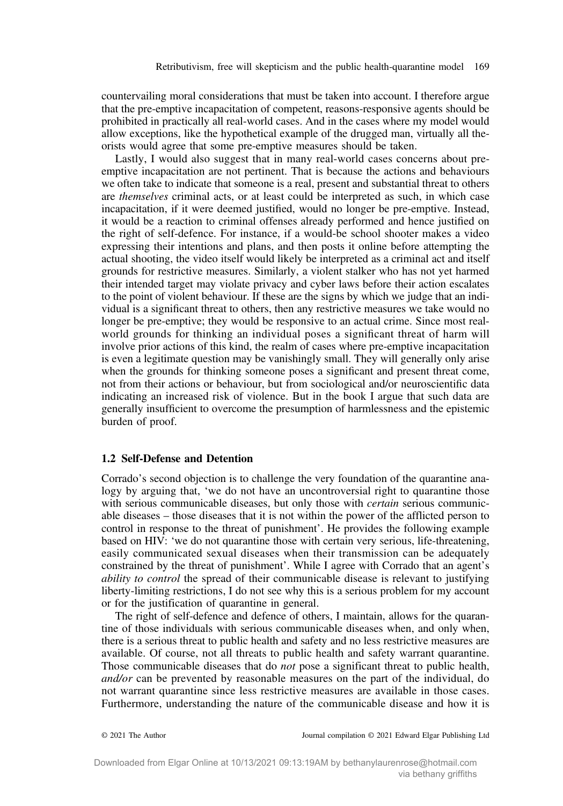countervailing moral considerations that must be taken into account. I therefore argue that the pre-emptive incapacitation of competent, reasons-responsive agents should be prohibited in practically all real-world cases. And in the cases where my model would allow exceptions, like the hypothetical example of the drugged man, virtually all theorists would agree that some pre-emptive measures should be taken.

Lastly, I would also suggest that in many real-world cases concerns about preemptive incapacitation are not pertinent. That is because the actions and behaviours we often take to indicate that someone is a real, present and substantial threat to others are themselves criminal acts, or at least could be interpreted as such, in which case incapacitation, if it were deemed justified, would no longer be pre-emptive. Instead, it would be a reaction to criminal offenses already performed and hence justified on the right of self-defence. For instance, if a would-be school shooter makes a video expressing their intentions and plans, and then posts it online before attempting the actual shooting, the video itself would likely be interpreted as a criminal act and itself grounds for restrictive measures. Similarly, a violent stalker who has not yet harmed their intended target may violate privacy and cyber laws before their action escalates to the point of violent behaviour. If these are the signs by which we judge that an individual is a significant threat to others, then any restrictive measures we take would no longer be pre-emptive; they would be responsive to an actual crime. Since most realworld grounds for thinking an individual poses a significant threat of harm will involve prior actions of this kind, the realm of cases where pre-emptive incapacitation is even a legitimate question may be vanishingly small. They will generally only arise when the grounds for thinking someone poses a significant and present threat come, not from their actions or behaviour, but from sociological and/or neuroscientific data indicating an increased risk of violence. But in the book I argue that such data are generally insufficient to overcome the presumption of harmlessness and the epistemic burden of proof.

## 1.2 Self-Defense and Detention

Corrado's second objection is to challenge the very foundation of the quarantine analogy by arguing that, 'we do not have an uncontroversial right to quarantine those with serious communicable diseases, but only those with *certain* serious communicable diseases – those diseases that it is not within the power of the afflicted person to control in response to the threat of punishment'. He provides the following example based on HIV: 'we do not quarantine those with certain very serious, life-threatening, easily communicated sexual diseases when their transmission can be adequately constrained by the threat of punishment'. While I agree with Corrado that an agent's ability to control the spread of their communicable disease is relevant to justifying liberty-limiting restrictions, I do not see why this is a serious problem for my account or for the justification of quarantine in general.

The right of self-defence and defence of others, I maintain, allows for the quarantine of those individuals with serious communicable diseases when, and only when, there is a serious threat to public health and safety and no less restrictive measures are available. Of course, not all threats to public health and safety warrant quarantine. Those communicable diseases that do *not* pose a significant threat to public health, and/or can be prevented by reasonable measures on the part of the individual, do not warrant quarantine since less restrictive measures are available in those cases. Furthermore, understanding the nature of the communicable disease and how it is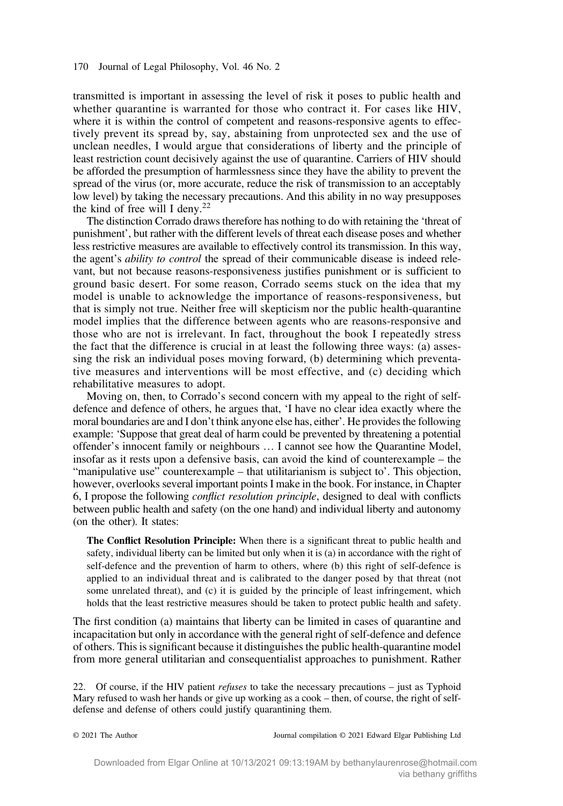transmitted is important in assessing the level of risk it poses to public health and whether quarantine is warranted for those who contract it. For cases like HIV, where it is within the control of competent and reasons-responsive agents to effectively prevent its spread by, say, abstaining from unprotected sex and the use of unclean needles, I would argue that considerations of liberty and the principle of least restriction count decisively against the use of quarantine. Carriers of HIV should be afforded the presumption of harmlessness since they have the ability to prevent the spread of the virus (or, more accurate, reduce the risk of transmission to an acceptably low level) by taking the necessary precautions. And this ability in no way presupposes the kind of free will I deny.<sup>22</sup>

The distinction Corrado draws therefore has nothing to do with retaining the 'threat of punishment', but rather with the different levels of threat each disease poses and whether less restrictive measures are available to effectively control its transmission. In this way, the agent's ability to control the spread of their communicable disease is indeed relevant, but not because reasons-responsiveness justifies punishment or is sufficient to ground basic desert. For some reason, Corrado seems stuck on the idea that my model is unable to acknowledge the importance of reasons-responsiveness, but that is simply not true. Neither free will skepticism nor the public health-quarantine model implies that the difference between agents who are reasons-responsive and those who are not is irrelevant. In fact, throughout the book I repeatedly stress the fact that the difference is crucial in at least the following three ways: (a) assessing the risk an individual poses moving forward, (b) determining which preventative measures and interventions will be most effective, and (c) deciding which rehabilitative measures to adopt.

Moving on, then, to Corrado's second concern with my appeal to the right of selfdefence and defence of others, he argues that, 'I have no clear idea exactly where the moral boundaries are and I don't think anyone else has, either'. He provides the following example: 'Suppose that great deal of harm could be prevented by threatening a potential offender's innocent family or neighbours … I cannot see how the Quarantine Model, insofar as it rests upon a defensive basis, can avoid the kind of counterexample – the "manipulative use" counterexample – that utilitarianism is subject to'. This objection, however, overlooks several important points I make in the book. For instance, in Chapter 6, I propose the following conflict resolution principle, designed to deal with conflicts between public health and safety (on the one hand) and individual liberty and autonomy (on the other). It states:

The Conflict Resolution Principle: When there is a significant threat to public health and safety, individual liberty can be limited but only when it is (a) in accordance with the right of self-defence and the prevention of harm to others, where (b) this right of self-defence is applied to an individual threat and is calibrated to the danger posed by that threat (not some unrelated threat), and (c) it is guided by the principle of least infringement, which holds that the least restrictive measures should be taken to protect public health and safety.

The first condition (a) maintains that liberty can be limited in cases of quarantine and incapacitation but only in accordance with the general right of self-defence and defence of others. This is significant because it distinguishes the public health-quarantine model from more general utilitarian and consequentialist approaches to punishment. Rather

22. Of course, if the HIV patient *refuses* to take the necessary precautions  $-$  just as Typhoid Mary refused to wash her hands or give up working as a cook – then, of course, the right of selfdefense and defense of others could justify quarantining them.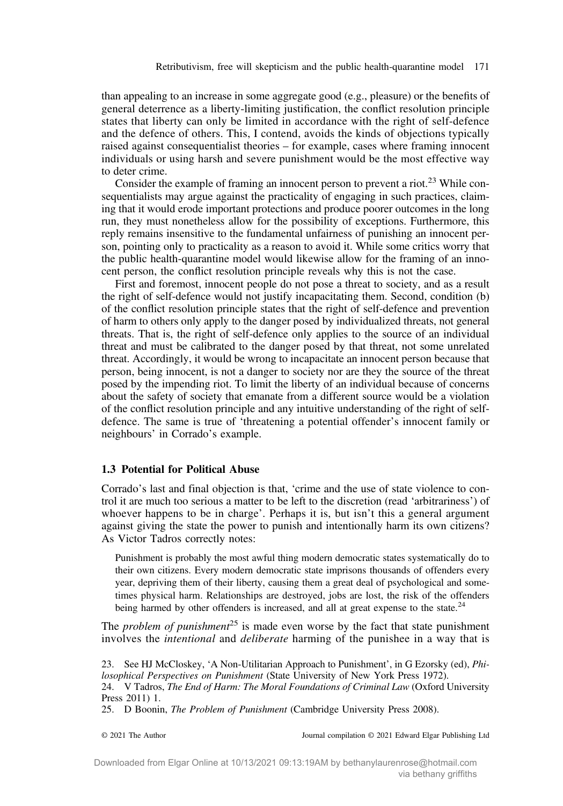than appealing to an increase in some aggregate good (e.g., pleasure) or the benefits of general deterrence as a liberty-limiting justification, the conflict resolution principle states that liberty can only be limited in accordance with the right of self-defence and the defence of others. This, I contend, avoids the kinds of objections typically raised against consequentialist theories – for example, cases where framing innocent individuals or using harsh and severe punishment would be the most effective way to deter crime.

Consider the example of framing an innocent person to prevent a riot.<sup>23</sup> While consequentialists may argue against the practicality of engaging in such practices, claiming that it would erode important protections and produce poorer outcomes in the long run, they must nonetheless allow for the possibility of exceptions. Furthermore, this reply remains insensitive to the fundamental unfairness of punishing an innocent person, pointing only to practicality as a reason to avoid it. While some critics worry that the public health-quarantine model would likewise allow for the framing of an innocent person, the conflict resolution principle reveals why this is not the case.

First and foremost, innocent people do not pose a threat to society, and as a result the right of self-defence would not justify incapacitating them. Second, condition (b) of the conflict resolution principle states that the right of self-defence and prevention of harm to others only apply to the danger posed by individualized threats, not general threats. That is, the right of self-defence only applies to the source of an individual threat and must be calibrated to the danger posed by that threat, not some unrelated threat. Accordingly, it would be wrong to incapacitate an innocent person because that person, being innocent, is not a danger to society nor are they the source of the threat posed by the impending riot. To limit the liberty of an individual because of concerns about the safety of society that emanate from a different source would be a violation of the conflict resolution principle and any intuitive understanding of the right of selfdefence. The same is true of 'threatening a potential offender's innocent family or neighbours' in Corrado's example.

## 1.3 Potential for Political Abuse

Corrado's last and final objection is that, 'crime and the use of state violence to control it are much too serious a matter to be left to the discretion (read 'arbitrariness') of whoever happens to be in charge'. Perhaps it is, but isn't this a general argument against giving the state the power to punish and intentionally harm its own citizens? As Victor Tadros correctly notes:

Punishment is probably the most awful thing modern democratic states systematically do to their own citizens. Every modern democratic state imprisons thousands of offenders every year, depriving them of their liberty, causing them a great deal of psychological and sometimes physical harm. Relationships are destroyed, jobs are lost, the risk of the offenders being harmed by other offenders is increased, and all at great expense to the state. $^{24}$ 

The *problem of punishment*<sup>25</sup> is made even worse by the fact that state punishment involves the intentional and deliberate harming of the punishee in a way that is

23. See HJ McCloskey, 'A Non-Utilitarian Approach to Punishment', in G Ezorsky (ed), Philosophical Perspectives on Punishment (State University of New York Press 1972).

24. V Tadros, The End of Harm: The Moral Foundations of Criminal Law (Oxford University Press 2011) 1.

25. D Boonin, The Problem of Punishment (Cambridge University Press 2008).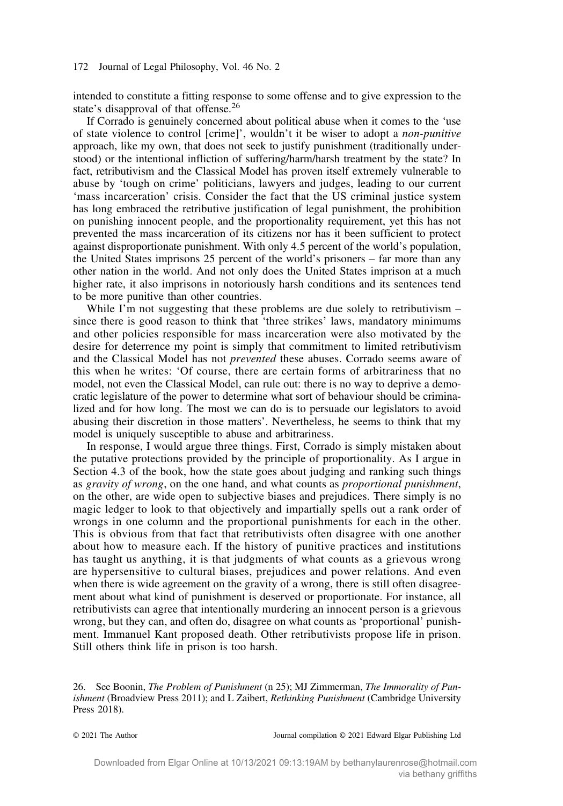intended to constitute a fitting response to some offense and to give expression to the state's disapproval of that offense.<sup>26</sup>

If Corrado is genuinely concerned about political abuse when it comes to the 'use of state violence to control [crime]', wouldn't it be wiser to adopt a non-punitive approach, like my own, that does not seek to justify punishment (traditionally understood) or the intentional infliction of suffering/harm/harsh treatment by the state? In fact, retributivism and the Classical Model has proven itself extremely vulnerable to abuse by 'tough on crime' politicians, lawyers and judges, leading to our current 'mass incarceration' crisis. Consider the fact that the US criminal justice system has long embraced the retributive justification of legal punishment, the prohibition on punishing innocent people, and the proportionality requirement, yet this has not prevented the mass incarceration of its citizens nor has it been sufficient to protect against disproportionate punishment. With only 4.5 percent of the world's population, the United States imprisons 25 percent of the world's prisoners – far more than any other nation in the world. And not only does the United States imprison at a much higher rate, it also imprisons in notoriously harsh conditions and its sentences tend to be more punitive than other countries.

While I'm not suggesting that these problems are due solely to retributivism  $$ since there is good reason to think that 'three strikes' laws, mandatory minimums and other policies responsible for mass incarceration were also motivated by the desire for deterrence my point is simply that commitment to limited retributivism and the Classical Model has not prevented these abuses. Corrado seems aware of this when he writes: 'Of course, there are certain forms of arbitrariness that no model, not even the Classical Model, can rule out: there is no way to deprive a democratic legislature of the power to determine what sort of behaviour should be criminalized and for how long. The most we can do is to persuade our legislators to avoid abusing their discretion in those matters'. Nevertheless, he seems to think that my model is uniquely susceptible to abuse and arbitrariness.

In response, I would argue three things. First, Corrado is simply mistaken about the putative protections provided by the principle of proportionality. As I argue in Section 4.3 of the book, how the state goes about judging and ranking such things as gravity of wrong, on the one hand, and what counts as proportional punishment, on the other, are wide open to subjective biases and prejudices. There simply is no magic ledger to look to that objectively and impartially spells out a rank order of wrongs in one column and the proportional punishments for each in the other. This is obvious from that fact that retributivists often disagree with one another about how to measure each. If the history of punitive practices and institutions has taught us anything, it is that judgments of what counts as a grievous wrong are hypersensitive to cultural biases, prejudices and power relations. And even when there is wide agreement on the gravity of a wrong, there is still often disagreement about what kind of punishment is deserved or proportionate. For instance, all retributivists can agree that intentionally murdering an innocent person is a grievous wrong, but they can, and often do, disagree on what counts as 'proportional' punishment. Immanuel Kant proposed death. Other retributivists propose life in prison. Still others think life in prison is too harsh.

<sup>26.</sup> See Boonin, The Problem of Punishment (n 25); MJ Zimmerman, The Immorality of Punishment (Broadview Press 2011); and L Zaibert, Rethinking Punishment (Cambridge University Press 2018).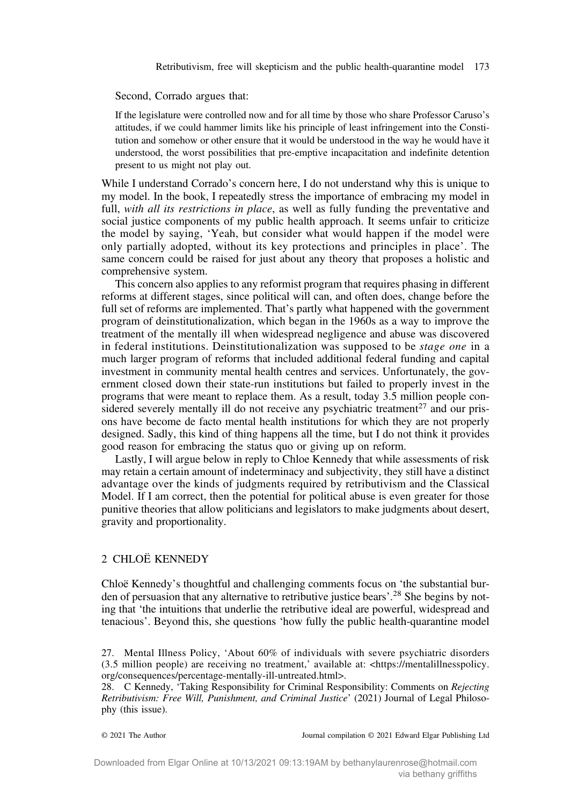#### Second, Corrado argues that:

If the legislature were controlled now and for all time by those who share Professor Caruso's attitudes, if we could hammer limits like his principle of least infringement into the Constitution and somehow or other ensure that it would be understood in the way he would have it understood, the worst possibilities that pre-emptive incapacitation and indefinite detention present to us might not play out.

While I understand Corrado's concern here, I do not understand why this is unique to my model. In the book, I repeatedly stress the importance of embracing my model in full, with all its restrictions in place, as well as fully funding the preventative and social justice components of my public health approach. It seems unfair to criticize the model by saying, 'Yeah, but consider what would happen if the model were only partially adopted, without its key protections and principles in place'. The same concern could be raised for just about any theory that proposes a holistic and comprehensive system.

This concern also applies to any reformist program that requires phasing in different reforms at different stages, since political will can, and often does, change before the full set of reforms are implemented. That's partly what happened with the government program of deinstitutionalization, which began in the 1960s as a way to improve the treatment of the mentally ill when widespread negligence and abuse was discovered in federal institutions. Deinstitutionalization was supposed to be stage one in a much larger program of reforms that included additional federal funding and capital investment in community mental health centres and services. Unfortunately, the government closed down their state-run institutions but failed to properly invest in the programs that were meant to replace them. As a result, today 3.5 million people considered severely mentally ill do not receive any psychiatric treatment<sup>27</sup> and our prisons have become de facto mental health institutions for which they are not properly designed. Sadly, this kind of thing happens all the time, but I do not think it provides good reason for embracing the status quo or giving up on reform.

Lastly, I will argue below in reply to Chloe Kennedy that while assessments of risk may retain a certain amount of indeterminacy and subjectivity, they still have a distinct advantage over the kinds of judgments required by retributivism and the Classical Model. If I am correct, then the potential for political abuse is even greater for those punitive theories that allow politicians and legislators to make judgments about desert, gravity and proportionality.

# 2 CHLOË KENNEDY

Chloë Kennedy's thoughtful and challenging comments focus on 'the substantial burden of persuasion that any alternative to retributive justice bears'. <sup>28</sup> She begins by noting that 'the intuitions that underlie the retributive ideal are powerful, widespread and tenacious'. Beyond this, she questions 'how fully the public health-quarantine model

28. C Kennedy, 'Taking Responsibility for Criminal Responsibility: Comments on Rejecting Retributivism: Free Will, Punishment, and Criminal Justice' (2021) Journal of Legal Philosophy (this issue).

<sup>27.</sup> Mental Illness Policy, 'About 60% of individuals with severe psychiatric disorders (3.5 million people) are receiving no treatment,' available at: [<https://mentalillnesspolicy.](https://mentalillnesspolicy.org/consequences/percentage-mentally-ill-untreated.html) [org/consequences/percentage-mentally-ill-untreated.html](https://mentalillnesspolicy.org/consequences/percentage-mentally-ill-untreated.html)>.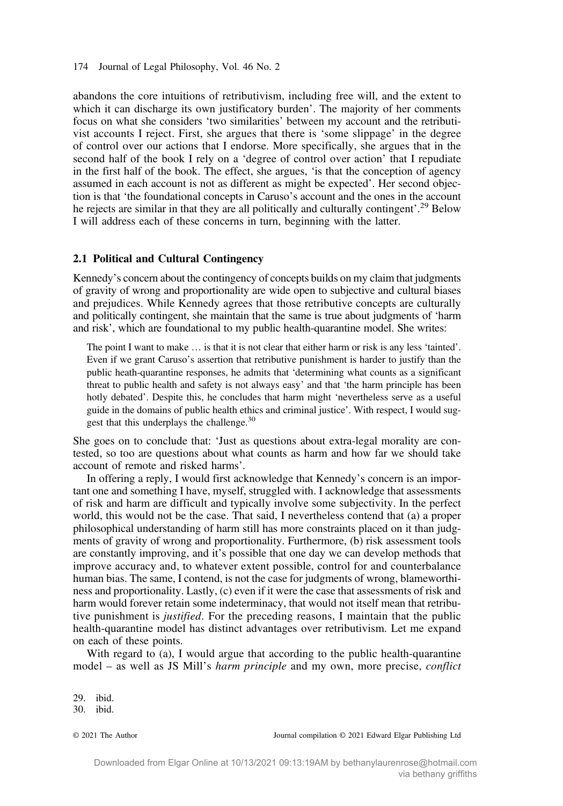abandons the core intuitions of retributivism, including free will, and the extent to which it can discharge its own justificatory burden'. The majority of her comments focus on what she considers 'two similarities' between my account and the retributivist accounts I reject. First, she argues that there is 'some slippage' in the degree of control over our actions that I endorse. More specifically, she argues that in the second half of the book I rely on a 'degree of control over action' that I repudiate in the first half of the book. The effect, she argues, 'is that the conception of agency assumed in each account is not as different as might be expected'. Her second objection is that 'the foundational concepts in Caruso's account and the ones in the account he rejects are similar in that they are all politically and culturally contingent'.<sup>29</sup> Below I will address each of these concerns in turn, beginning with the latter.

# 2.1 Political and Cultural Contingency

Kennedy's concern about the contingency of concepts builds on my claim that judgments of gravity of wrong and proportionality are wide open to subjective and cultural biases and prejudices. While Kennedy agrees that those retributive concepts are culturally and politically contingent, she maintain that the same is true about judgments of 'harm and risk', which are foundational to my public health-quarantine model. She writes:

The point I want to make … is that it is not clear that either harm or risk is any less 'tainted'. Even if we grant Caruso's assertion that retributive punishment is harder to justify than the public heath-quarantine responses, he admits that 'determining what counts as a significant threat to public health and safety is not always easy' and that 'the harm principle has been hotly debated'. Despite this, he concludes that harm might 'nevertheless serve as a useful guide in the domains of public health ethics and criminal justice'. With respect, I would suggest that this underplays the challenge.<sup>30</sup>

She goes on to conclude that: 'Just as questions about extra-legal morality are contested, so too are questions about what counts as harm and how far we should take account of remote and risked harms'.

In offering a reply, I would first acknowledge that Kennedy's concern is an important one and something I have, myself, struggled with. I acknowledge that assessments of risk and harm are difficult and typically involve some subjectivity. In the perfect world, this would not be the case. That said, I nevertheless contend that (a) a proper philosophical understanding of harm still has more constraints placed on it than judgments of gravity of wrong and proportionality. Furthermore, (b) risk assessment tools are constantly improving, and it's possible that one day we can develop methods that improve accuracy and, to whatever extent possible, control for and counterbalance human bias. The same, I contend, is not the case for judgments of wrong, blameworthiness and proportionality. Lastly, (c) even if it were the case that assessments of risk and harm would forever retain some indeterminacy, that would not itself mean that retributive punishment is justified. For the preceding reasons, I maintain that the public health-quarantine model has distinct advantages over retributivism. Let me expand on each of these points.

With regard to (a), I would argue that according to the public health-quarantine model – as well as JS Mill's harm principle and my own, more precise, conflict

<sup>29.</sup> ibid. 30. ibid.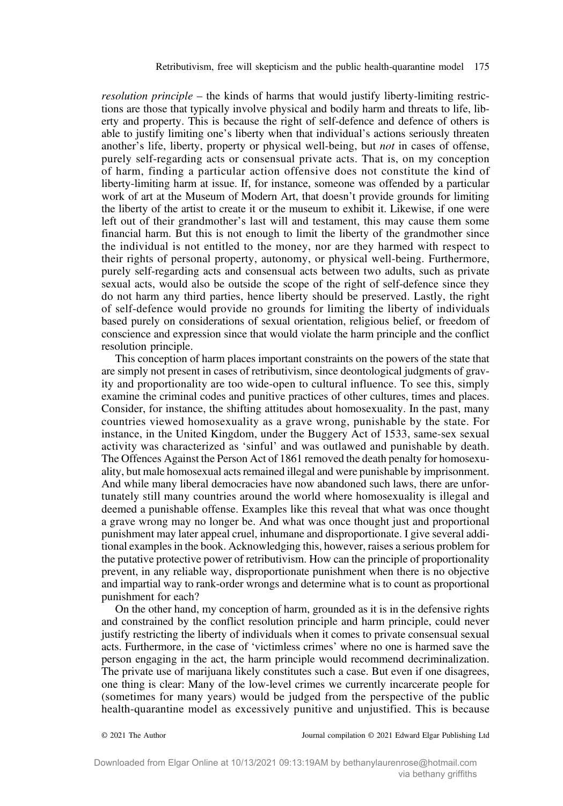*resolution principle* – the kinds of harms that would justify liberty-limiting restrictions are those that typically involve physical and bodily harm and threats to life, liberty and property. This is because the right of self-defence and defence of others is able to justify limiting one's liberty when that individual's actions seriously threaten another's life, liberty, property or physical well-being, but not in cases of offense, purely self-regarding acts or consensual private acts. That is, on my conception of harm, finding a particular action offensive does not constitute the kind of liberty-limiting harm at issue. If, for instance, someone was offended by a particular work of art at the Museum of Modern Art, that doesn't provide grounds for limiting the liberty of the artist to create it or the museum to exhibit it. Likewise, if one were left out of their grandmother's last will and testament, this may cause them some financial harm. But this is not enough to limit the liberty of the grandmother since the individual is not entitled to the money, nor are they harmed with respect to their rights of personal property, autonomy, or physical well-being. Furthermore, purely self-regarding acts and consensual acts between two adults, such as private sexual acts, would also be outside the scope of the right of self-defence since they do not harm any third parties, hence liberty should be preserved. Lastly, the right of self-defence would provide no grounds for limiting the liberty of individuals based purely on considerations of sexual orientation, religious belief, or freedom of conscience and expression since that would violate the harm principle and the conflict resolution principle.

This conception of harm places important constraints on the powers of the state that are simply not present in cases of retributivism, since deontological judgments of gravity and proportionality are too wide-open to cultural influence. To see this, simply examine the criminal codes and punitive practices of other cultures, times and places. Consider, for instance, the shifting attitudes about homosexuality. In the past, many countries viewed homosexuality as a grave wrong, punishable by the state. For instance, in the United Kingdom, under the Buggery Act of 1533, same-sex sexual activity was characterized as 'sinful' and was outlawed and punishable by death. The Offences Against the Person Act of 1861 removed the death penalty for homosexuality, but male homosexual acts remained illegal and were punishable by imprisonment. And while many liberal democracies have now abandoned such laws, there are unfortunately still many countries around the world where homosexuality is illegal and deemed a punishable offense. Examples like this reveal that what was once thought a grave wrong may no longer be. And what was once thought just and proportional punishment may later appeal cruel, inhumane and disproportionate. I give several additional examples in the book. Acknowledging this, however, raises a serious problem for the putative protective power of retributivism. How can the principle of proportionality prevent, in any reliable way, disproportionate punishment when there is no objective and impartial way to rank-order wrongs and determine what is to count as proportional punishment for each?

On the other hand, my conception of harm, grounded as it is in the defensive rights and constrained by the conflict resolution principle and harm principle, could never justify restricting the liberty of individuals when it comes to private consensual sexual acts. Furthermore, in the case of 'victimless crimes' where no one is harmed save the person engaging in the act, the harm principle would recommend decriminalization. The private use of marijuana likely constitutes such a case. But even if one disagrees, one thing is clear: Many of the low-level crimes we currently incarcerate people for (sometimes for many years) would be judged from the perspective of the public health-quarantine model as excessively punitive and unjustified. This is because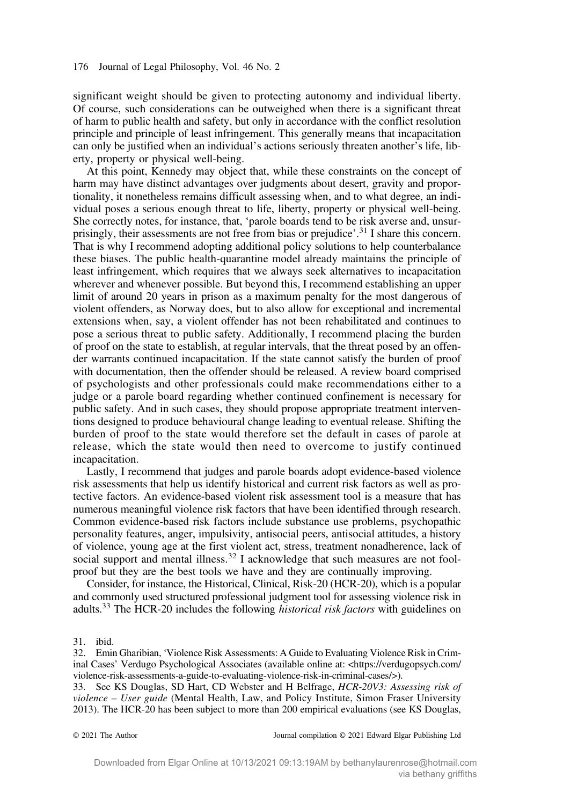significant weight should be given to protecting autonomy and individual liberty. Of course, such considerations can be outweighed when there is a significant threat of harm to public health and safety, but only in accordance with the conflict resolution principle and principle of least infringement. This generally means that incapacitation can only be justified when an individual's actions seriously threaten another's life, liberty, property or physical well-being.

At this point, Kennedy may object that, while these constraints on the concept of harm may have distinct advantages over judgments about desert, gravity and proportionality, it nonetheless remains difficult assessing when, and to what degree, an individual poses a serious enough threat to life, liberty, property or physical well-being. She correctly notes, for instance, that, 'parole boards tend to be risk averse and, unsurprisingly, their assessments are not free from bias or prejudice'.<sup>31</sup> I share this concern. That is why I recommend adopting additional policy solutions to help counterbalance these biases. The public health-quarantine model already maintains the principle of least infringement, which requires that we always seek alternatives to incapacitation wherever and whenever possible. But beyond this, I recommend establishing an upper limit of around 20 years in prison as a maximum penalty for the most dangerous of violent offenders, as Norway does, but to also allow for exceptional and incremental extensions when, say, a violent offender has not been rehabilitated and continues to pose a serious threat to public safety. Additionally, I recommend placing the burden of proof on the state to establish, at regular intervals, that the threat posed by an offender warrants continued incapacitation. If the state cannot satisfy the burden of proof with documentation, then the offender should be released. A review board comprised of psychologists and other professionals could make recommendations either to a judge or a parole board regarding whether continued confinement is necessary for public safety. And in such cases, they should propose appropriate treatment interventions designed to produce behavioural change leading to eventual release. Shifting the burden of proof to the state would therefore set the default in cases of parole at release, which the state would then need to overcome to justify continued incapacitation.

Lastly, I recommend that judges and parole boards adopt evidence-based violence risk assessments that help us identify historical and current risk factors as well as protective factors. An evidence-based violent risk assessment tool is a measure that has numerous meaningful violence risk factors that have been identified through research. Common evidence-based risk factors include substance use problems, psychopathic personality features, anger, impulsivity, antisocial peers, antisocial attitudes, a history of violence, young age at the first violent act, stress, treatment nonadherence, lack of social support and mental illness.<sup>32</sup> I acknowledge that such measures are not foolproof but they are the best tools we have and they are continually improving.

Consider, for instance, the Historical, Clinical, Risk-20 (HCR-20), which is a popular and commonly used structured professional judgment tool for assessing violence risk in adults.<sup>33</sup> The HCR-20 includes the following *historical risk factors* with guidelines on

33. See KS Douglas, SD Hart, CD Webster and H Belfrage, HCR-20V3: Assessing risk of violence – User guide (Mental Health, Law, and Policy Institute, Simon Fraser University 2013). The HCR-20 has been subject to more than 200 empirical evaluations (see KS Douglas,

<sup>31.</sup> ibid.

<sup>32.</sup> Emin Gharibian, 'Violence Risk Assessments: A Guide to Evaluating Violence Risk in Crim-inal Cases' Verdugo Psychological Associates (available online at: [<https://verdugopsych.com/](https://verdugopsych.com/violence-risk-assessments-a-guide-to-evaluating-violence-risk-in-criminal-cases/) [violence-risk-assessments-a-guide-to-evaluating-violence-risk-in-criminal-cases/](https://verdugopsych.com/violence-risk-assessments-a-guide-to-evaluating-violence-risk-in-criminal-cases/)>).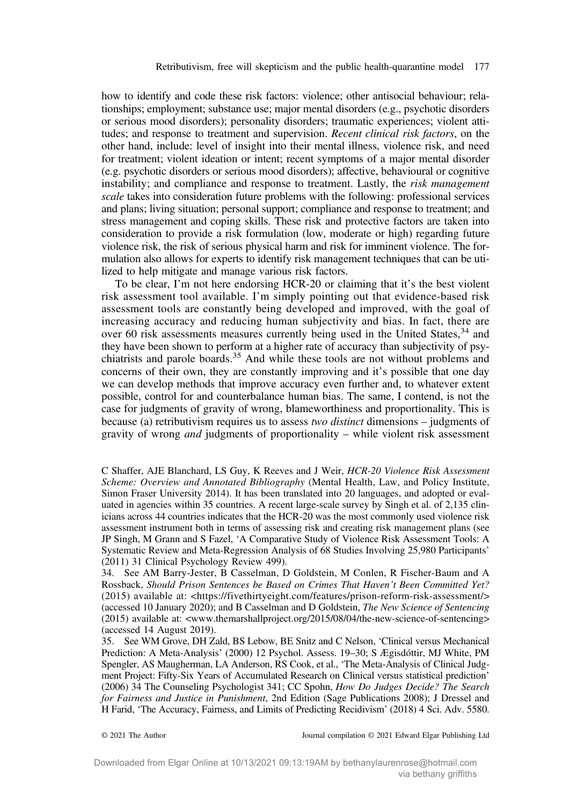how to identify and code these risk factors: violence; other antisocial behaviour; relationships; employment; substance use; major mental disorders (e.g., psychotic disorders or serious mood disorders); personality disorders; traumatic experiences; violent attitudes; and response to treatment and supervision. Recent clinical risk factors, on the other hand, include: level of insight into their mental illness, violence risk, and need for treatment; violent ideation or intent; recent symptoms of a major mental disorder (e.g. psychotic disorders or serious mood disorders); affective, behavioural or cognitive instability; and compliance and response to treatment. Lastly, the risk management scale takes into consideration future problems with the following: professional services and plans; living situation; personal support; compliance and response to treatment; and stress management and coping skills. These risk and protective factors are taken into consideration to provide a risk formulation (low, moderate or high) regarding future violence risk, the risk of serious physical harm and risk for imminent violence. The formulation also allows for experts to identify risk management techniques that can be utilized to help mitigate and manage various risk factors.

To be clear, I'm not here endorsing HCR-20 or claiming that it's the best violent risk assessment tool available. I'm simply pointing out that evidence-based risk assessment tools are constantly being developed and improved, with the goal of increasing accuracy and reducing human subjectivity and bias. In fact, there are over 60 risk assessments measures currently being used in the United States,<sup>34</sup> and they have been shown to perform at a higher rate of accuracy than subjectivity of psychiatrists and parole boards.<sup>35</sup> And while these tools are not without problems and concerns of their own, they are constantly improving and it's possible that one day we can develop methods that improve accuracy even further and, to whatever extent possible, control for and counterbalance human bias. The same, I contend, is not the case for judgments of gravity of wrong, blameworthiness and proportionality. This is because (a) retributivism requires us to assess two distinct dimensions – judgments of gravity of wrong and judgments of proportionality – while violent risk assessment

35. See WM Grove, DH Zald, BS Lebow, BE Snitz and C Nelson, 'Clinical versus Mechanical Prediction: A Meta-Analysis' (2000) 12 Psychol. Assess. 19–30; S Ægisdóttir, MJ White, PM Spengler, AS Maugherman, LA Anderson, RS Cook, et al., 'The Meta-Analysis of Clinical Judgment Project: Fifty-Six Years of Accumulated Research on Clinical versus statistical prediction' (2006) 34 The Counseling Psychologist 341; CC Spohn, How Do Judges Decide? The Search for Fairness and Justice in Punishment, 2nd Edition (Sage Publications 2008); J Dressel and H Farid, 'The Accuracy, Fairness, and Limits of Predicting Recidivism' (2018) 4 Sci. Adv. 5580.

C Shaffer, AJE Blanchard, LS Guy, K Reeves and J Weir, HCR-20 Violence Risk Assessment Scheme: Overview and Annotated Bibliography (Mental Health, Law, and Policy Institute, Simon Fraser University 2014). It has been translated into 20 languages, and adopted or evaluated in agencies within 35 countries. A recent large-scale survey by Singh et al. of 2,135 clinicians across 44 countries indicates that the HCR-20 was the most commonly used violence risk assessment instrument both in terms of assessing risk and creating risk management plans (see JP Singh, M Grann and S Fazel, 'A Comparative Study of Violence Risk Assessment Tools: A Systematic Review and Meta-Regression Analysis of 68 Studies Involving 25,980 Participants' (2011) 31 Clinical Psychology Review 499).

<sup>34.</sup> See AM Barry-Jester, B Casselman, D Goldstein, M Conlen, R Fischer-Baum and A Rossback, Should Prison Sentences be Based on Crimes That Haven't Been Committed Yet? (2015) available at: <<https://fivethirtyeight.com/features/prison-reform-risk-assessment/>> (accessed 10 January 2020); and B Casselman and D Goldstein, The New Science of Sentencing (2015) available at: <[www.themarshallproject.org/2015/08/04/the-new-science-of-sentencing](http://www.themarshallproject.org/2015/08/04/the-new-science-of-sentencing)> (accessed 14 August 2019).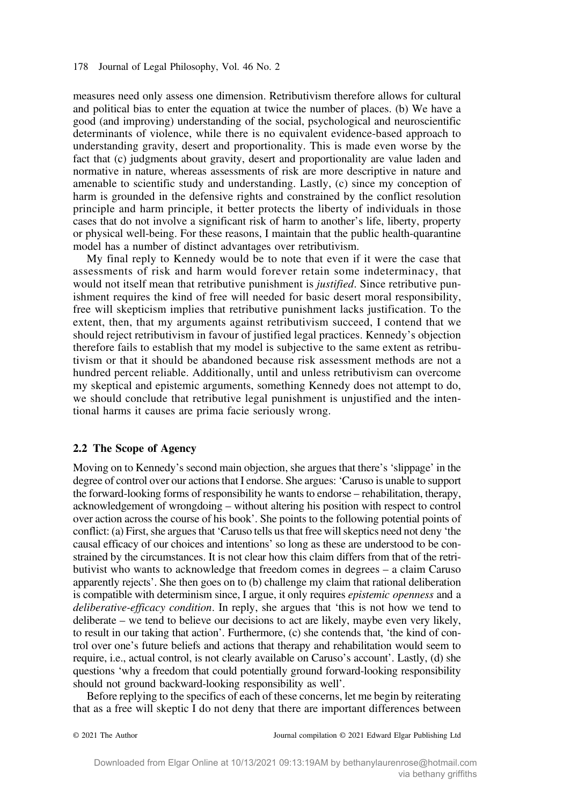measures need only assess one dimension. Retributivism therefore allows for cultural and political bias to enter the equation at twice the number of places. (b) We have a good (and improving) understanding of the social, psychological and neuroscientific determinants of violence, while there is no equivalent evidence-based approach to understanding gravity, desert and proportionality. This is made even worse by the fact that (c) judgments about gravity, desert and proportionality are value laden and normative in nature, whereas assessments of risk are more descriptive in nature and amenable to scientific study and understanding. Lastly, (c) since my conception of harm is grounded in the defensive rights and constrained by the conflict resolution principle and harm principle, it better protects the liberty of individuals in those cases that do not involve a significant risk of harm to another's life, liberty, property or physical well-being. For these reasons, I maintain that the public health-quarantine model has a number of distinct advantages over retributivism.

My final reply to Kennedy would be to note that even if it were the case that assessments of risk and harm would forever retain some indeterminacy, that would not itself mean that retributive punishment is justified. Since retributive punishment requires the kind of free will needed for basic desert moral responsibility, free will skepticism implies that retributive punishment lacks justification. To the extent, then, that my arguments against retributivism succeed, I contend that we should reject retributivism in favour of justified legal practices. Kennedy's objection therefore fails to establish that my model is subjective to the same extent as retributivism or that it should be abandoned because risk assessment methods are not a hundred percent reliable. Additionally, until and unless retributivism can overcome my skeptical and epistemic arguments, something Kennedy does not attempt to do, we should conclude that retributive legal punishment is unjustified and the intentional harms it causes are prima facie seriously wrong.

# 2.2 The Scope of Agency

Moving on to Kennedy's second main objection, she argues that there's 'slippage' in the degree of control over our actions that I endorse. She argues: 'Caruso is unable to support the forward-looking forms of responsibility he wants to endorse – rehabilitation, therapy, acknowledgement of wrongdoing – without altering his position with respect to control over action across the course of his book'. She points to the following potential points of conflict: (a) First, she argues that 'Caruso tells us that free will skeptics need not deny 'the causal efficacy of our choices and intentions' so long as these are understood to be constrained by the circumstances. It is not clear how this claim differs from that of the retributivist who wants to acknowledge that freedom comes in degrees – a claim Caruso apparently rejects'. She then goes on to (b) challenge my claim that rational deliberation is compatible with determinism since, I argue, it only requires *epistemic openness* and a deliberative-efficacy condition. In reply, she argues that 'this is not how we tend to deliberate – we tend to believe our decisions to act are likely, maybe even very likely, to result in our taking that action'. Furthermore, (c) she contends that, 'the kind of control over one's future beliefs and actions that therapy and rehabilitation would seem to require, i.e., actual control, is not clearly available on Caruso's account'. Lastly, (d) she questions 'why a freedom that could potentially ground forward-looking responsibility should not ground backward-looking responsibility as well'.

Before replying to the specifics of each of these concerns, let me begin by reiterating that as a free will skeptic I do not deny that there are important differences between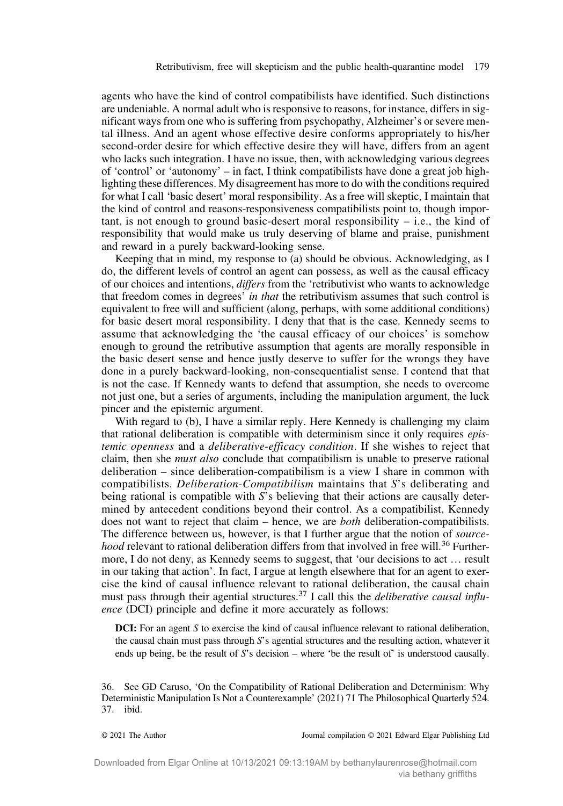agents who have the kind of control compatibilists have identified. Such distinctions are undeniable. A normal adult who is responsive to reasons, for instance, differs in significant ways from one who is suffering from psychopathy, Alzheimer's or severe mental illness. And an agent whose effective desire conforms appropriately to his/her second-order desire for which effective desire they will have, differs from an agent who lacks such integration. I have no issue, then, with acknowledging various degrees of 'control' or 'autonomy' – in fact, I think compatibilists have done a great job highlighting these differences. My disagreement has more to do with the conditions required for what I call 'basic desert' moral responsibility. As a free will skeptic, I maintain that the kind of control and reasons-responsiveness compatibilists point to, though important, is not enough to ground basic-desert moral responsibility  $-$  i.e., the kind of responsibility that would make us truly deserving of blame and praise, punishment and reward in a purely backward-looking sense.

Keeping that in mind, my response to (a) should be obvious. Acknowledging, as I do, the different levels of control an agent can possess, as well as the causal efficacy of our choices and intentions, differs from the 'retributivist who wants to acknowledge that freedom comes in degrees' in that the retributivism assumes that such control is equivalent to free will and sufficient (along, perhaps, with some additional conditions) for basic desert moral responsibility. I deny that that is the case. Kennedy seems to assume that acknowledging the 'the causal efficacy of our choices' is somehow enough to ground the retributive assumption that agents are morally responsible in the basic desert sense and hence justly deserve to suffer for the wrongs they have done in a purely backward-looking, non-consequentialist sense. I contend that that is not the case. If Kennedy wants to defend that assumption, she needs to overcome not just one, but a series of arguments, including the manipulation argument, the luck pincer and the epistemic argument.

With regard to (b), I have a similar reply. Here Kennedy is challenging my claim that rational deliberation is compatible with determinism since it only requires epistemic openness and a deliberative-efficacy condition. If she wishes to reject that claim, then she must also conclude that compatibilism is unable to preserve rational deliberation – since deliberation-compatibilism is a view I share in common with compatibilists. Deliberation-Compatibilism maintains that S's deliberating and being rational is compatible with S's believing that their actions are causally determined by antecedent conditions beyond their control. As a compatibilist, Kennedy does not want to reject that claim – hence, we are both deliberation-compatibilists. The difference between us, however, is that I further argue that the notion of *source*hood relevant to rational deliberation differs from that involved in free will.<sup>36</sup> Furthermore, I do not deny, as Kennedy seems to suggest, that 'our decisions to act … result in our taking that action'. In fact, I argue at length elsewhere that for an agent to exercise the kind of causal influence relevant to rational deliberation, the causal chain must pass through their agential structures.<sup>37</sup> I call this the *deliberative causal influ*ence (DCI) principle and define it more accurately as follows:

**DCI:** For an agent S to exercise the kind of causal influence relevant to rational deliberation, the causal chain must pass through  $S$ 's agential structures and the resulting action, whatever it ends up being, be the result of S's decision – where 'be the result of' is understood causally.

<sup>36.</sup> See GD Caruso, 'On the Compatibility of Rational Deliberation and Determinism: Why Deterministic Manipulation Is Not a Counterexample' (2021) 71 The Philosophical Quarterly 524. 37. ibid.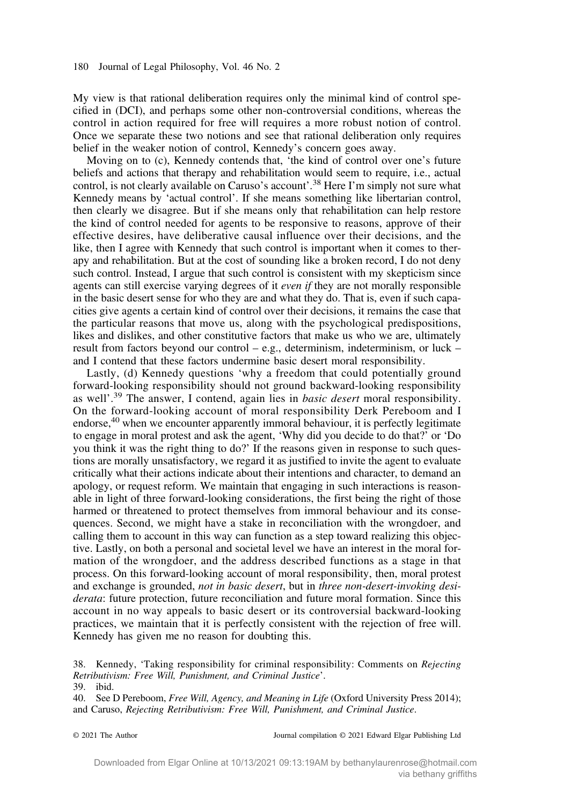My view is that rational deliberation requires only the minimal kind of control specified in (DCI), and perhaps some other non-controversial conditions, whereas the control in action required for free will requires a more robust notion of control. Once we separate these two notions and see that rational deliberation only requires belief in the weaker notion of control, Kennedy's concern goes away.

Moving on to (c), Kennedy contends that, 'the kind of control over one's future beliefs and actions that therapy and rehabilitation would seem to require, i.e., actual control, is not clearly available on Caruso's account'.<sup>38</sup> Here I'm simply not sure what Kennedy means by 'actual control'. If she means something like libertarian control, then clearly we disagree. But if she means only that rehabilitation can help restore the kind of control needed for agents to be responsive to reasons, approve of their effective desires, have deliberative causal influence over their decisions, and the like, then I agree with Kennedy that such control is important when it comes to therapy and rehabilitation. But at the cost of sounding like a broken record, I do not deny such control. Instead, I argue that such control is consistent with my skepticism since agents can still exercise varying degrees of it *even if* they are not morally responsible in the basic desert sense for who they are and what they do. That is, even if such capacities give agents a certain kind of control over their decisions, it remains the case that the particular reasons that move us, along with the psychological predispositions, likes and dislikes, and other constitutive factors that make us who we are, ultimately result from factors beyond our control – e.g., determinism, indeterminism, or luck – and I contend that these factors undermine basic desert moral responsibility.

Lastly, (d) Kennedy questions 'why a freedom that could potentially ground forward-looking responsibility should not ground backward-looking responsibility as well'.<sup>39</sup> The answer, I contend, again lies in basic desert moral responsibility. On the forward-looking account of moral responsibility Derk Pereboom and I endorse,<sup>40</sup> when we encounter apparently immoral behaviour, it is perfectly legitimate to engage in moral protest and ask the agent, 'Why did you decide to do that?' or 'Do you think it was the right thing to do?' If the reasons given in response to such questions are morally unsatisfactory, we regard it as justified to invite the agent to evaluate critically what their actions indicate about their intentions and character, to demand an apology, or request reform. We maintain that engaging in such interactions is reasonable in light of three forward-looking considerations, the first being the right of those harmed or threatened to protect themselves from immoral behaviour and its consequences. Second, we might have a stake in reconciliation with the wrongdoer, and calling them to account in this way can function as a step toward realizing this objective. Lastly, on both a personal and societal level we have an interest in the moral formation of the wrongdoer, and the address described functions as a stage in that process. On this forward-looking account of moral responsibility, then, moral protest and exchange is grounded, not in basic desert, but in three non-desert-invoking desiderata: future protection, future reconciliation and future moral formation. Since this account in no way appeals to basic desert or its controversial backward-looking practices, we maintain that it is perfectly consistent with the rejection of free will. Kennedy has given me no reason for doubting this.

40. See D Pereboom, Free Will, Agency, and Meaning in Life (Oxford University Press 2014); and Caruso, Rejecting Retributivism: Free Will, Punishment, and Criminal Justice.

<sup>38.</sup> Kennedy, 'Taking responsibility for criminal responsibility: Comments on Rejecting Retributivism: Free Will, Punishment, and Criminal Justice'. 39. ibid.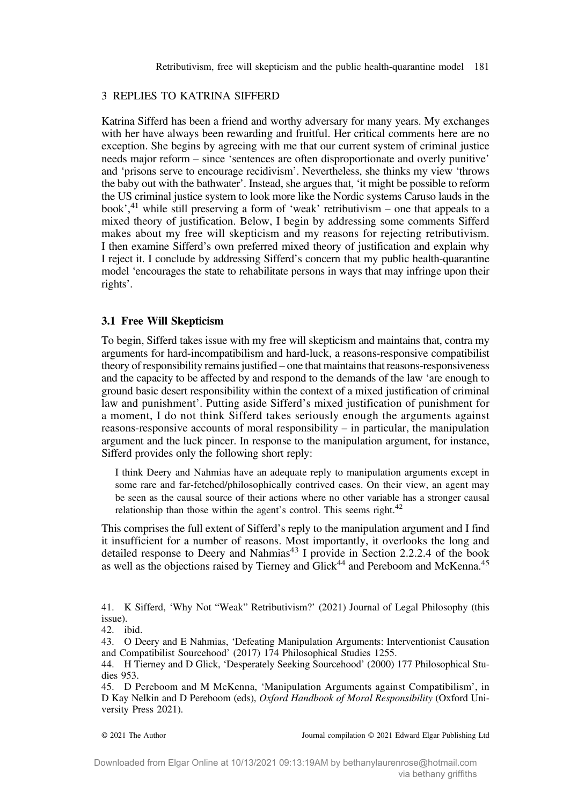# 3 REPLIES TO KATRINA SIFFERD

Katrina Sifferd has been a friend and worthy adversary for many years. My exchanges with her have always been rewarding and fruitful. Her critical comments here are no exception. She begins by agreeing with me that our current system of criminal justice needs major reform – since 'sentences are often disproportionate and overly punitive' and 'prisons serve to encourage recidivism'. Nevertheless, she thinks my view 'throws the baby out with the bathwater'. Instead, she argues that, 'it might be possible to reform the US criminal justice system to look more like the Nordic systems Caruso lauds in the book', <sup>41</sup> while still preserving a form of 'weak' retributivism – one that appeals to a mixed theory of justification. Below, I begin by addressing some comments Sifferd makes about my free will skepticism and my reasons for rejecting retributivism. I then examine Sifferd's own preferred mixed theory of justification and explain why I reject it. I conclude by addressing Sifferd's concern that my public health-quarantine model 'encourages the state to rehabilitate persons in ways that may infringe upon their rights'.

# 3.1 Free Will Skepticism

To begin, Sifferd takes issue with my free will skepticism and maintains that, contra my arguments for hard-incompatibilism and hard-luck, a reasons-responsive compatibilist theory of responsibility remains justified – one that maintains that reasons-responsiveness and the capacity to be affected by and respond to the demands of the law 'are enough to ground basic desert responsibility within the context of a mixed justification of criminal law and punishment'. Putting aside Sifferd's mixed justification of punishment for a moment, I do not think Sifferd takes seriously enough the arguments against reasons-responsive accounts of moral responsibility – in particular, the manipulation argument and the luck pincer. In response to the manipulation argument, for instance, Sifferd provides only the following short reply:

I think Deery and Nahmias have an adequate reply to manipulation arguments except in some rare and far-fetched/philosophically contrived cases. On their view, an agent may be seen as the causal source of their actions where no other variable has a stronger causal relationship than those within the agent's control. This seems right.<sup>42</sup>

This comprises the full extent of Sifferd's reply to the manipulation argument and I find it insufficient for a number of reasons. Most importantly, it overlooks the long and detailed response to Deery and Nahmias<sup>43</sup> I provide in Section 2.2.2.4 of the book as well as the objections raised by Tierney and Glick<sup>44</sup> and Pereboom and McKenna.<sup>45</sup>

43. O Deery and E Nahmias, 'Defeating Manipulation Arguments: Interventionist Causation and Compatibilist Sourcehood' (2017) 174 Philosophical Studies 1255.

45. D Pereboom and M McKenna, 'Manipulation Arguments against Compatibilism', in D Kay Nelkin and D Pereboom (eds), Oxford Handbook of Moral Responsibility (Oxford University Press 2021).

<sup>41.</sup> K Sifferd, 'Why Not "Weak" Retributivism?' (2021) Journal of Legal Philosophy (this issue).

<sup>42.</sup> ibid.

<sup>44.</sup> H Tierney and D Glick, 'Desperately Seeking Sourcehood' (2000) 177 Philosophical Studies 953.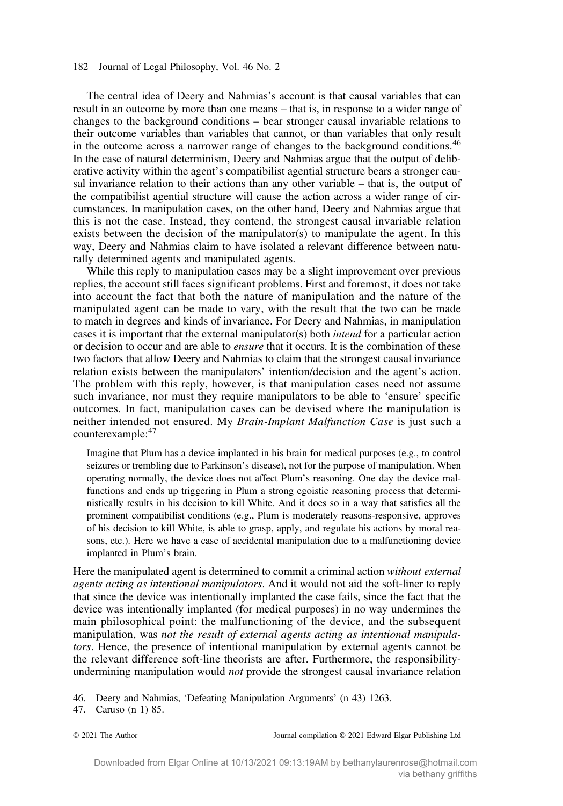The central idea of Deery and Nahmias's account is that causal variables that can result in an outcome by more than one means – that is, in response to a wider range of changes to the background conditions – bear stronger causal invariable relations to their outcome variables than variables that cannot, or than variables that only result in the outcome across a narrower range of changes to the background conditions.<sup>46</sup> In the case of natural determinism, Deery and Nahmias argue that the output of deliberative activity within the agent's compatibilist agential structure bears a stronger causal invariance relation to their actions than any other variable – that is, the output of the compatibilist agential structure will cause the action across a wider range of circumstances. In manipulation cases, on the other hand, Deery and Nahmias argue that this is not the case. Instead, they contend, the strongest causal invariable relation exists between the decision of the manipulator(s) to manipulate the agent. In this way, Deery and Nahmias claim to have isolated a relevant difference between naturally determined agents and manipulated agents.

While this reply to manipulation cases may be a slight improvement over previous replies, the account still faces significant problems. First and foremost, it does not take into account the fact that both the nature of manipulation and the nature of the manipulated agent can be made to vary, with the result that the two can be made to match in degrees and kinds of invariance. For Deery and Nahmias, in manipulation cases it is important that the external manipulator(s) both intend for a particular action or decision to occur and are able to *ensure* that it occurs. It is the combination of these two factors that allow Deery and Nahmias to claim that the strongest causal invariance relation exists between the manipulators' intention/decision and the agent's action. The problem with this reply, however, is that manipulation cases need not assume such invariance, nor must they require manipulators to be able to 'ensure' specific outcomes. In fact, manipulation cases can be devised where the manipulation is neither intended not ensured. My *Brain-Implant Malfunction Case* is just such a counterexample:<sup>47</sup>

Imagine that Plum has a device implanted in his brain for medical purposes (e.g., to control seizures or trembling due to Parkinson's disease), not for the purpose of manipulation. When operating normally, the device does not affect Plum's reasoning. One day the device malfunctions and ends up triggering in Plum a strong egoistic reasoning process that deterministically results in his decision to kill White. And it does so in a way that satisfies all the prominent compatibilist conditions (e.g., Plum is moderately reasons-responsive, approves of his decision to kill White, is able to grasp, apply, and regulate his actions by moral reasons, etc.). Here we have a case of accidental manipulation due to a malfunctioning device implanted in Plum's brain.

Here the manipulated agent is determined to commit a criminal action without external agents acting as intentional manipulators. And it would not aid the soft-liner to reply that since the device was intentionally implanted the case fails, since the fact that the device was intentionally implanted (for medical purposes) in no way undermines the main philosophical point: the malfunctioning of the device, and the subsequent manipulation, was not the result of external agents acting as intentional manipulators. Hence, the presence of intentional manipulation by external agents cannot be the relevant difference soft-line theorists are after. Furthermore, the responsibilityundermining manipulation would *not* provide the strongest causal invariance relation

47. Caruso (n 1) 85.

<sup>46.</sup> Deery and Nahmias, 'Defeating Manipulation Arguments' (n 43) 1263.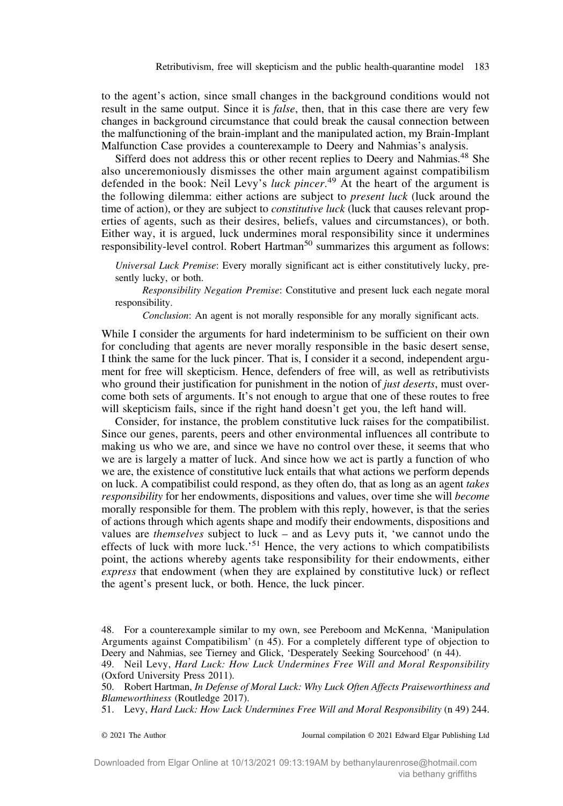to the agent's action, since small changes in the background conditions would not result in the same output. Since it is *false*, then, that in this case there are very few changes in background circumstance that could break the causal connection between the malfunctioning of the brain-implant and the manipulated action, my Brain-Implant Malfunction Case provides a counterexample to Deery and Nahmias's analysis.

Sifferd does not address this or other recent replies to Deery and Nahmias.<sup>48</sup> She also unceremoniously dismisses the other main argument against compatibilism defended in the book: Neil Levy's luck pincer.<sup>49</sup> At the heart of the argument is the following dilemma: either actions are subject to present luck (luck around the time of action), or they are subject to *constitutive luck* (luck that causes relevant properties of agents, such as their desires, beliefs, values and circumstances), or both. Either way, it is argued, luck undermines moral responsibility since it undermines responsibility-level control. Robert Hartman<sup>50</sup> summarizes this argument as follows:

Universal Luck Premise: Every morally significant act is either constitutively lucky, presently lucky, or both.

Responsibility Negation Premise: Constitutive and present luck each negate moral responsibility.

Conclusion: An agent is not morally responsible for any morally significant acts.

While I consider the arguments for hard indeterminism to be sufficient on their own for concluding that agents are never morally responsible in the basic desert sense, I think the same for the luck pincer. That is, I consider it a second, independent argument for free will skepticism. Hence, defenders of free will, as well as retributivists who ground their justification for punishment in the notion of *just deserts*, must overcome both sets of arguments. It's not enough to argue that one of these routes to free will skepticism fails, since if the right hand doesn't get you, the left hand will.

Consider, for instance, the problem constitutive luck raises for the compatibilist. Since our genes, parents, peers and other environmental influences all contribute to making us who we are, and since we have no control over these, it seems that who we are is largely a matter of luck. And since how we act is partly a function of who we are, the existence of constitutive luck entails that what actions we perform depends on luck. A compatibilist could respond, as they often do, that as long as an agent takes responsibility for her endowments, dispositions and values, over time she will become morally responsible for them. The problem with this reply, however, is that the series of actions through which agents shape and modify their endowments, dispositions and values are themselves subject to luck – and as Levy puts it, 'we cannot undo the effects of luck with more luck.'<sup>51</sup> Hence, the very actions to which compatibilists point, the actions whereby agents take responsibility for their endowments, either express that endowment (when they are explained by constitutive luck) or reflect the agent's present luck, or both. Hence, the luck pincer.

<sup>48.</sup> For a counterexample similar to my own, see Pereboom and McKenna, 'Manipulation Arguments against Compatibilism' (n 45). For a completely different type of objection to Deery and Nahmias, see Tierney and Glick, 'Desperately Seeking Sourcehood' (n 44).

<sup>49.</sup> Neil Levy, Hard Luck: How Luck Undermines Free Will and Moral Responsibility (Oxford University Press 2011).

<sup>50.</sup> Robert Hartman, In Defense of Moral Luck: Why Luck Often Affects Praiseworthiness and Blameworthiness (Routledge 2017).

<sup>51.</sup> Levy, Hard Luck: How Luck Undermines Free Will and Moral Responsibility (n 49) 244.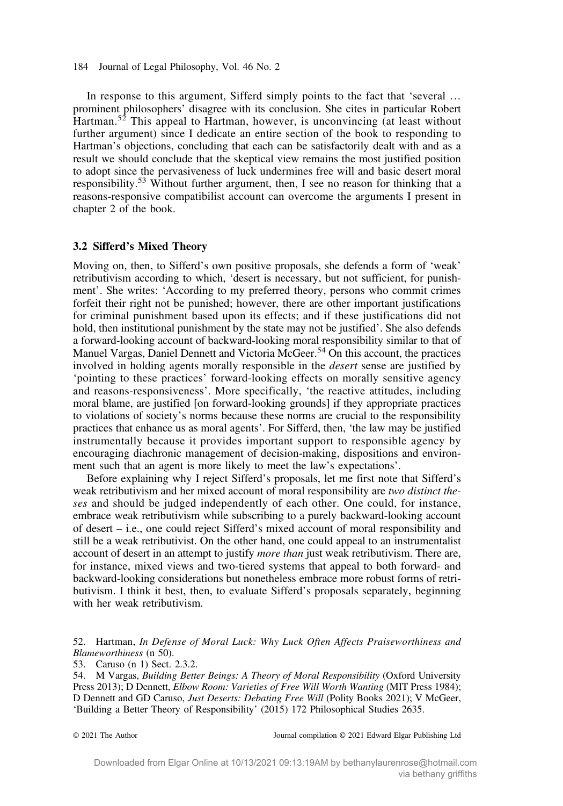In response to this argument, Sifferd simply points to the fact that 'several … prominent philosophers' disagree with its conclusion. She cites in particular Robert Hartman.<sup>52</sup> This appeal to Hartman, however, is unconvincing (at least without further argument) since I dedicate an entire section of the book to responding to Hartman's objections, concluding that each can be satisfactorily dealt with and as a result we should conclude that the skeptical view remains the most justified position to adopt since the pervasiveness of luck undermines free will and basic desert moral responsibility.<sup>53</sup> Without further argument, then, I see no reason for thinking that a reasons-responsive compatibilist account can overcome the arguments I present in chapter 2 of the book.

# 3.2 Sifferd's Mixed Theory

Moving on, then, to Sifferd's own positive proposals, she defends a form of 'weak' retributivism according to which, 'desert is necessary, but not sufficient, for punishment'. She writes: 'According to my preferred theory, persons who commit crimes forfeit their right not be punished; however, there are other important justifications for criminal punishment based upon its effects; and if these justifications did not hold, then institutional punishment by the state may not be justified'. She also defends a forward-looking account of backward-looking moral responsibility similar to that of Manuel Vargas, Daniel Dennett and Victoria McGeer.<sup>54</sup> On this account, the practices involved in holding agents morally responsible in the desert sense are justified by 'pointing to these practices' forward-looking effects on morally sensitive agency and reasons-responsiveness'. More specifically, 'the reactive attitudes, including moral blame, are justified [on forward-looking grounds] if they appropriate practices to violations of society's norms because these norms are crucial to the responsibility practices that enhance us as moral agents'. For Sifferd, then, 'the law may be justified instrumentally because it provides important support to responsible agency by encouraging diachronic management of decision-making, dispositions and environment such that an agent is more likely to meet the law's expectations'.

Before explaining why I reject Sifferd's proposals, let me first note that Sifferd's weak retributivism and her mixed account of moral responsibility are two distinct theses and should be judged independently of each other. One could, for instance, embrace weak retributivism while subscribing to a purely backward-looking account of desert – i.e., one could reject Sifferd's mixed account of moral responsibility and still be a weak retributivist. On the other hand, one could appeal to an instrumentalist account of desert in an attempt to justify *more than* just weak retributivism. There are, for instance, mixed views and two-tiered systems that appeal to both forward- and backward-looking considerations but nonetheless embrace more robust forms of retributivism. I think it best, then, to evaluate Sifferd's proposals separately, beginning with her weak retributivism.

52. Hartman, In Defense of Moral Luck: Why Luck Often Affects Praiseworthiness and Blameworthiness (n 50).

54. M Vargas, Building Better Beings: A Theory of Moral Responsibility (Oxford University Press 2013); D Dennett, Elbow Room: Varieties of Free Will Worth Wanting (MIT Press 1984); D Dennett and GD Caruso, Just Deserts: Debating Free Will (Polity Books 2021); V McGeer, 'Building a Better Theory of Responsibility' (2015) 172 Philosophical Studies 2635.

<sup>53.</sup> Caruso (n 1) Sect. 2.3.2.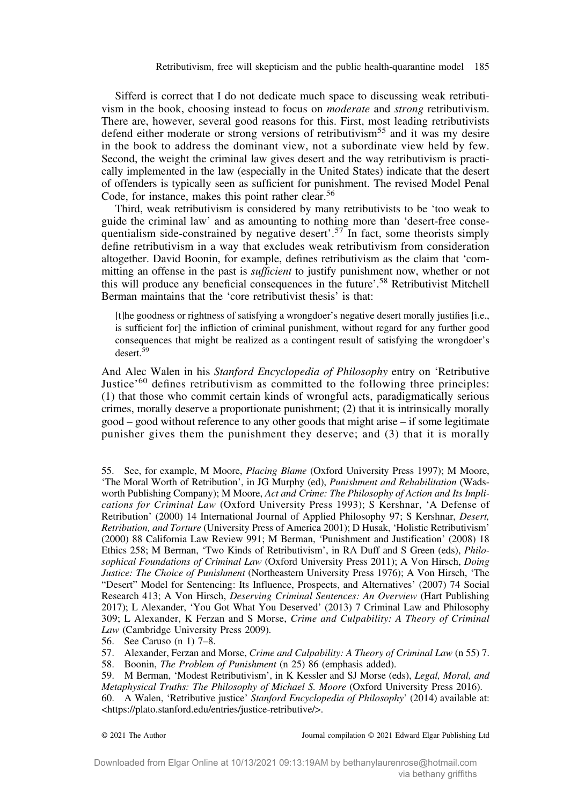Sifferd is correct that I do not dedicate much space to discussing weak retributivism in the book, choosing instead to focus on moderate and strong retributivism. There are, however, several good reasons for this. First, most leading retributivists defend either moderate or strong versions of retributivism<sup>55</sup> and it was my desire in the book to address the dominant view, not a subordinate view held by few. Second, the weight the criminal law gives desert and the way retributivism is practically implemented in the law (especially in the United States) indicate that the desert of offenders is typically seen as sufficient for punishment. The revised Model Penal Code, for instance, makes this point rather clear.<sup>56</sup>

Third, weak retributivism is considered by many retributivists to be 'too weak to guide the criminal law' and as amounting to nothing more than 'desert-free consequentialism side-constrained by negative desert'.<sup>57</sup> In fact, some theorists simply define retributivism in a way that excludes weak retributivism from consideration altogether. David Boonin, for example, defines retributivism as the claim that 'committing an offense in the past is *sufficient* to justify punishment now, whether or not this will produce any beneficial consequences in the future'. <sup>58</sup> Retributivist Mitchell Berman maintains that the 'core retributivist thesis' is that:

[t]he goodness or rightness of satisfying a wrongdoer's negative desert morally justifies [i.e., is sufficient for] the infliction of criminal punishment, without regard for any further good consequences that might be realized as a contingent result of satisfying the wrongdoer's desert.59

And Alec Walen in his Stanford Encyclopedia of Philosophy entry on 'Retributive Justice'<sup>60</sup> defines retributivism as committed to the following three principles: (1) that those who commit certain kinds of wrongful acts, paradigmatically serious crimes, morally deserve a proportionate punishment; (2) that it is intrinsically morally good – good without reference to any other goods that might arise – if some legitimate punisher gives them the punishment they deserve; and (3) that it is morally

56. See Caruso (n 1) 7–8.

57. Alexander, Ferzan and Morse, Crime and Culpability: A Theory of Criminal Law (n 55) 7.

58. Boonin, The Problem of Punishment (n 25) 86 (emphasis added).

59. M Berman, 'Modest Retributivism', in K Kessler and SJ Morse (eds), Legal, Moral, and Metaphysical Truths: The Philosophy of Michael S. Moore (Oxford University Press 2016). 60. A Walen, 'Retributive justice' Stanford Encyclopedia of Philosophy' (2014) available at: [<https://plato.stanford.edu/entries/justice-retributive/](https://plato.stanford.edu/entries/justice-retributive/)>.

<sup>55.</sup> See, for example, M Moore, Placing Blame (Oxford University Press 1997); M Moore, 'The Moral Worth of Retribution', in JG Murphy (ed), Punishment and Rehabilitation (Wadsworth Publishing Company); M Moore, Act and Crime: The Philosophy of Action and Its Implications for Criminal Law (Oxford University Press 1993); S Kershnar, 'A Defense of Retribution' (2000) 14 International Journal of Applied Philosophy 97; S Kershnar, Desert, Retribution, and Torture (University Press of America 2001); D Husak, 'Holistic Retributivism' (2000) 88 California Law Review 991; M Berman, 'Punishment and Justification' (2008) 18 Ethics 258; M Berman, 'Two Kinds of Retributivism', in RA Duff and S Green (eds), Philosophical Foundations of Criminal Law (Oxford University Press 2011); A Von Hirsch, Doing Justice: The Choice of Punishment (Northeastern University Press 1976); A Von Hirsch, 'The "Desert" Model for Sentencing: Its Influence, Prospects, and Alternatives' (2007) 74 Social Research 413; A Von Hirsch, Deserving Criminal Sentences: An Overview (Hart Publishing 2017); L Alexander, 'You Got What You Deserved' (2013) 7 Criminal Law and Philosophy 309; L Alexander, K Ferzan and S Morse, Crime and Culpability: A Theory of Criminal Law (Cambridge University Press 2009).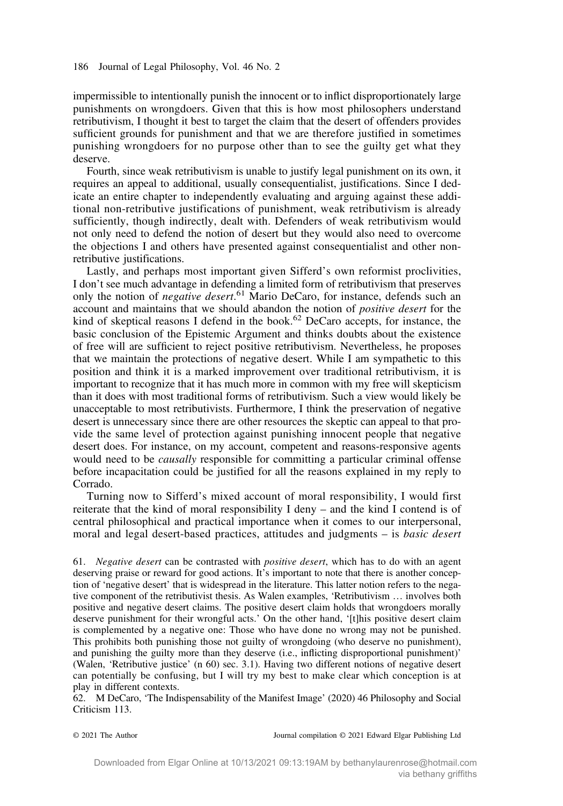impermissible to intentionally punish the innocent or to inflict disproportionately large punishments on wrongdoers. Given that this is how most philosophers understand retributivism, I thought it best to target the claim that the desert of offenders provides sufficient grounds for punishment and that we are therefore justified in sometimes punishing wrongdoers for no purpose other than to see the guilty get what they deserve.

Fourth, since weak retributivism is unable to justify legal punishment on its own, it requires an appeal to additional, usually consequentialist, justifications. Since I dedicate an entire chapter to independently evaluating and arguing against these additional non-retributive justifications of punishment, weak retributivism is already sufficiently, though indirectly, dealt with. Defenders of weak retributivism would not only need to defend the notion of desert but they would also need to overcome the objections I and others have presented against consequentialist and other nonretributive justifications.

Lastly, and perhaps most important given Sifferd's own reformist proclivities, I don't see much advantage in defending a limited form of retributivism that preserves only the notion of *negative desert*.<sup>61</sup> Mario DeCaro, for instance, defends such an account and maintains that we should abandon the notion of positive desert for the kind of skeptical reasons I defend in the book.<sup>62</sup> DeCaro accepts, for instance, the basic conclusion of the Epistemic Argument and thinks doubts about the existence of free will are sufficient to reject positive retributivism. Nevertheless, he proposes that we maintain the protections of negative desert. While I am sympathetic to this position and think it is a marked improvement over traditional retributivism, it is important to recognize that it has much more in common with my free will skepticism than it does with most traditional forms of retributivism. Such a view would likely be unacceptable to most retributivists. Furthermore, I think the preservation of negative desert is unnecessary since there are other resources the skeptic can appeal to that provide the same level of protection against punishing innocent people that negative desert does. For instance, on my account, competent and reasons-responsive agents would need to be causally responsible for committing a particular criminal offense before incapacitation could be justified for all the reasons explained in my reply to Corrado.

Turning now to Sifferd's mixed account of moral responsibility, I would first reiterate that the kind of moral responsibility I deny – and the kind I contend is of central philosophical and practical importance when it comes to our interpersonal, moral and legal desert-based practices, attitudes and judgments – is *basic desert* 

61. Negative desert can be contrasted with positive desert, which has to do with an agent deserving praise or reward for good actions. It's important to note that there is another conception of 'negative desert' that is widespread in the literature. This latter notion refers to the negative component of the retributivist thesis. As Walen examples, 'Retributivism … involves both positive and negative desert claims. The positive desert claim holds that wrongdoers morally deserve punishment for their wrongful acts.' On the other hand, '[t]his positive desert claim is complemented by a negative one: Those who have done no wrong may not be punished. This prohibits both punishing those not guilty of wrongdoing (who deserve no punishment), and punishing the guilty more than they deserve (i.e., inflicting disproportional punishment)' (Walen, 'Retributive justice' (n 60) sec. 3.1). Having two different notions of negative desert can potentially be confusing, but I will try my best to make clear which conception is at play in different contexts.

62. M DeCaro, 'The Indispensability of the Manifest Image' (2020) 46 Philosophy and Social Criticism 113.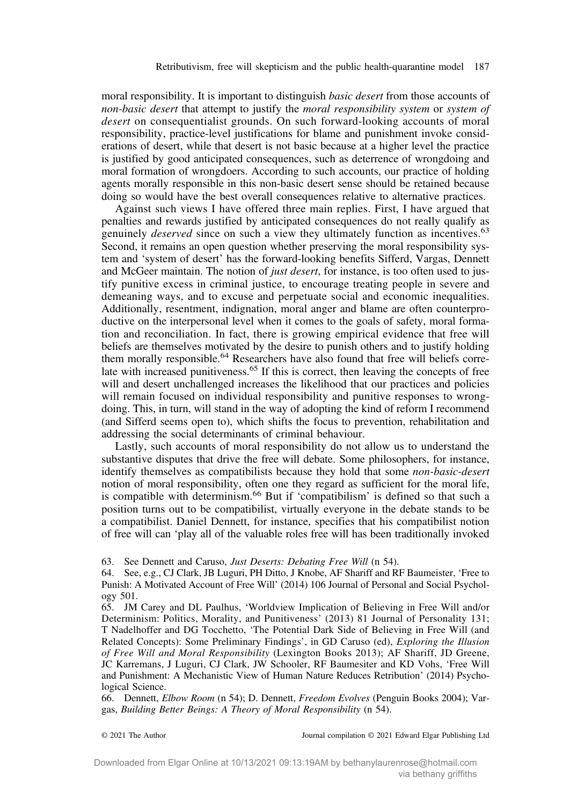moral responsibility. It is important to distinguish *basic desert* from those accounts of non-basic desert that attempt to justify the moral responsibility system or system of desert on consequentialist grounds. On such forward-looking accounts of moral responsibility, practice-level justifications for blame and punishment invoke considerations of desert, while that desert is not basic because at a higher level the practice is justified by good anticipated consequences, such as deterrence of wrongdoing and moral formation of wrongdoers. According to such accounts, our practice of holding agents morally responsible in this non-basic desert sense should be retained because doing so would have the best overall consequences relative to alternative practices.

Against such views I have offered three main replies. First, I have argued that penalties and rewards justified by anticipated consequences do not really qualify as genuinely *deserved* since on such a view they ultimately function as incentives.<sup>63</sup> Second, it remains an open question whether preserving the moral responsibility system and 'system of desert' has the forward-looking benefits Sifferd, Vargas, Dennett and McGeer maintain. The notion of *just desert*, for instance, is too often used to justify punitive excess in criminal justice, to encourage treating people in severe and demeaning ways, and to excuse and perpetuate social and economic inequalities. Additionally, resentment, indignation, moral anger and blame are often counterproductive on the interpersonal level when it comes to the goals of safety, moral formation and reconciliation. In fact, there is growing empirical evidence that free will beliefs are themselves motivated by the desire to punish others and to justify holding them morally responsible.<sup>64</sup> Researchers have also found that free will beliefs correlate with increased punitiveness.<sup>65</sup> If this is correct, then leaving the concepts of free will and desert unchallenged increases the likelihood that our practices and policies will remain focused on individual responsibility and punitive responses to wrongdoing. This, in turn, will stand in the way of adopting the kind of reform I recommend (and Sifferd seems open to), which shifts the focus to prevention, rehabilitation and addressing the social determinants of criminal behaviour.

Lastly, such accounts of moral responsibility do not allow us to understand the substantive disputes that drive the free will debate. Some philosophers, for instance, identify themselves as compatibilists because they hold that some non-basic-desert notion of moral responsibility, often one they regard as sufficient for the moral life, is compatible with determinism.<sup>66</sup> But if 'compatibilism' is defined so that such a position turns out to be compatibilist, virtually everyone in the debate stands to be a compatibilist. Daniel Dennett, for instance, specifies that his compatibilist notion of free will can 'play all of the valuable roles free will has been traditionally invoked

63. See Dennett and Caruso, Just Deserts: Debating Free Will (n 54).

64. See, e.g., CJ Clark, JB Luguri, PH Ditto, J Knobe, AF Shariff and RF Baumeister, 'Free to Punish: A Motivated Account of Free Will' (2014) 106 Journal of Personal and Social Psychology 501.

65. JM Carey and DL Paulhus, 'Worldview Implication of Believing in Free Will and/or Determinism: Politics, Morality, and Punitiveness' (2013) 81 Journal of Personality 131; T Nadelhoffer and DG Tocchetto, 'The Potential Dark Side of Believing in Free Will (and Related Concepts): Some Preliminary Findings', in GD Caruso (ed), Exploring the Illusion of Free Will and Moral Responsibility (Lexington Books 2013); AF Shariff, JD Greene, JC Karremans, J Luguri, CJ Clark, JW Schooler, RF Baumesiter and KD Vohs, 'Free Will and Punishment: A Mechanistic View of Human Nature Reduces Retribution' (2014) Psychological Science.

66. Dennett, Elbow Room (n 54); D. Dennett, Freedom Evolves (Penguin Books 2004); Vargas, Building Better Beings: A Theory of Moral Responsibility (n 54).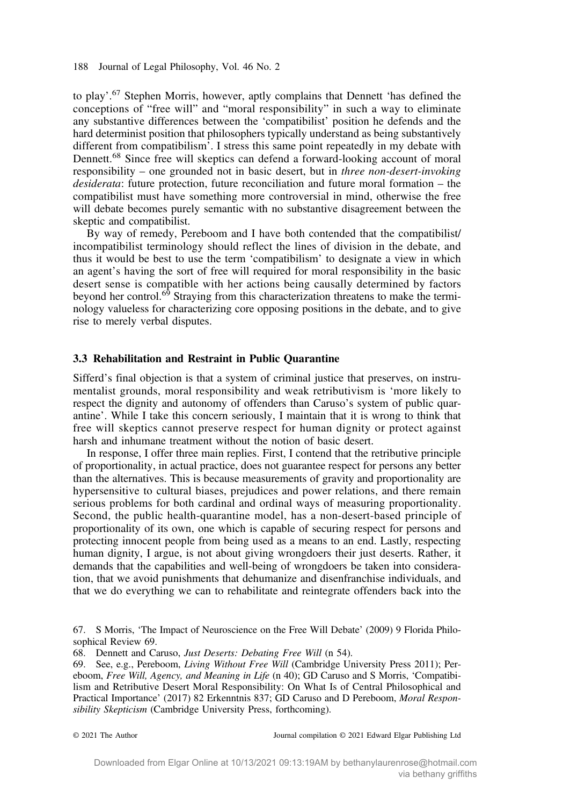to play'.<sup>67</sup> Stephen Morris, however, aptly complains that Dennett 'has defined the conceptions of "free will" and "moral responsibility" in such a way to eliminate any substantive differences between the 'compatibilist' position he defends and the hard determinist position that philosophers typically understand as being substantively different from compatibilism'. I stress this same point repeatedly in my debate with Dennett.<sup>68</sup> Since free will skeptics can defend a forward-looking account of moral responsibility – one grounded not in basic desert, but in *three non-desert-invoking* desiderata: future protection, future reconciliation and future moral formation – the compatibilist must have something more controversial in mind, otherwise the free will debate becomes purely semantic with no substantive disagreement between the skeptic and compatibilist.

By way of remedy, Pereboom and I have both contended that the compatibilist/ incompatibilist terminology should reflect the lines of division in the debate, and thus it would be best to use the term 'compatibilism' to designate a view in which an agent's having the sort of free will required for moral responsibility in the basic desert sense is compatible with her actions being causally determined by factors beyond her control.<sup>69</sup> Straying from this characterization threatens to make the terminology valueless for characterizing core opposing positions in the debate, and to give rise to merely verbal disputes.

## 3.3 Rehabilitation and Restraint in Public Quarantine

Sifferd's final objection is that a system of criminal justice that preserves, on instrumentalist grounds, moral responsibility and weak retributivism is 'more likely to respect the dignity and autonomy of offenders than Caruso's system of public quarantine'. While I take this concern seriously, I maintain that it is wrong to think that free will skeptics cannot preserve respect for human dignity or protect against harsh and inhumane treatment without the notion of basic desert.

In response, I offer three main replies. First, I contend that the retributive principle of proportionality, in actual practice, does not guarantee respect for persons any better than the alternatives. This is because measurements of gravity and proportionality are hypersensitive to cultural biases, prejudices and power relations, and there remain serious problems for both cardinal and ordinal ways of measuring proportionality. Second, the public health-quarantine model, has a non-desert-based principle of proportionality of its own, one which is capable of securing respect for persons and protecting innocent people from being used as a means to an end. Lastly, respecting human dignity, I argue, is not about giving wrongdoers their just deserts. Rather, it demands that the capabilities and well-being of wrongdoers be taken into consideration, that we avoid punishments that dehumanize and disenfranchise individuals, and that we do everything we can to rehabilitate and reintegrate offenders back into the

67. S Morris, 'The Impact of Neuroscience on the Free Will Debate' (2009) 9 Florida Philosophical Review 69.

69. See, e.g., Pereboom, Living Without Free Will (Cambridge University Press 2011); Pereboom, Free Will, Agency, and Meaning in Life (n 40); GD Caruso and S Morris, 'Compatibilism and Retributive Desert Moral Responsibility: On What Is of Central Philosophical and Practical Importance' (2017) 82 Erkenntnis 837; GD Caruso and D Pereboom, Moral Responsibility Skepticism (Cambridge University Press, forthcoming).

<sup>68.</sup> Dennett and Caruso, Just Deserts: Debating Free Will (n 54).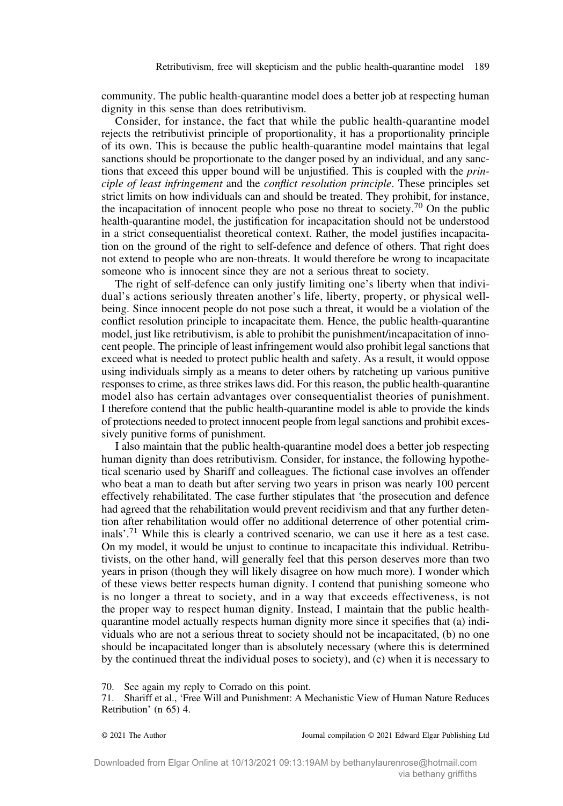community. The public health-quarantine model does a better job at respecting human dignity in this sense than does retributivism.

Consider, for instance, the fact that while the public health-quarantine model rejects the retributivist principle of proportionality, it has a proportionality principle of its own. This is because the public health-quarantine model maintains that legal sanctions should be proportionate to the danger posed by an individual, and any sanctions that exceed this upper bound will be unjustified. This is coupled with the principle of least infringement and the conflict resolution principle. These principles set strict limits on how individuals can and should be treated. They prohibit, for instance, the incapacitation of innocent people who pose no threat to society.<sup>70</sup> On the public health-quarantine model, the justification for incapacitation should not be understood in a strict consequentialist theoretical context. Rather, the model justifies incapacitation on the ground of the right to self-defence and defence of others. That right does not extend to people who are non-threats. It would therefore be wrong to incapacitate someone who is innocent since they are not a serious threat to society.

The right of self-defence can only justify limiting one's liberty when that individual's actions seriously threaten another's life, liberty, property, or physical wellbeing. Since innocent people do not pose such a threat, it would be a violation of the conflict resolution principle to incapacitate them. Hence, the public health-quarantine model, just like retributivism, is able to prohibit the punishment/incapacitation of innocent people. The principle of least infringement would also prohibit legal sanctions that exceed what is needed to protect public health and safety. As a result, it would oppose using individuals simply as a means to deter others by ratcheting up various punitive responses to crime, as three strikes laws did. For this reason, the public health-quarantine model also has certain advantages over consequentialist theories of punishment. I therefore contend that the public health-quarantine model is able to provide the kinds of protections needed to protect innocent people from legal sanctions and prohibit excessively punitive forms of punishment.

I also maintain that the public health-quarantine model does a better job respecting human dignity than does retributivism. Consider, for instance, the following hypothetical scenario used by Shariff and colleagues. The fictional case involves an offender who beat a man to death but after serving two years in prison was nearly 100 percent effectively rehabilitated. The case further stipulates that 'the prosecution and defence had agreed that the rehabilitation would prevent recidivism and that any further detention after rehabilitation would offer no additional deterrence of other potential criminals'. <sup>71</sup> While this is clearly a contrived scenario, we can use it here as a test case. On my model, it would be unjust to continue to incapacitate this individual. Retributivists, on the other hand, will generally feel that this person deserves more than two years in prison (though they will likely disagree on how much more). I wonder which of these views better respects human dignity. I contend that punishing someone who is no longer a threat to society, and in a way that exceeds effectiveness, is not the proper way to respect human dignity. Instead, I maintain that the public healthquarantine model actually respects human dignity more since it specifies that (a) individuals who are not a serious threat to society should not be incapacitated, (b) no one should be incapacitated longer than is absolutely necessary (where this is determined by the continued threat the individual poses to society), and (c) when it is necessary to

70. See again my reply to Corrado on this point.

71. Shariff et al., 'Free Will and Punishment: A Mechanistic View of Human Nature Reduces Retribution' (n 65) 4.

© 2021 The Author Journal compilation © 2021 Edward Elgar Publishing Ltd

Downloaded from Elgar Online at 10/13/2021 09:13:19AM by bethanylaurenrose@hotmail.com via bethany griffiths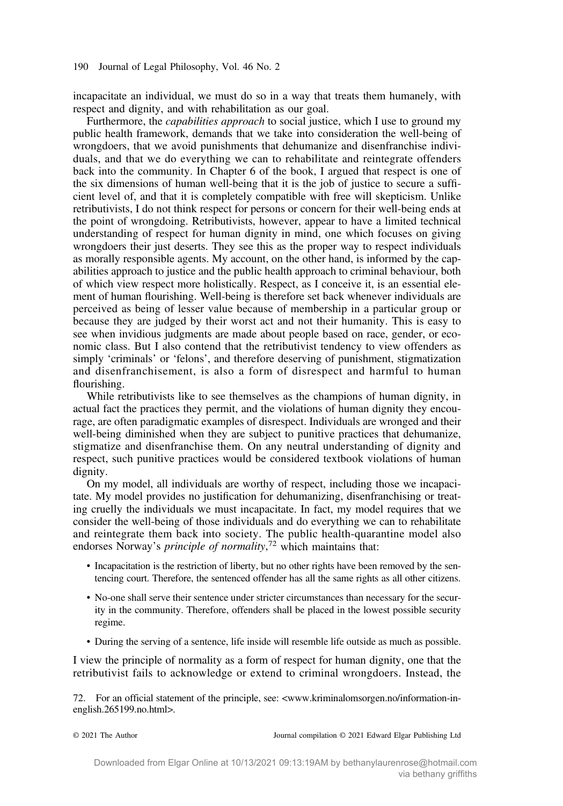incapacitate an individual, we must do so in a way that treats them humanely, with respect and dignity, and with rehabilitation as our goal.

Furthermore, the *capabilities approach* to social justice, which I use to ground my public health framework, demands that we take into consideration the well-being of wrongdoers, that we avoid punishments that dehumanize and disenfranchise individuals, and that we do everything we can to rehabilitate and reintegrate offenders back into the community. In Chapter 6 of the book, I argued that respect is one of the six dimensions of human well-being that it is the job of justice to secure a sufficient level of, and that it is completely compatible with free will skepticism. Unlike retributivists, I do not think respect for persons or concern for their well-being ends at the point of wrongdoing. Retributivists, however, appear to have a limited technical understanding of respect for human dignity in mind, one which focuses on giving wrongdoers their just deserts. They see this as the proper way to respect individuals as morally responsible agents. My account, on the other hand, is informed by the capabilities approach to justice and the public health approach to criminal behaviour, both of which view respect more holistically. Respect, as I conceive it, is an essential element of human flourishing. Well-being is therefore set back whenever individuals are perceived as being of lesser value because of membership in a particular group or because they are judged by their worst act and not their humanity. This is easy to see when invidious judgments are made about people based on race, gender, or economic class. But I also contend that the retributivist tendency to view offenders as simply 'criminals' or 'felons', and therefore deserving of punishment, stigmatization and disenfranchisement, is also a form of disrespect and harmful to human flourishing.

While retributivists like to see themselves as the champions of human dignity, in actual fact the practices they permit, and the violations of human dignity they encourage, are often paradigmatic examples of disrespect. Individuals are wronged and their well-being diminished when they are subject to punitive practices that dehumanize, stigmatize and disenfranchise them. On any neutral understanding of dignity and respect, such punitive practices would be considered textbook violations of human dignity.

On my model, all individuals are worthy of respect, including those we incapacitate. My model provides no justification for dehumanizing, disenfranchising or treating cruelly the individuals we must incapacitate. In fact, my model requires that we consider the well-being of those individuals and do everything we can to rehabilitate and reintegrate them back into society. The public health-quarantine model also endorses Norway's principle of normality,<sup>72</sup> which maintains that:

- Incapacitation is the restriction of liberty, but no other rights have been removed by the sentencing court. Therefore, the sentenced offender has all the same rights as all other citizens.
- No-one shall serve their sentence under stricter circumstances than necessary for the security in the community. Therefore, offenders shall be placed in the lowest possible security regime.
- During the serving of a sentence, life inside will resemble life outside as much as possible.

I view the principle of normality as a form of respect for human dignity, one that the retributivist fails to acknowledge or extend to criminal wrongdoers. Instead, the

72. For an official statement of the principle, see: [<www.kriminalomsorgen.no/information-in](http://www.kriminalomsorgen.no/information-in-english.265199.no.html)[english.265199.no.html>](http://www.kriminalomsorgen.no/information-in-english.265199.no.html).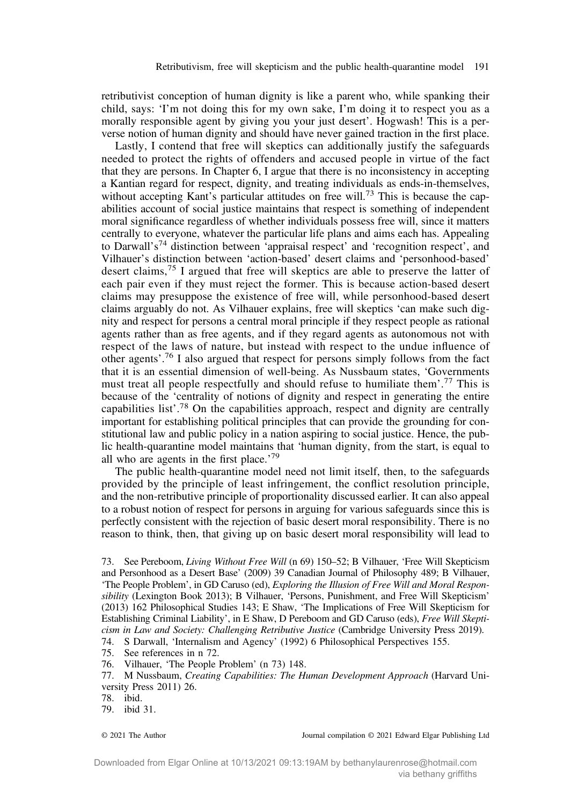retributivist conception of human dignity is like a parent who, while spanking their child, says: 'I'm not doing this for my own sake, I'm doing it to respect you as a morally responsible agent by giving you your just desert'. Hogwash! This is a perverse notion of human dignity and should have never gained traction in the first place.

Lastly, I contend that free will skeptics can additionally justify the safeguards needed to protect the rights of offenders and accused people in virtue of the fact that they are persons. In Chapter 6, I argue that there is no inconsistency in accepting a Kantian regard for respect, dignity, and treating individuals as ends-in-themselves, without accepting Kant's particular attitudes on free will.<sup>73</sup> This is because the capabilities account of social justice maintains that respect is something of independent moral significance regardless of whether individuals possess free will, since it matters centrally to everyone, whatever the particular life plans and aims each has. Appealing to Darwall's<sup>74</sup> distinction between 'appraisal respect' and 'recognition respect', and Vilhauer's distinction between 'action-based' desert claims and 'personhood-based' desert claims,<sup>75</sup> I argued that free will skeptics are able to preserve the latter of each pair even if they must reject the former. This is because action-based desert claims may presuppose the existence of free will, while personhood-based desert claims arguably do not. As Vilhauer explains, free will skeptics 'can make such dignity and respect for persons a central moral principle if they respect people as rational agents rather than as free agents, and if they regard agents as autonomous not with respect of the laws of nature, but instead with respect to the undue influence of other agents'. <sup>76</sup> I also argued that respect for persons simply follows from the fact that it is an essential dimension of well-being. As Nussbaum states, 'Governments must treat all people respectfully and should refuse to humiliate them'. <sup>77</sup> This is because of the 'centrality of notions of dignity and respect in generating the entire capabilities list'. <sup>78</sup> On the capabilities approach, respect and dignity are centrally important for establishing political principles that can provide the grounding for constitutional law and public policy in a nation aspiring to social justice. Hence, the public health-quarantine model maintains that 'human dignity, from the start, is equal to all who are agents in the first place.'<sup>79</sup>

The public health-quarantine model need not limit itself, then, to the safeguards provided by the principle of least infringement, the conflict resolution principle, and the non-retributive principle of proportionality discussed earlier. It can also appeal to a robust notion of respect for persons in arguing for various safeguards since this is perfectly consistent with the rejection of basic desert moral responsibility. There is no reason to think, then, that giving up on basic desert moral responsibility will lead to

74. S Darwall, 'Internalism and Agency' (1992) 6 Philosophical Perspectives 155.

- 75. See references in n 72.
- 76. Vilhauer, 'The People Problem' (n 73) 148.

<sup>73.</sup> See Pereboom, Living Without Free Will (n 69) 150–52; B Vilhauer, 'Free Will Skepticism and Personhood as a Desert Base' (2009) 39 Canadian Journal of Philosophy 489; B Vilhauer, 'The People Problem', in GD Caruso (ed), Exploring the Illusion of Free Will and Moral Responsibility (Lexington Book 2013); B Vilhauer, 'Persons, Punishment, and Free Will Skepticism' (2013) 162 Philosophical Studies 143; E Shaw, 'The Implications of Free Will Skepticism for Establishing Criminal Liability', in E Shaw, D Pereboom and GD Caruso (eds), Free Will Skepticism in Law and Society: Challenging Retributive Justice (Cambridge University Press 2019).

<sup>77.</sup> M Nussbaum, Creating Capabilities: The Human Development Approach (Harvard University Press 2011) 26.

<sup>78.</sup> ibid.

<sup>79.</sup> ibid 31.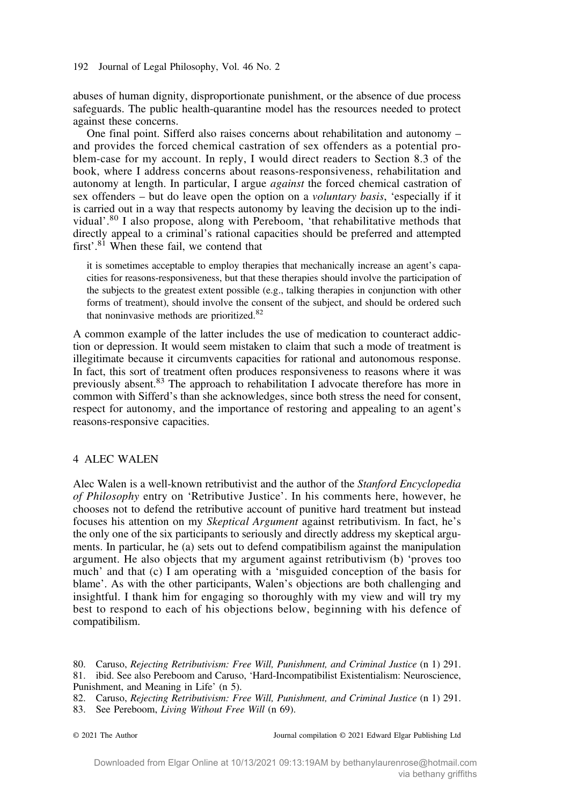abuses of human dignity, disproportionate punishment, or the absence of due process safeguards. The public health-quarantine model has the resources needed to protect against these concerns.

One final point. Sifferd also raises concerns about rehabilitation and autonomy – and provides the forced chemical castration of sex offenders as a potential problem-case for my account. In reply, I would direct readers to Section 8.3 of the book, where I address concerns about reasons-responsiveness, rehabilitation and autonomy at length. In particular, I argue against the forced chemical castration of sex offenders – but do leave open the option on a voluntary basis, 'especially if it is carried out in a way that respects autonomy by leaving the decision up to the individual'. <sup>80</sup> I also propose, along with Pereboom, 'that rehabilitative methods that directly appeal to a criminal's rational capacities should be preferred and attempted first'.<sup>81</sup> When these fail, we contend that

it is sometimes acceptable to employ therapies that mechanically increase an agent's capacities for reasons-responsiveness, but that these therapies should involve the participation of the subjects to the greatest extent possible (e.g., talking therapies in conjunction with other forms of treatment), should involve the consent of the subject, and should be ordered such that noninvasive methods are prioritized.<sup>82</sup>

A common example of the latter includes the use of medication to counteract addiction or depression. It would seem mistaken to claim that such a mode of treatment is illegitimate because it circumvents capacities for rational and autonomous response. In fact, this sort of treatment often produces responsiveness to reasons where it was previously absent.<sup>83</sup> The approach to rehabilitation I advocate therefore has more in common with Sifferd's than she acknowledges, since both stress the need for consent, respect for autonomy, and the importance of restoring and appealing to an agent's reasons-responsive capacities.

## 4 ALEC WALEN

Alec Walen is a well-known retributivist and the author of the Stanford Encyclopedia of Philosophy entry on 'Retributive Justice'. In his comments here, however, he chooses not to defend the retributive account of punitive hard treatment but instead focuses his attention on my Skeptical Argument against retributivism. In fact, he's the only one of the six participants to seriously and directly address my skeptical arguments. In particular, he (a) sets out to defend compatibilism against the manipulation argument. He also objects that my argument against retributivism (b) 'proves too much' and that (c) I am operating with a 'misguided conception of the basis for blame'. As with the other participants, Walen's objections are both challenging and insightful. I thank him for engaging so thoroughly with my view and will try my best to respond to each of his objections below, beginning with his defence of compatibilism.

83. See Pereboom, Living Without Free Will (n 69).

<sup>80.</sup> Caruso, Rejecting Retributivism: Free Will, Punishment, and Criminal Justice (n 1) 291. 81. ibid. See also Pereboom and Caruso, 'Hard-Incompatibilist Existentialism: Neuroscience, Punishment, and Meaning in Life' (n 5).

<sup>82.</sup> Caruso, Rejecting Retributivism: Free Will, Punishment, and Criminal Justice (n 1) 291.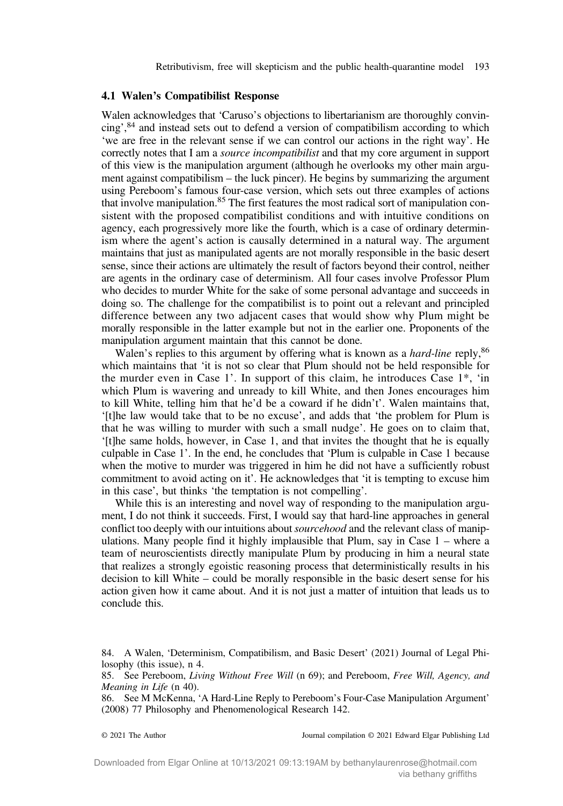## 4.1 Walen's Compatibilist Response

Walen acknowledges that 'Caruso's objections to libertarianism are thoroughly convincing', <sup>84</sup> and instead sets out to defend a version of compatibilism according to which 'we are free in the relevant sense if we can control our actions in the right way'. He correctly notes that I am a *source incompatibilist* and that my core argument in support of this view is the manipulation argument (although he overlooks my other main argument against compatibilism – the luck pincer). He begins by summarizing the argument using Pereboom's famous four-case version, which sets out three examples of actions that involve manipulation.<sup>85</sup> The first features the most radical sort of manipulation consistent with the proposed compatibilist conditions and with intuitive conditions on agency, each progressively more like the fourth, which is a case of ordinary determinism where the agent's action is causally determined in a natural way. The argument maintains that just as manipulated agents are not morally responsible in the basic desert sense, since their actions are ultimately the result of factors beyond their control, neither are agents in the ordinary case of determinism. All four cases involve Professor Plum who decides to murder White for the sake of some personal advantage and succeeds in doing so. The challenge for the compatibilist is to point out a relevant and principled difference between any two adjacent cases that would show why Plum might be morally responsible in the latter example but not in the earlier one. Proponents of the manipulation argument maintain that this cannot be done.

Walen's replies to this argument by offering what is known as a *hard-line* reply,<sup>86</sup> which maintains that 'it is not so clear that Plum should not be held responsible for the murder even in Case 1'. In support of this claim, he introduces Case 1\*, 'in which Plum is wavering and unready to kill White, and then Jones encourages him to kill White, telling him that he'd be a coward if he didn't'. Walen maintains that, '[t]he law would take that to be no excuse', and adds that 'the problem for Plum is that he was willing to murder with such a small nudge'. He goes on to claim that, '[t]he same holds, however, in Case 1, and that invites the thought that he is equally culpable in Case 1'. In the end, he concludes that 'Plum is culpable in Case 1 because when the motive to murder was triggered in him he did not have a sufficiently robust commitment to avoid acting on it'. He acknowledges that 'it is tempting to excuse him in this case', but thinks 'the temptation is not compelling'.

While this is an interesting and novel way of responding to the manipulation argument, I do not think it succeeds. First, I would say that hard-line approaches in general conflict too deeply with our intuitions about *sourcehood* and the relevant class of manipulations. Many people find it highly implausible that Plum, say in Case 1 – where a team of neuroscientists directly manipulate Plum by producing in him a neural state that realizes a strongly egoistic reasoning process that deterministically results in his decision to kill White – could be morally responsible in the basic desert sense for his action given how it came about. And it is not just a matter of intuition that leads us to conclude this.

<sup>84.</sup> A Walen, 'Determinism, Compatibilism, and Basic Desert' (2021) Journal of Legal Philosophy (this issue), n 4.

<sup>85.</sup> See Pereboom, Living Without Free Will (n 69); and Pereboom, Free Will, Agency, and Meaning in Life (n 40).

<sup>86.</sup> See M McKenna, 'A Hard-Line Reply to Pereboom's Four-Case Manipulation Argument' (2008) 77 Philosophy and Phenomenological Research 142.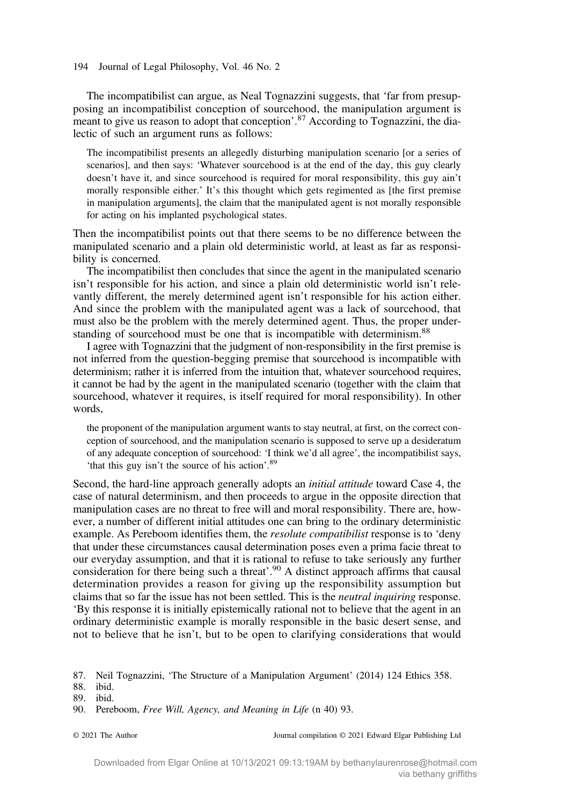The incompatibilist can argue, as Neal Tognazzini suggests, that 'far from presupposing an incompatibilist conception of sourcehood, the manipulation argument is meant to give us reason to adopt that conception'.<sup>87</sup> According to Tognazzini, the dialectic of such an argument runs as follows:

The incompatibilist presents an allegedly disturbing manipulation scenario [or a series of scenarios], and then says: 'Whatever sourcehood is at the end of the day, this guy clearly doesn't have it, and since sourcehood is required for moral responsibility, this guy ain't morally responsible either.' It's this thought which gets regimented as [the first premise in manipulation arguments], the claim that the manipulated agent is not morally responsible for acting on his implanted psychological states.

Then the incompatibilist points out that there seems to be no difference between the manipulated scenario and a plain old deterministic world, at least as far as responsibility is concerned.

The incompatibilist then concludes that since the agent in the manipulated scenario isn't responsible for his action, and since a plain old deterministic world isn't relevantly different, the merely determined agent isn't responsible for his action either. And since the problem with the manipulated agent was a lack of sourcehood, that must also be the problem with the merely determined agent. Thus, the proper understanding of sourcehood must be one that is incompatible with determinism.<sup>88</sup>

I agree with Tognazzini that the judgment of non-responsibility in the first premise is not inferred from the question-begging premise that sourcehood is incompatible with determinism; rather it is inferred from the intuition that, whatever sourcehood requires, it cannot be had by the agent in the manipulated scenario (together with the claim that sourcehood, whatever it requires, is itself required for moral responsibility). In other words,

the proponent of the manipulation argument wants to stay neutral, at first, on the correct conception of sourcehood, and the manipulation scenario is supposed to serve up a desideratum of any adequate conception of sourcehood: 'I think we'd all agree', the incompatibilist says, 'that this guy isn't the source of his action'.<sup>89</sup>

Second, the hard-line approach generally adopts an initial attitude toward Case 4, the case of natural determinism, and then proceeds to argue in the opposite direction that manipulation cases are no threat to free will and moral responsibility. There are, however, a number of different initial attitudes one can bring to the ordinary deterministic example. As Pereboom identifies them, the *resolute compatibilist* response is to 'deny that under these circumstances causal determination poses even a prima facie threat to our everyday assumption, and that it is rational to refuse to take seriously any further consideration for there being such a threat'.<sup>90</sup> A distinct approach affirms that causal determination provides a reason for giving up the responsibility assumption but claims that so far the issue has not been settled. This is the neutral inquiring response. 'By this response it is initially epistemically rational not to believe that the agent in an ordinary deterministic example is morally responsible in the basic desert sense, and not to believe that he isn't, but to be open to clarifying considerations that would

<sup>87.</sup> Neil Tognazzini, 'The Structure of a Manipulation Argument' (2014) 124 Ethics 358.

<sup>88.</sup> ibid.

<sup>89.</sup> ibid.

<sup>90.</sup> Pereboom, Free Will, Agency, and Meaning in Life (n 40) 93.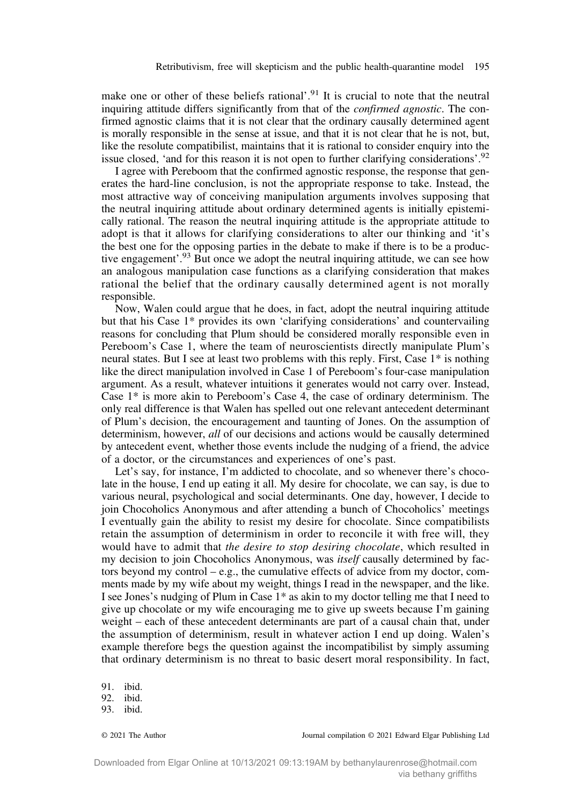make one or other of these beliefs rational'.<sup>91</sup> It is crucial to note that the neutral inquiring attitude differs significantly from that of the *confirmed agnostic*. The confirmed agnostic claims that it is not clear that the ordinary causally determined agent is morally responsible in the sense at issue, and that it is not clear that he is not, but, like the resolute compatibilist, maintains that it is rational to consider enquiry into the issue closed, 'and for this reason it is not open to further clarifying considerations'.<sup>92</sup>

I agree with Pereboom that the confirmed agnostic response, the response that generates the hard-line conclusion, is not the appropriate response to take. Instead, the most attractive way of conceiving manipulation arguments involves supposing that the neutral inquiring attitude about ordinary determined agents is initially epistemically rational. The reason the neutral inquiring attitude is the appropriate attitude to adopt is that it allows for clarifying considerations to alter our thinking and 'it's the best one for the opposing parties in the debate to make if there is to be a productive engagement'.<sup>93</sup> But once we adopt the neutral inquiring attitude, we can see how an analogous manipulation case functions as a clarifying consideration that makes rational the belief that the ordinary causally determined agent is not morally responsible.

Now, Walen could argue that he does, in fact, adopt the neutral inquiring attitude but that his Case 1\* provides its own 'clarifying considerations' and countervailing reasons for concluding that Plum should be considered morally responsible even in Pereboom's Case 1, where the team of neuroscientists directly manipulate Plum's neural states. But I see at least two problems with this reply. First, Case 1\* is nothing like the direct manipulation involved in Case 1 of Pereboom's four-case manipulation argument. As a result, whatever intuitions it generates would not carry over. Instead, Case 1\* is more akin to Pereboom's Case 4, the case of ordinary determinism. The only real difference is that Walen has spelled out one relevant antecedent determinant of Plum's decision, the encouragement and taunting of Jones. On the assumption of determinism, however, all of our decisions and actions would be causally determined by antecedent event, whether those events include the nudging of a friend, the advice of a doctor, or the circumstances and experiences of one's past.

Let's say, for instance, I'm addicted to chocolate, and so whenever there's chocolate in the house, I end up eating it all. My desire for chocolate, we can say, is due to various neural, psychological and social determinants. One day, however, I decide to join Chocoholics Anonymous and after attending a bunch of Chocoholics' meetings I eventually gain the ability to resist my desire for chocolate. Since compatibilists retain the assumption of determinism in order to reconcile it with free will, they would have to admit that the desire to stop desiring chocolate, which resulted in my decision to join Chocoholics Anonymous, was itself causally determined by factors beyond my control  $-e.g.,$  the cumulative effects of advice from my doctor, comments made by my wife about my weight, things I read in the newspaper, and the like. I see Jones's nudging of Plum in Case 1\* as akin to my doctor telling me that I need to give up chocolate or my wife encouraging me to give up sweets because I'm gaining weight – each of these antecedent determinants are part of a causal chain that, under the assumption of determinism, result in whatever action I end up doing. Walen's example therefore begs the question against the incompatibilist by simply assuming that ordinary determinism is no threat to basic desert moral responsibility. In fact,

<sup>91.</sup> ibid.

<sup>92.</sup> ibid.

<sup>93.</sup> ibid.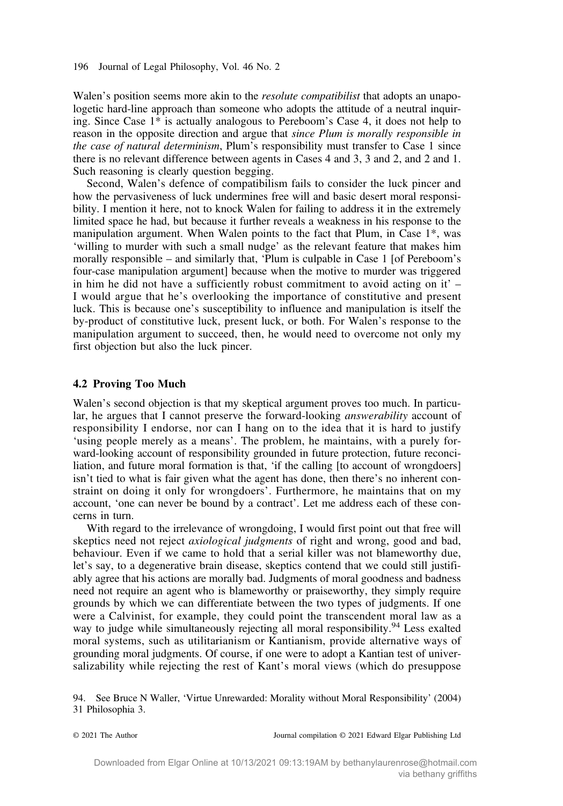Walen's position seems more akin to the *resolute compatibilist* that adopts an unapologetic hard-line approach than someone who adopts the attitude of a neutral inquiring. Since Case 1\* is actually analogous to Pereboom's Case 4, it does not help to reason in the opposite direction and argue that since Plum is morally responsible in the case of natural determinism, Plum's responsibility must transfer to Case 1 since there is no relevant difference between agents in Cases 4 and 3, 3 and 2, and 2 and 1. Such reasoning is clearly question begging.

Second, Walen's defence of compatibilism fails to consider the luck pincer and how the pervasiveness of luck undermines free will and basic desert moral responsibility. I mention it here, not to knock Walen for failing to address it in the extremely limited space he had, but because it further reveals a weakness in his response to the manipulation argument. When Walen points to the fact that Plum, in Case 1\*, was 'willing to murder with such a small nudge' as the relevant feature that makes him morally responsible – and similarly that, 'Plum is culpable in Case 1 [of Pereboom's four-case manipulation argument] because when the motive to murder was triggered in him he did not have a sufficiently robust commitment to avoid acting on it'  $-$ I would argue that he's overlooking the importance of constitutive and present luck. This is because one's susceptibility to influence and manipulation is itself the by-product of constitutive luck, present luck, or both. For Walen's response to the manipulation argument to succeed, then, he would need to overcome not only my first objection but also the luck pincer.

#### 4.2 Proving Too Much

Walen's second objection is that my skeptical argument proves too much. In particular, he argues that I cannot preserve the forward-looking answerability account of responsibility I endorse, nor can I hang on to the idea that it is hard to justify 'using people merely as a means'. The problem, he maintains, with a purely forward-looking account of responsibility grounded in future protection, future reconciliation, and future moral formation is that, 'if the calling [to account of wrongdoers] isn't tied to what is fair given what the agent has done, then there's no inherent constraint on doing it only for wrongdoers'. Furthermore, he maintains that on my account, 'one can never be bound by a contract'. Let me address each of these concerns in turn.

With regard to the irrelevance of wrongdoing, I would first point out that free will skeptics need not reject *axiological judgments* of right and wrong, good and bad, behaviour. Even if we came to hold that a serial killer was not blameworthy due, let's say, to a degenerative brain disease, skeptics contend that we could still justifiably agree that his actions are morally bad. Judgments of moral goodness and badness need not require an agent who is blameworthy or praiseworthy, they simply require grounds by which we can differentiate between the two types of judgments. If one were a Calvinist, for example, they could point the transcendent moral law as a way to judge while simultaneously rejecting all moral responsibility.<sup>94</sup> Less exalted moral systems, such as utilitarianism or Kantianism, provide alternative ways of grounding moral judgments. Of course, if one were to adopt a Kantian test of universalizability while rejecting the rest of Kant's moral views (which do presuppose

<sup>94.</sup> See Bruce N Waller, 'Virtue Unrewarded: Morality without Moral Responsibility' (2004) 31 Philosophia 3.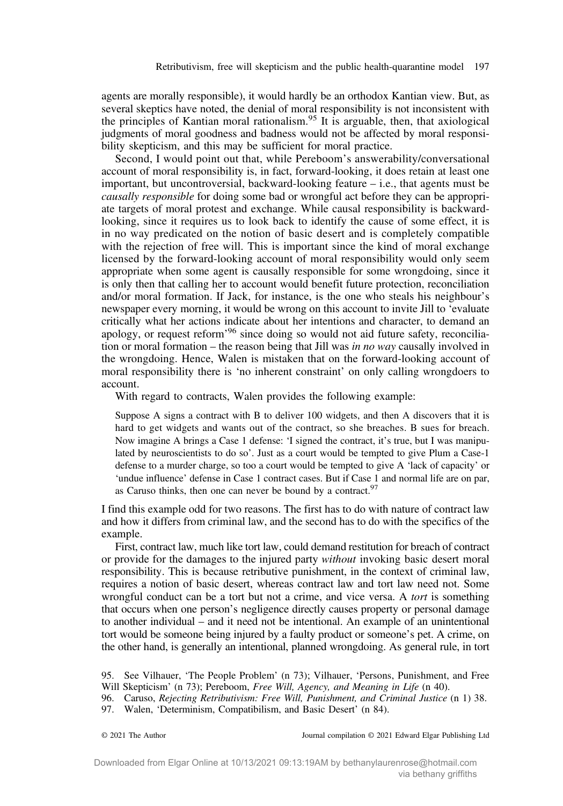agents are morally responsible), it would hardly be an orthodox Kantian view. But, as several skeptics have noted, the denial of moral responsibility is not inconsistent with the principles of Kantian moral rationalism.<sup>95</sup> It is arguable, then, that axiological judgments of moral goodness and badness would not be affected by moral responsibility skepticism, and this may be sufficient for moral practice.

Second, I would point out that, while Pereboom's answerability/conversational account of moral responsibility is, in fact, forward-looking, it does retain at least one important, but uncontroversial, backward-looking feature – i.e., that agents must be causally responsible for doing some bad or wrongful act before they can be appropriate targets of moral protest and exchange. While causal responsibility is backwardlooking, since it requires us to look back to identify the cause of some effect, it is in no way predicated on the notion of basic desert and is completely compatible with the rejection of free will. This is important since the kind of moral exchange licensed by the forward-looking account of moral responsibility would only seem appropriate when some agent is causally responsible for some wrongdoing, since it is only then that calling her to account would benefit future protection, reconciliation and/or moral formation. If Jack, for instance, is the one who steals his neighbour's newspaper every morning, it would be wrong on this account to invite Jill to 'evaluate critically what her actions indicate about her intentions and character, to demand an apology, or request reform<sup>, 96</sup> since doing so would not aid future safety, reconciliation or moral formation – the reason being that Jill was *in no way* causally involved in the wrongdoing. Hence, Walen is mistaken that on the forward-looking account of moral responsibility there is 'no inherent constraint' on only calling wrongdoers to account.

With regard to contracts, Walen provides the following example:

Suppose A signs a contract with B to deliver 100 widgets, and then A discovers that it is hard to get widgets and wants out of the contract, so she breaches. B sues for breach. Now imagine A brings a Case 1 defense: 'I signed the contract, it's true, but I was manipulated by neuroscientists to do so'. Just as a court would be tempted to give Plum a Case-1 defense to a murder charge, so too a court would be tempted to give A 'lack of capacity' or 'undue influence' defense in Case 1 contract cases. But if Case 1 and normal life are on par, as Caruso thinks, then one can never be bound by a contract. $97$ 

I find this example odd for two reasons. The first has to do with nature of contract law and how it differs from criminal law, and the second has to do with the specifics of the example.

First, contract law, much like tort law, could demand restitution for breach of contract or provide for the damages to the injured party without invoking basic desert moral responsibility. This is because retributive punishment, in the context of criminal law, requires a notion of basic desert, whereas contract law and tort law need not. Some wrongful conduct can be a tort but not a crime, and vice versa. A tort is something that occurs when one person's negligence directly causes property or personal damage to another individual – and it need not be intentional. An example of an unintentional tort would be someone being injured by a faulty product or someone's pet. A crime, on the other hand, is generally an intentional, planned wrongdoing. As general rule, in tort

95. See Vilhauer, 'The People Problem' (n 73); Vilhauer, 'Persons, Punishment, and Free Will Skepticism' (n 73); Pereboom, Free Will, Agency, and Meaning in Life (n 40).

96. Caruso, Rejecting Retributivism: Free Will, Punishment, and Criminal Justice (n 1) 38.

97. Walen, 'Determinism, Compatibilism, and Basic Desert' (n 84).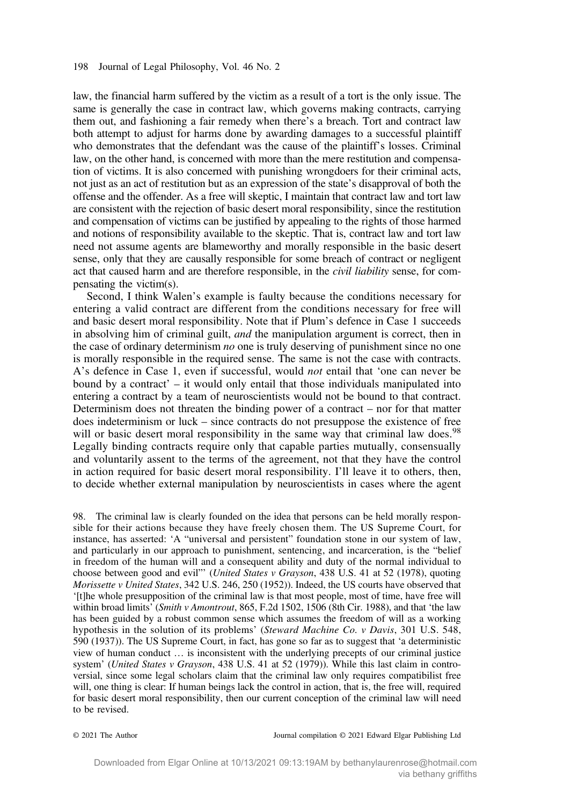law, the financial harm suffered by the victim as a result of a tort is the only issue. The same is generally the case in contract law, which governs making contracts, carrying them out, and fashioning a fair remedy when there's a breach. Tort and contract law both attempt to adjust for harms done by awarding damages to a successful plaintiff who demonstrates that the defendant was the cause of the plaintiff's losses. Criminal law, on the other hand, is concerned with more than the mere restitution and compensation of victims. It is also concerned with punishing wrongdoers for their criminal acts, not just as an act of restitution but as an expression of the state's disapproval of both the offense and the offender. As a free will skeptic, I maintain that contract law and tort law are consistent with the rejection of basic desert moral responsibility, since the restitution and compensation of victims can be justified by appealing to the rights of those harmed and notions of responsibility available to the skeptic. That is, contract law and tort law need not assume agents are blameworthy and morally responsible in the basic desert sense, only that they are causally responsible for some breach of contract or negligent act that caused harm and are therefore responsible, in the civil liability sense, for compensating the victim(s).

Second, I think Walen's example is faulty because the conditions necessary for entering a valid contract are different from the conditions necessary for free will and basic desert moral responsibility. Note that if Plum's defence in Case 1 succeeds in absolving him of criminal guilt, and the manipulation argument is correct, then in the case of ordinary determinism  $no$  one is truly deserving of punishment since no one is morally responsible in the required sense. The same is not the case with contracts. A's defence in Case 1, even if successful, would not entail that 'one can never be bound by a contract' – it would only entail that those individuals manipulated into entering a contract by a team of neuroscientists would not be bound to that contract. Determinism does not threaten the binding power of a contract – nor for that matter does indeterminism or luck – since contracts do not presuppose the existence of free will or basic desert moral responsibility in the same way that criminal law does.<sup>98</sup> Legally binding contracts require only that capable parties mutually, consensually and voluntarily assent to the terms of the agreement, not that they have the control in action required for basic desert moral responsibility. I'll leave it to others, then, to decide whether external manipulation by neuroscientists in cases where the agent

98. The criminal law is clearly founded on the idea that persons can be held morally responsible for their actions because they have freely chosen them. The US Supreme Court, for instance, has asserted: 'A "universal and persistent" foundation stone in our system of law, and particularly in our approach to punishment, sentencing, and incarceration, is the "belief in freedom of the human will and a consequent ability and duty of the normal individual to choose between good and evil"' (United States v Grayson, 438 U.S. 41 at 52 (1978), quoting Morissette v United States, 342 U.S. 246, 250 (1952)). Indeed, the US courts have observed that '[t]he whole presupposition of the criminal law is that most people, most of time, have free will within broad limits' (Smith v Amontrout, 865, F.2d 1502, 1506 (8th Cir. 1988), and that 'the law has been guided by a robust common sense which assumes the freedom of will as a working hypothesis in the solution of its problems' (Steward Machine Co. v Davis, 301 U.S. 548, 590 (1937)). The US Supreme Court, in fact, has gone so far as to suggest that 'a deterministic view of human conduct … is inconsistent with the underlying precepts of our criminal justice system' (United States v Grayson, 438 U.S. 41 at 52 (1979)). While this last claim in controversial, since some legal scholars claim that the criminal law only requires compatibilist free will, one thing is clear: If human beings lack the control in action, that is, the free will, required for basic desert moral responsibility, then our current conception of the criminal law will need to be revised.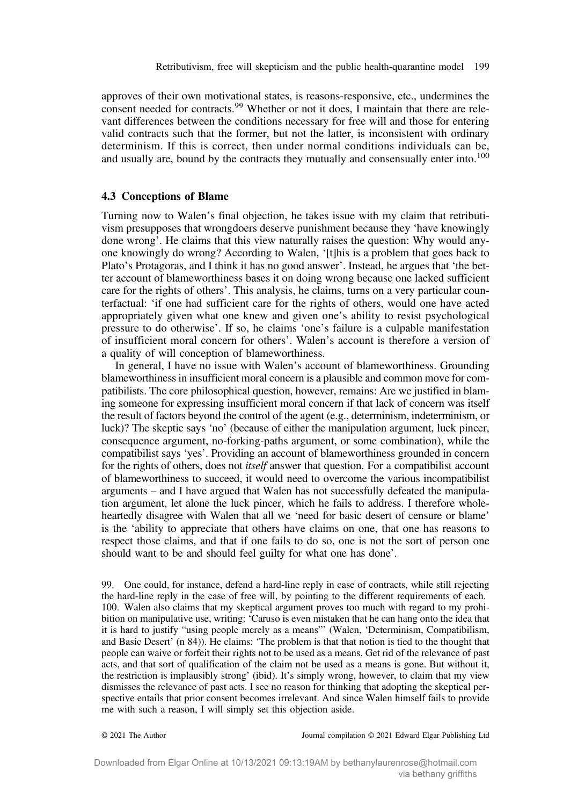approves of their own motivational states, is reasons-responsive, etc., undermines the consent needed for contracts.<sup>99</sup> Whether or not it does,  $\overline{I}$  maintain that there are relevant differences between the conditions necessary for free will and those for entering valid contracts such that the former, but not the latter, is inconsistent with ordinary determinism. If this is correct, then under normal conditions individuals can be, and usually are, bound by the contracts they mutually and consensually enter into.<sup>100</sup>

## 4.3 Conceptions of Blame

Turning now to Walen's final objection, he takes issue with my claim that retributivism presupposes that wrongdoers deserve punishment because they 'have knowingly done wrong'. He claims that this view naturally raises the question: Why would anyone knowingly do wrong? According to Walen, '[t]his is a problem that goes back to Plato's Protagoras, and I think it has no good answer'. Instead, he argues that 'the better account of blameworthiness bases it on doing wrong because one lacked sufficient care for the rights of others'. This analysis, he claims, turns on a very particular counterfactual: 'if one had sufficient care for the rights of others, would one have acted appropriately given what one knew and given one's ability to resist psychological pressure to do otherwise'. If so, he claims 'one's failure is a culpable manifestation of insufficient moral concern for others'. Walen's account is therefore a version of a quality of will conception of blameworthiness.

In general, I have no issue with Walen's account of blameworthiness. Grounding blameworthiness in insufficient moral concern is a plausible and common move for compatibilists. The core philosophical question, however, remains: Are we justified in blaming someone for expressing insufficient moral concern if that lack of concern was itself the result of factors beyond the control of the agent (e.g., determinism, indeterminism, or luck)? The skeptic says 'no' (because of either the manipulation argument, luck pincer, consequence argument, no-forking-paths argument, or some combination), while the compatibilist says 'yes'. Providing an account of blameworthiness grounded in concern for the rights of others, does not *itself* answer that question. For a compatibilist account of blameworthiness to succeed, it would need to overcome the various incompatibilist arguments – and I have argued that Walen has not successfully defeated the manipulation argument, let alone the luck pincer, which he fails to address. I therefore wholeheartedly disagree with Walen that all we 'need for basic desert of censure or blame' is the 'ability to appreciate that others have claims on one, that one has reasons to respect those claims, and that if one fails to do so, one is not the sort of person one should want to be and should feel guilty for what one has done'.

99. One could, for instance, defend a hard-line reply in case of contracts, while still rejecting the hard-line reply in the case of free will, by pointing to the different requirements of each. 100. Walen also claims that my skeptical argument proves too much with regard to my prohibition on manipulative use, writing: 'Caruso is even mistaken that he can hang onto the idea that it is hard to justify "using people merely as a means"' (Walen, 'Determinism, Compatibilism, and Basic Desert' (n 84)). He claims: 'The problem is that that notion is tied to the thought that people can waive or forfeit their rights not to be used as a means. Get rid of the relevance of past acts, and that sort of qualification of the claim not be used as a means is gone. But without it, the restriction is implausibly strong' (ibid). It's simply wrong, however, to claim that my view dismisses the relevance of past acts. I see no reason for thinking that adopting the skeptical perspective entails that prior consent becomes irrelevant. And since Walen himself fails to provide me with such a reason, I will simply set this objection aside.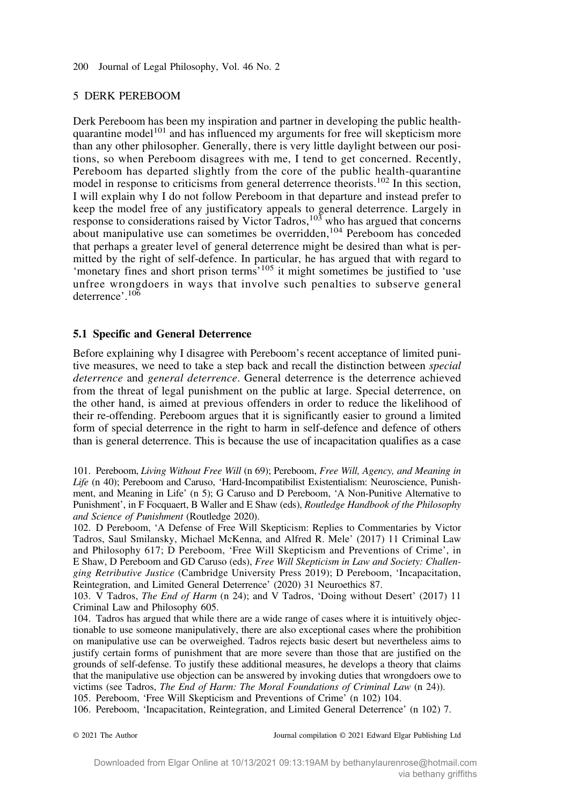# 5 DERK PEREBOOM

Derk Pereboom has been my inspiration and partner in developing the public healthquarantine model<sup>101</sup> and has influenced my arguments for free will skepticism more than any other philosopher. Generally, there is very little daylight between our positions, so when Pereboom disagrees with me, I tend to get concerned. Recently, Pereboom has departed slightly from the core of the public health-quarantine model in response to criticisms from general deterrence theorists.<sup>102</sup> In this section, I will explain why I do not follow Pereboom in that departure and instead prefer to keep the model free of any justificatory appeals to general deterrence. Largely in response to considerations raised by Victor Tadros,  $103$  who has argued that concerns about manipulative use can sometimes be overridden,<sup>104</sup> Pereboom has conceded that perhaps a greater level of general deterrence might be desired than what is permitted by the right of self-defence. In particular, he has argued that with regard to 'monetary fines and short prison terms<sup>'105</sup> it might sometimes be justified to 'use unfree wrongdoers in ways that involve such penalties to subserve general deterrence'.<sup>106</sup>

# 5.1 Specific and General Deterrence

Before explaining why I disagree with Pereboom's recent acceptance of limited punitive measures, we need to take a step back and recall the distinction between *special* deterrence and general deterrence. General deterrence is the deterrence achieved from the threat of legal punishment on the public at large. Special deterrence, on the other hand, is aimed at previous offenders in order to reduce the likelihood of their re-offending. Pereboom argues that it is significantly easier to ground a limited form of special deterrence in the right to harm in self-defence and defence of others than is general deterrence. This is because the use of incapacitation qualifies as a case

101. Pereboom, Living Without Free Will (n 69); Pereboom, Free Will, Agency, and Meaning in Life (n 40); Pereboom and Caruso, 'Hard-Incompatibilist Existentialism: Neuroscience, Punishment, and Meaning in Life' (n 5); G Caruso and D Pereboom, 'A Non-Punitive Alternative to Punishment', in F Focquaert, B Waller and E Shaw (eds), Routledge Handbook of the Philosophy and Science of Punishment (Routledge 2020).

102. D Pereboom, 'A Defense of Free Will Skepticism: Replies to Commentaries by Victor Tadros, Saul Smilansky, Michael McKenna, and Alfred R. Mele' (2017) 11 Criminal Law and Philosophy 617; D Pereboom, 'Free Will Skepticism and Preventions of Crime', in E Shaw, D Pereboom and GD Caruso (eds), Free Will Skepticism in Law and Society: Challenging Retributive Justice (Cambridge University Press 2019); D Pereboom, 'Incapacitation, Reintegration, and Limited General Deterrence' (2020) 31 Neuroethics 87.

103. V Tadros, The End of Harm (n 24); and V Tadros, 'Doing without Desert' (2017) 11 Criminal Law and Philosophy 605.

104. Tadros has argued that while there are a wide range of cases where it is intuitively objectionable to use someone manipulatively, there are also exceptional cases where the prohibition on manipulative use can be overweighed. Tadros rejects basic desert but nevertheless aims to justify certain forms of punishment that are more severe than those that are justified on the grounds of self-defense. To justify these additional measures, he develops a theory that claims that the manipulative use objection can be answered by invoking duties that wrongdoers owe to victims (see Tadros, The End of Harm: The Moral Foundations of Criminal Law (n 24)). 105. Pereboom, 'Free Will Skepticism and Preventions of Crime' (n 102) 104.

106. Pereboom, 'Incapacitation, Reintegration, and Limited General Deterrence' (n 102) 7.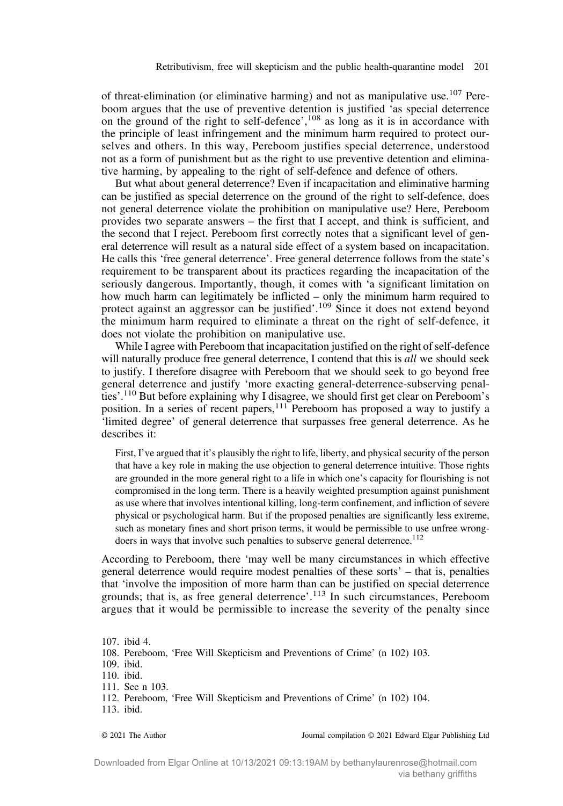of threat-elimination (or eliminative harming) and not as manipulative use.<sup>107</sup> Pereboom argues that the use of preventive detention is justified 'as special deterrence on the ground of the right to self-defence', <sup>108</sup> as long as it is in accordance with the principle of least infringement and the minimum harm required to protect ourselves and others. In this way, Pereboom justifies special deterrence, understood not as a form of punishment but as the right to use preventive detention and eliminative harming, by appealing to the right of self-defence and defence of others.

But what about general deterrence? Even if incapacitation and eliminative harming can be justified as special deterrence on the ground of the right to self-defence, does not general deterrence violate the prohibition on manipulative use? Here, Pereboom provides two separate answers – the first that I accept, and think is sufficient, and the second that I reject. Pereboom first correctly notes that a significant level of general deterrence will result as a natural side effect of a system based on incapacitation. He calls this 'free general deterrence'. Free general deterrence follows from the state's requirement to be transparent about its practices regarding the incapacitation of the seriously dangerous. Importantly, though, it comes with 'a significant limitation on how much harm can legitimately be inflicted – only the minimum harm required to protect against an aggressor can be justified'.<sup>109</sup> Since it does not extend beyond the minimum harm required to eliminate a threat on the right of self-defence, it does not violate the prohibition on manipulative use.

While I agree with Pereboom that incapacitation justified on the right of self-defence will naturally produce free general deterrence, I contend that this is *all* we should seek to justify. I therefore disagree with Pereboom that we should seek to go beyond free general deterrence and justify 'more exacting general-deterrence-subserving penalties'. <sup>110</sup> But before explaining why I disagree, we should first get clear on Pereboom's position. In a series of recent papers,<sup>111</sup> Pereboom has proposed a way to justify a 'limited degree' of general deterrence that surpasses free general deterrence. As he describes it:

First, I've argued that it's plausibly the right to life, liberty, and physical security of the person that have a key role in making the use objection to general deterrence intuitive. Those rights are grounded in the more general right to a life in which one's capacity for flourishing is not compromised in the long term. There is a heavily weighted presumption against punishment as use where that involves intentional killing, long-term confinement, and infliction of severe physical or psychological harm. But if the proposed penalties are significantly less extreme, such as monetary fines and short prison terms, it would be permissible to use unfree wrongdoers in ways that involve such penalties to subserve general deterrence.<sup>112</sup>

According to Pereboom, there 'may well be many circumstances in which effective general deterrence would require modest penalties of these sorts' – that is, penalties that 'involve the imposition of more harm than can be justified on special deterrence grounds; that is, as free general deterrence'. <sup>113</sup> In such circumstances, Pereboom argues that it would be permissible to increase the severity of the penalty since

107. ibid 4. 108. Pereboom, 'Free Will Skepticism and Preventions of Crime' (n 102) 103. 109. ibid. 110. ibid. 111. See n 103. 112. Pereboom, 'Free Will Skepticism and Preventions of Crime' (n 102) 104. 113. ibid.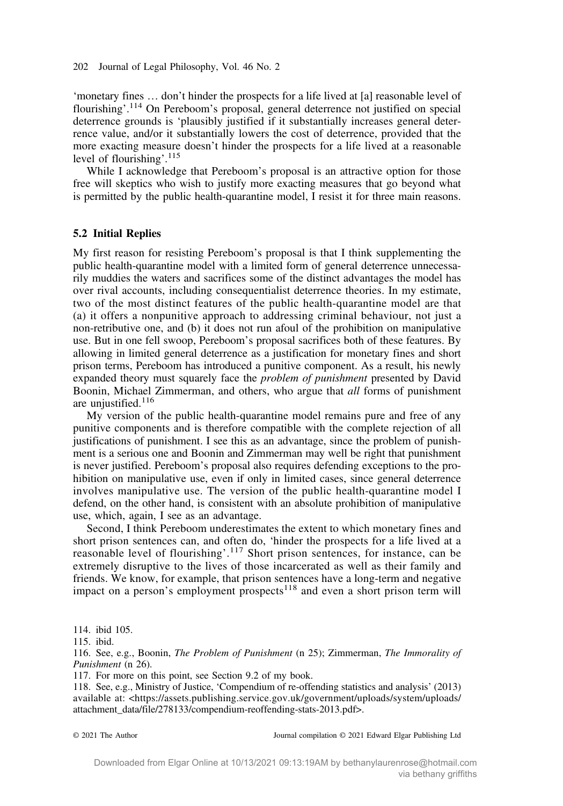'monetary fines … don't hinder the prospects for a life lived at [a] reasonable level of flourishing'. <sup>114</sup> On Pereboom's proposal, general deterrence not justified on special deterrence grounds is 'plausibly justified if it substantially increases general deterrence value, and/or it substantially lowers the cost of deterrence, provided that the more exacting measure doesn't hinder the prospects for a life lived at a reasonable level of flourishing'. 115

While I acknowledge that Pereboom's proposal is an attractive option for those free will skeptics who wish to justify more exacting measures that go beyond what is permitted by the public health-quarantine model, I resist it for three main reasons.

## 5.2 Initial Replies

My first reason for resisting Pereboom's proposal is that I think supplementing the public health-quarantine model with a limited form of general deterrence unnecessarily muddies the waters and sacrifices some of the distinct advantages the model has over rival accounts, including consequentialist deterrence theories. In my estimate, two of the most distinct features of the public health-quarantine model are that (a) it offers a nonpunitive approach to addressing criminal behaviour, not just a non-retributive one, and (b) it does not run afoul of the prohibition on manipulative use. But in one fell swoop, Pereboom's proposal sacrifices both of these features. By allowing in limited general deterrence as a justification for monetary fines and short prison terms, Pereboom has introduced a punitive component. As a result, his newly expanded theory must squarely face the problem of punishment presented by David Boonin, Michael Zimmerman, and others, who argue that all forms of punishment are uniustified. $116$ 

My version of the public health-quarantine model remains pure and free of any punitive components and is therefore compatible with the complete rejection of all justifications of punishment. I see this as an advantage, since the problem of punishment is a serious one and Boonin and Zimmerman may well be right that punishment is never justified. Pereboom's proposal also requires defending exceptions to the prohibition on manipulative use, even if only in limited cases, since general deterrence involves manipulative use. The version of the public health-quarantine model I defend, on the other hand, is consistent with an absolute prohibition of manipulative use, which, again, I see as an advantage.

Second, I think Pereboom underestimates the extent to which monetary fines and short prison sentences can, and often do, 'hinder the prospects for a life lived at a reasonable level of flourishing'.<sup>117</sup> Short prison sentences, for instance, can be extremely disruptive to the lives of those incarcerated as well as their family and friends. We know, for example, that prison sentences have a long-term and negative impact on a person's employment prospects<sup>118</sup> and even a short prison term will

116. See, e.g., Boonin, The Problem of Punishment (n 25); Zimmerman, The Immorality of Punishment (n 26).

117. For more on this point, see Section 9.2 of my book.

118. See, e.g., Ministry of Justice, 'Compendium of re-offending statistics and analysis' (2013) available at: [<https://assets.publishing.service.gov.uk/government/uploads/system/uploads/](https://assets.publishing.service.gov.uk/government/uploads/system/uploads/attachment_data/file/278133/compendium-reoffending-stats-2013.pdf) [attachment\\_data/file/278133/compendium-reoffending-stats-2013.pdf](https://assets.publishing.service.gov.uk/government/uploads/system/uploads/attachment_data/file/278133/compendium-reoffending-stats-2013.pdf)>.

<sup>114.</sup> ibid 105.

<sup>115.</sup> ibid.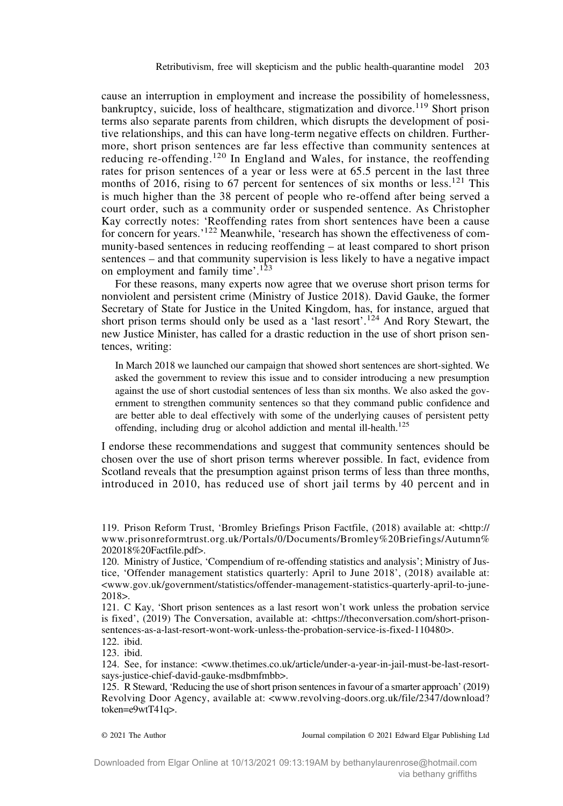cause an interruption in employment and increase the possibility of homelessness, bankruptcy, suicide, loss of healthcare, stigmatization and divorce.<sup>119</sup> Short prison terms also separate parents from children, which disrupts the development of positive relationships, and this can have long-term negative effects on children. Furthermore, short prison sentences are far less effective than community sentences at reducing re-offending.<sup>120</sup> In England and Wales, for instance, the reoffending rates for prison sentences of a year or less were at 65.5 percent in the last three months of 2016, rising to 67 percent for sentences of six months or less.<sup>121</sup> This is much higher than the 38 percent of people who re-offend after being served a court order, such as a community order or suspended sentence. As Christopher Kay correctly notes: 'Reoffending rates from short sentences have been a cause for concern for years.'<sup>122</sup> Meanwhile, 'research has shown the effectiveness of community-based sentences in reducing reoffending – at least compared to short prison sentences – and that community supervision is less likely to have a negative impact on employment and family time'.<sup>123</sup>

For these reasons, many experts now agree that we overuse short prison terms for nonviolent and persistent crime (Ministry of Justice 2018). David Gauke, the former Secretary of State for Justice in the United Kingdom, has, for instance, argued that short prison terms should only be used as a 'last resort'.<sup>124</sup> And Rory Stewart, the new Justice Minister, has called for a drastic reduction in the use of short prison sentences, writing:

In March 2018 we launched our campaign that showed short sentences are short-sighted. We asked the government to review this issue and to consider introducing a new presumption against the use of short custodial sentences of less than six months. We also asked the government to strengthen community sentences so that they command public confidence and are better able to deal effectively with some of the underlying causes of persistent petty offending, including drug or alcohol addiction and mental ill-health.<sup>125</sup>

I endorse these recommendations and suggest that community sentences should be chosen over the use of short prison terms wherever possible. In fact, evidence from Scotland reveals that the presumption against prison terms of less than three months, introduced in 2010, has reduced use of short jail terms by 40 percent and in

122. ibid.

123. ibid.

124. See, for instance: [<www.thetimes.co.uk/article/under-a-year-in-jail-must-be-last-resort](http://www.thetimes.co.uk/article/under-a-year-in-jail-must-be-last-resort-says-justice-chief-david-gauke-msdbmfmbb)[says-justice-chief-david-gauke-msdbmfmbb>](http://www.thetimes.co.uk/article/under-a-year-in-jail-must-be-last-resort-says-justice-chief-david-gauke-msdbmfmbb).

125. R Steward, 'Reducing the use of short prison sentences in favour of a smarter approach' (2019) Revolving Door Agency, available at: <[www.revolving-doors.org.uk/file/2347/download?](http://www.revolving-doors.org.uk/file/2347/download?token=e9wtT41q) [token=e9wtT41q](http://www.revolving-doors.org.uk/file/2347/download?token=e9wtT41q)>.

<sup>119.</sup> Prison Reform Trust, 'Bromley Briefings Prison Factfile, (2018) available at: [<http://](http://www.prisonreformtrust.org.uk/Portals/0/Documents/Bromley%20Briefings/Autumn%202018%20Factfile.pdf) [www.prisonreformtrust.org.uk/Portals/0/Documents/Bromley%20Briefings/Autumn%](http://www.prisonreformtrust.org.uk/Portals/0/Documents/Bromley%20Briefings/Autumn%202018%20Factfile.pdf) [202018%20Factfile.pdf](http://www.prisonreformtrust.org.uk/Portals/0/Documents/Bromley%20Briefings/Autumn%202018%20Factfile.pdf)>.

<sup>120.</sup> Ministry of Justice, 'Compendium of re-offending statistics and analysis'; Ministry of Justice, 'Offender management statistics quarterly: April to June 2018', (2018) available at: [<www.gov.uk/government/statistics/offender-management-statistics-quarterly-april-to-june-](http://www.gov.uk/government/statistics/offender-management-statistics-quarterly-april-to-june-2018)[2018>](http://www.gov.uk/government/statistics/offender-management-statistics-quarterly-april-to-june-2018).

<sup>121.</sup> C Kay, 'Short prison sentences as a last resort won't work unless the probation service is fixed', (2019) The Conversation, available at: [<https://theconversation.com/short-prison](https://theconversation.com/short-prison-sentences-as-a-last-resort-wont-work-unless-the-probation-service-is-fixed-110480)[sentences-as-a-last-resort-wont-work-unless-the-probation-service-is-fixed-110480>](https://theconversation.com/short-prison-sentences-as-a-last-resort-wont-work-unless-the-probation-service-is-fixed-110480).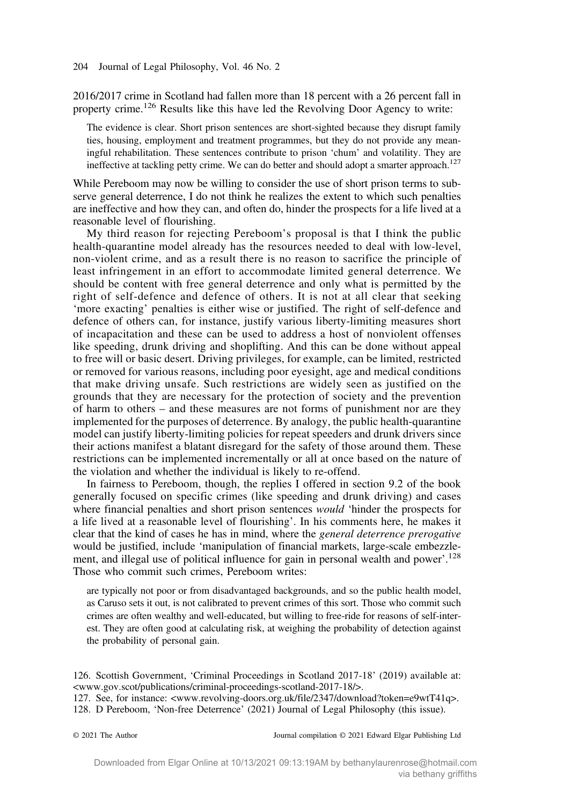2016/2017 crime in Scotland had fallen more than 18 percent with a 26 percent fall in property crime.<sup>126</sup> Results like this have led the Revolving Door Agency to write:

The evidence is clear. Short prison sentences are short-sighted because they disrupt family ties, housing, employment and treatment programmes, but they do not provide any meaningful rehabilitation. These sentences contribute to prison 'chum' and volatility. They are ineffective at tackling petty crime. We can do better and should adopt a smarter approach.<sup>127</sup>

While Pereboom may now be willing to consider the use of short prison terms to subserve general deterrence, I do not think he realizes the extent to which such penalties are ineffective and how they can, and often do, hinder the prospects for a life lived at a reasonable level of flourishing.

My third reason for rejecting Pereboom's proposal is that I think the public health-quarantine model already has the resources needed to deal with low-level, non-violent crime, and as a result there is no reason to sacrifice the principle of least infringement in an effort to accommodate limited general deterrence. We should be content with free general deterrence and only what is permitted by the right of self-defence and defence of others. It is not at all clear that seeking 'more exacting' penalties is either wise or justified. The right of self-defence and defence of others can, for instance, justify various liberty-limiting measures short of incapacitation and these can be used to address a host of nonviolent offenses like speeding, drunk driving and shoplifting. And this can be done without appeal to free will or basic desert. Driving privileges, for example, can be limited, restricted or removed for various reasons, including poor eyesight, age and medical conditions that make driving unsafe. Such restrictions are widely seen as justified on the grounds that they are necessary for the protection of society and the prevention of harm to others – and these measures are not forms of punishment nor are they implemented for the purposes of deterrence. By analogy, the public health-quarantine model can justify liberty-limiting policies for repeat speeders and drunk drivers since their actions manifest a blatant disregard for the safety of those around them. These restrictions can be implemented incrementally or all at once based on the nature of the violation and whether the individual is likely to re-offend.

In fairness to Pereboom, though, the replies I offered in section 9.2 of the book generally focused on specific crimes (like speeding and drunk driving) and cases where financial penalties and short prison sentences *would* 'hinder the prospects for a life lived at a reasonable level of flourishing'. In his comments here, he makes it clear that the kind of cases he has in mind, where the general deterrence prerogative would be justified, include 'manipulation of financial markets, large-scale embezzlement, and illegal use of political influence for gain in personal wealth and power'.<sup>128</sup> Those who commit such crimes, Pereboom writes:

are typically not poor or from disadvantaged backgrounds, and so the public health model, as Caruso sets it out, is not calibrated to prevent crimes of this sort. Those who commit such crimes are often wealthy and well-educated, but willing to free-ride for reasons of self-interest. They are often good at calculating risk, at weighing the probability of detection against the probability of personal gain.

126. Scottish Government, 'Criminal Proceedings in Scotland 2017-18' (2019) available at: [<www.gov.scot/publications/criminal-proceedings-scotland-2017-18/>](http://www.gov.scot/publications/criminal-proceedings-scotland-2017-18/). 127. See, for instance: <[www.revolving-doors.org.uk/file/2347/download?token=e9wtT41q](http://www.revolving-doors.org.uk/file/2347/download?token=e9wtT41q)>.

128. D Pereboom, 'Non-free Deterrence' (2021) Journal of Legal Philosophy (this issue).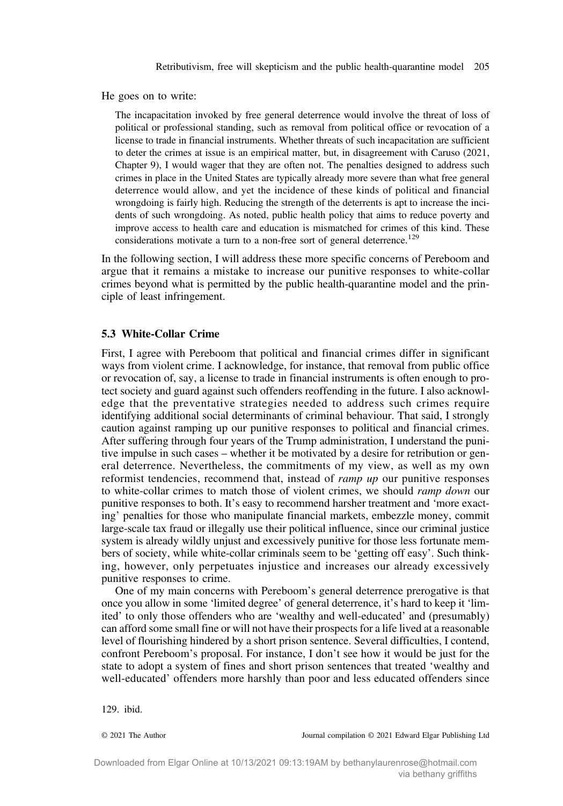He goes on to write:

The incapacitation invoked by free general deterrence would involve the threat of loss of political or professional standing, such as removal from political office or revocation of a license to trade in financial instruments. Whether threats of such incapacitation are sufficient to deter the crimes at issue is an empirical matter, but, in disagreement with Caruso (2021, Chapter 9), I would wager that they are often not. The penalties designed to address such crimes in place in the United States are typically already more severe than what free general deterrence would allow, and yet the incidence of these kinds of political and financial wrongdoing is fairly high. Reducing the strength of the deterrents is apt to increase the incidents of such wrongdoing. As noted, public health policy that aims to reduce poverty and improve access to health care and education is mismatched for crimes of this kind. These considerations motivate a turn to a non-free sort of general deterrence.<sup>129</sup>

In the following section, I will address these more specific concerns of Pereboom and argue that it remains a mistake to increase our punitive responses to white-collar crimes beyond what is permitted by the public health-quarantine model and the principle of least infringement.

## 5.3 White-Collar Crime

First, I agree with Pereboom that political and financial crimes differ in significant ways from violent crime. I acknowledge, for instance, that removal from public office or revocation of, say, a license to trade in financial instruments is often enough to protect society and guard against such offenders reoffending in the future. I also acknowledge that the preventative strategies needed to address such crimes require identifying additional social determinants of criminal behaviour. That said, I strongly caution against ramping up our punitive responses to political and financial crimes. After suffering through four years of the Trump administration, I understand the punitive impulse in such cases – whether it be motivated by a desire for retribution or general deterrence. Nevertheless, the commitments of my view, as well as my own reformist tendencies, recommend that, instead of *ramp up* our punitive responses to white-collar crimes to match those of violent crimes, we should ramp down our punitive responses to both. It's easy to recommend harsher treatment and 'more exacting' penalties for those who manipulate financial markets, embezzle money, commit large-scale tax fraud or illegally use their political influence, since our criminal justice system is already wildly unjust and excessively punitive for those less fortunate members of society, while white-collar criminals seem to be 'getting off easy'. Such thinking, however, only perpetuates injustice and increases our already excessively punitive responses to crime.

One of my main concerns with Pereboom's general deterrence prerogative is that once you allow in some 'limited degree' of general deterrence, it's hard to keep it 'limited' to only those offenders who are 'wealthy and well-educated' and (presumably) can afford some small fine or will not have their prospects for a life lived at a reasonable level of flourishing hindered by a short prison sentence. Several difficulties, I contend, confront Pereboom's proposal. For instance, I don't see how it would be just for the state to adopt a system of fines and short prison sentences that treated 'wealthy and well-educated' offenders more harshly than poor and less educated offenders since

129. ibid.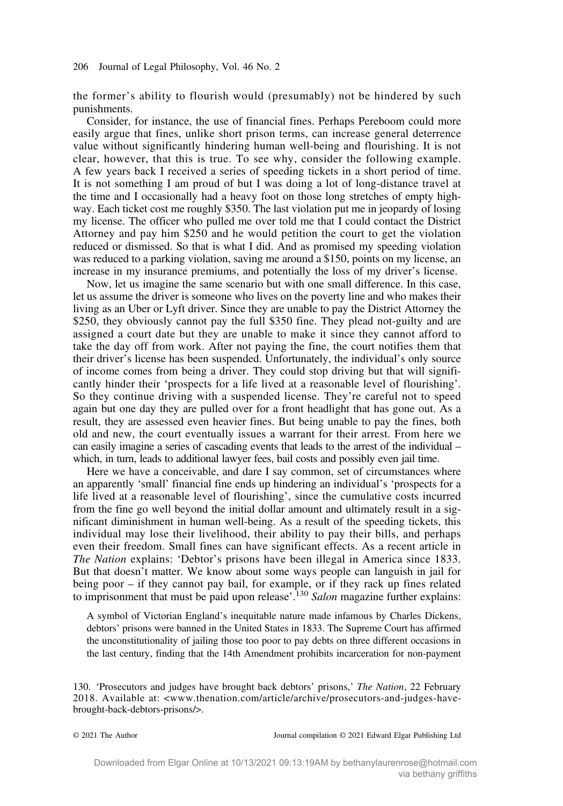the former's ability to flourish would (presumably) not be hindered by such punishments.

Consider, for instance, the use of financial fines. Perhaps Pereboom could more easily argue that fines, unlike short prison terms, can increase general deterrence value without significantly hindering human well-being and flourishing. It is not clear, however, that this is true. To see why, consider the following example. A few years back I received a series of speeding tickets in a short period of time. It is not something I am proud of but I was doing a lot of long-distance travel at the time and I occasionally had a heavy foot on those long stretches of empty highway. Each ticket cost me roughly \$350. The last violation put me in jeopardy of losing my license. The officer who pulled me over told me that I could contact the District Attorney and pay him \$250 and he would petition the court to get the violation reduced or dismissed. So that is what I did. And as promised my speeding violation was reduced to a parking violation, saving me around a \$150, points on my license, an increase in my insurance premiums, and potentially the loss of my driver's license.

Now, let us imagine the same scenario but with one small difference. In this case, let us assume the driver is someone who lives on the poverty line and who makes their living as an Uber or Lyft driver. Since they are unable to pay the District Attorney the \$250, they obviously cannot pay the full \$350 fine. They plead not-guilty and are assigned a court date but they are unable to make it since they cannot afford to take the day off from work. After not paying the fine, the court notifies them that their driver's license has been suspended. Unfortunately, the individual's only source of income comes from being a driver. They could stop driving but that will significantly hinder their 'prospects for a life lived at a reasonable level of flourishing'. So they continue driving with a suspended license. They're careful not to speed again but one day they are pulled over for a front headlight that has gone out. As a result, they are assessed even heavier fines. But being unable to pay the fines, both old and new, the court eventually issues a warrant for their arrest. From here we can easily imagine a series of cascading events that leads to the arrest of the individual – which, in turn, leads to additional lawyer fees, bail costs and possibly even jail time.

Here we have a conceivable, and dare I say common, set of circumstances where an apparently 'small' financial fine ends up hindering an individual's 'prospects for a life lived at a reasonable level of flourishing', since the cumulative costs incurred from the fine go well beyond the initial dollar amount and ultimately result in a significant diminishment in human well-being. As a result of the speeding tickets, this individual may lose their livelihood, their ability to pay their bills, and perhaps even their freedom. Small fines can have significant effects. As a recent article in The Nation explains: 'Debtor's prisons have been illegal in America since 1833. But that doesn't matter. We know about some ways people can languish in jail for being poor – if they cannot pay bail, for example, or if they rack up fines related to imprisonment that must be paid upon release'.<sup>130</sup> Salon magazine further explains:

A symbol of Victorian England's inequitable nature made infamous by Charles Dickens, debtors' prisons were banned in the United States in 1833. The Supreme Court has affirmed the unconstitutionality of jailing those too poor to pay debts on three different occasions in the last century, finding that the 14th Amendment prohibits incarceration for non-payment

<sup>130.</sup> 'Prosecutors and judges have brought back debtors' prisons,' The Nation, 22 February 2018. Available at: <[www.thenation.com/article/archive/prosecutors-and-judges-have](http://www.thenation.com/article/archive/prosecutors-and-judges-have-brought-back-debtors-prisons/)[brought-back-debtors-prisons/>](http://www.thenation.com/article/archive/prosecutors-and-judges-have-brought-back-debtors-prisons/).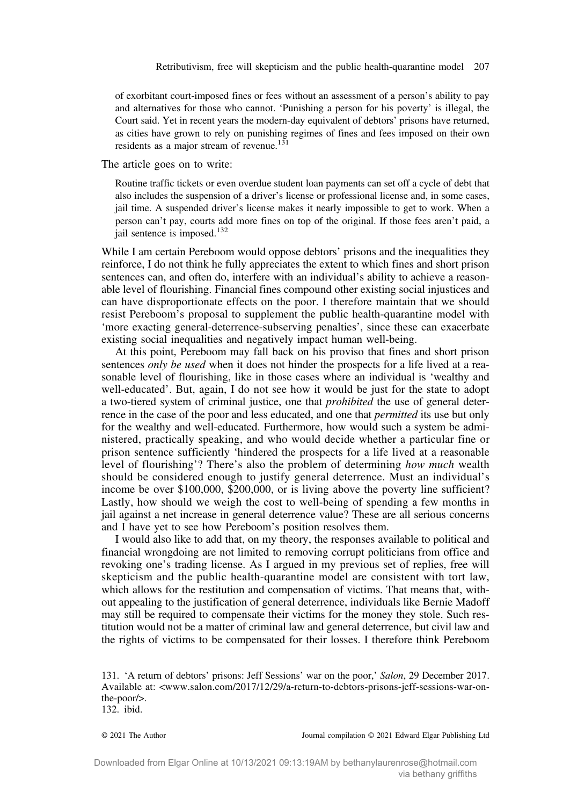of exorbitant court-imposed fines or fees without an assessment of a person's ability to pay and alternatives for those who cannot. 'Punishing a person for his poverty' is illegal, the Court said. Yet in recent years the modern-day equivalent of debtors' prisons have returned, as cities have grown to rely on punishing regimes of fines and fees imposed on their own residents as a major stream of revenue.<sup>131</sup>

The article goes on to write:

Routine traffic tickets or even overdue student loan payments can set off a cycle of debt that also includes the suspension of a driver's license or professional license and, in some cases, jail time. A suspended driver's license makes it nearly impossible to get to work. When a person can't pay, courts add more fines on top of the original. If those fees aren't paid, a iail sentence is imposed.<sup>132</sup>

While I am certain Pereboom would oppose debtors' prisons and the inequalities they reinforce, I do not think he fully appreciates the extent to which fines and short prison sentences can, and often do, interfere with an individual's ability to achieve a reasonable level of flourishing. Financial fines compound other existing social injustices and can have disproportionate effects on the poor. I therefore maintain that we should resist Pereboom's proposal to supplement the public health-quarantine model with 'more exacting general-deterrence-subserving penalties', since these can exacerbate existing social inequalities and negatively impact human well-being.

At this point, Pereboom may fall back on his proviso that fines and short prison sentences *only be used* when it does not hinder the prospects for a life lived at a reasonable level of flourishing, like in those cases where an individual is 'wealthy and well-educated'. But, again, I do not see how it would be just for the state to adopt a two-tiered system of criminal justice, one that prohibited the use of general deterrence in the case of the poor and less educated, and one that permitted its use but only for the wealthy and well-educated. Furthermore, how would such a system be administered, practically speaking, and who would decide whether a particular fine or prison sentence sufficiently 'hindered the prospects for a life lived at a reasonable level of flourishing'? There's also the problem of determining how much wealth should be considered enough to justify general deterrence. Must an individual's income be over \$100,000, \$200,000, or is living above the poverty line sufficient? Lastly, how should we weigh the cost to well-being of spending a few months in jail against a net increase in general deterrence value? These are all serious concerns and I have yet to see how Pereboom's position resolves them.

I would also like to add that, on my theory, the responses available to political and financial wrongdoing are not limited to removing corrupt politicians from office and revoking one's trading license. As I argued in my previous set of replies, free will skepticism and the public health-quarantine model are consistent with tort law, which allows for the restitution and compensation of victims. That means that, without appealing to the justification of general deterrence, individuals like Bernie Madoff may still be required to compensate their victims for the money they stole. Such restitution would not be a matter of criminal law and general deterrence, but civil law and the rights of victims to be compensated for their losses. I therefore think Pereboom

<sup>131.</sup> 'A return of debtors' prisons: Jeff Sessions' war on the poor,' Salon, 29 December 2017. Available at: <[www.salon.com/2017/12/29/a-return-to-debtors-prisons-jeff-sessions-war-on](http://www.salon.com/2017/12/29/a-return-to-debtors-prisons-jeff-sessions-war-on-the-poor/)[the-poor/](http://www.salon.com/2017/12/29/a-return-to-debtors-prisons-jeff-sessions-war-on-the-poor/)>. 132. ibid.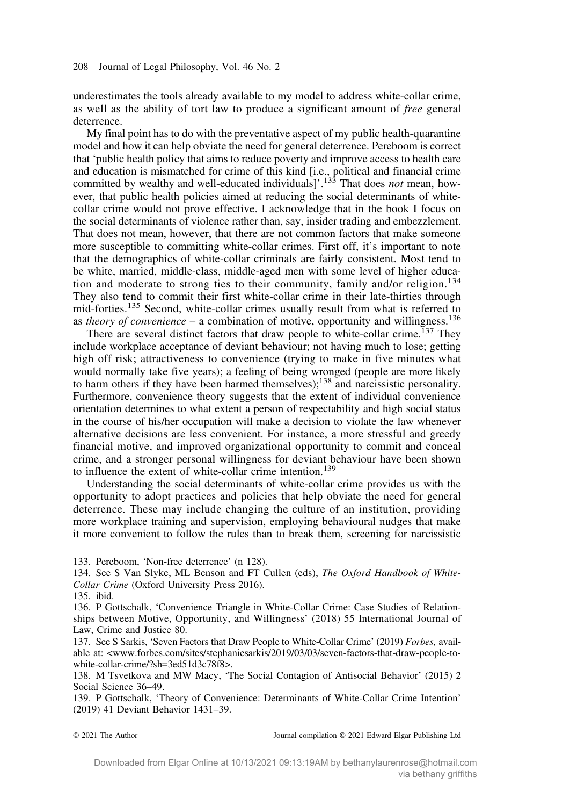underestimates the tools already available to my model to address white-collar crime, as well as the ability of tort law to produce a significant amount of free general deterrence.

My final point has to do with the preventative aspect of my public health-quarantine model and how it can help obviate the need for general deterrence. Pereboom is correct that 'public health policy that aims to reduce poverty and improve access to health care and education is mismatched for crime of this kind [i.e., political and financial crime committed by wealthy and well-educated individuals]'.<sup>133</sup> That does *not* mean, however, that public health policies aimed at reducing the social determinants of whitecollar crime would not prove effective. I acknowledge that in the book I focus on the social determinants of violence rather than, say, insider trading and embezzlement. That does not mean, however, that there are not common factors that make someone more susceptible to committing white-collar crimes. First off, it's important to note that the demographics of white-collar criminals are fairly consistent. Most tend to be white, married, middle-class, middle-aged men with some level of higher education and moderate to strong ties to their community, family and/or religion.<sup>134</sup> They also tend to commit their first white-collar crime in their late-thirties through mid-forties.<sup>135</sup> Second, white-collar crimes usually result from what is referred to as theory of convenience – a combination of motive, opportunity and willingness.<sup>136</sup>

There are several distinct factors that draw people to white-collar crime.<sup>137</sup> They include workplace acceptance of deviant behaviour; not having much to lose; getting high off risk; attractiveness to convenience (trying to make in five minutes what would normally take five years); a feeling of being wronged (people are more likely to harm others if they have been harmed themselves);<sup>138</sup> and narcissistic personality. Furthermore, convenience theory suggests that the extent of individual convenience orientation determines to what extent a person of respectability and high social status in the course of his/her occupation will make a decision to violate the law whenever alternative decisions are less convenient. For instance, a more stressful and greedy financial motive, and improved organizational opportunity to commit and conceal crime, and a stronger personal willingness for deviant behaviour have been shown to influence the extent of white-collar crime intention.<sup>139</sup>

Understanding the social determinants of white-collar crime provides us with the opportunity to adopt practices and policies that help obviate the need for general deterrence. These may include changing the culture of an institution, providing more workplace training and supervision, employing behavioural nudges that make it more convenient to follow the rules than to break them, screening for narcissistic

133. Pereboom, 'Non-free deterrence' (n 128).

134. See S Van Slyke, ML Benson and FT Cullen (eds), The Oxford Handbook of White-Collar Crime (Oxford University Press 2016).

136. P Gottschalk, 'Convenience Triangle in White-Collar Crime: Case Studies of Relationships between Motive, Opportunity, and Willingness' (2018) 55 International Journal of Law, Crime and Justice 80.

137. See S Sarkis, 'Seven Factors that Draw People to White-Collar Crime' (2019) Forbes, available at: <[www.forbes.com/sites/stephaniesarkis/2019/03/03/seven-factors-that-draw-people-to](http://www.forbes.com/sites/stephaniesarkis/2019/03/03/seven-factors-that-draw-people-to-white-collar-crime/?sh=3ed51d3c78f8)[white-collar-crime/?sh=3ed51d3c78f8](http://www.forbes.com/sites/stephaniesarkis/2019/03/03/seven-factors-that-draw-people-to-white-collar-crime/?sh=3ed51d3c78f8)>.

138. M Tsvetkova and MW Macy, 'The Social Contagion of Antisocial Behavior' (2015) 2 Social Science 36–49.

139. P Gottschalk, 'Theory of Convenience: Determinants of White-Collar Crime Intention' (2019) 41 Deviant Behavior 1431–39.

<sup>135.</sup> ibid.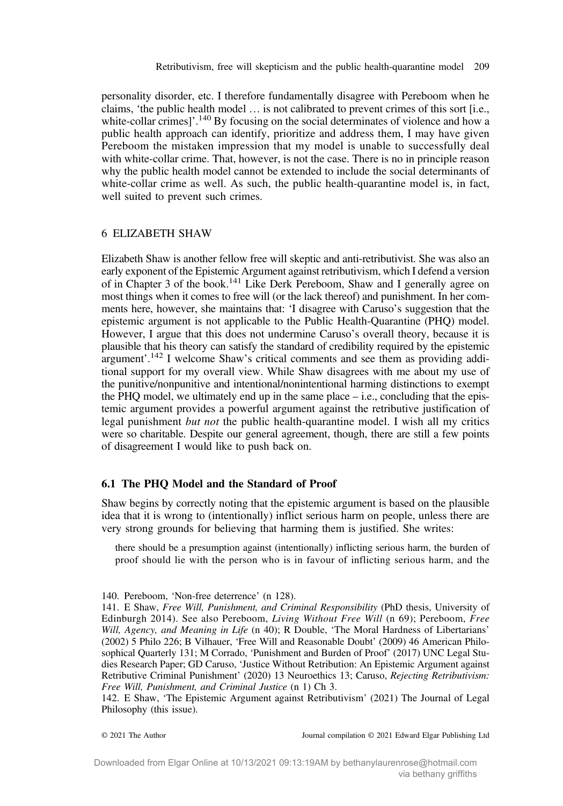personality disorder, etc. I therefore fundamentally disagree with Pereboom when he claims, 'the public health model … is not calibrated to prevent crimes of this sort [i.e., white-collar crimes]'.<sup>140</sup> By focusing on the social determinates of violence and how a public health approach can identify, prioritize and address them, I may have given Pereboom the mistaken impression that my model is unable to successfully deal with white-collar crime. That, however, is not the case. There is no in principle reason why the public health model cannot be extended to include the social determinants of white-collar crime as well. As such, the public health-quarantine model is, in fact, well suited to prevent such crimes.

# 6 ELIZABETH SHAW

Elizabeth Shaw is another fellow free will skeptic and anti-retributivist. She was also an early exponent of the Epistemic Argument against retributivism, which I defend a version of in Chapter 3 of the book.141 Like Derk Pereboom, Shaw and I generally agree on most things when it comes to free will (or the lack thereof) and punishment. In her comments here, however, she maintains that: 'I disagree with Caruso's suggestion that the epistemic argument is not applicable to the Public Health-Quarantine (PHQ) model. However, I argue that this does not undermine Caruso's overall theory, because it is plausible that his theory can satisfy the standard of credibility required by the epistemic argument'.<sup>142</sup> I welcome Shaw's critical comments and see them as providing additional support for my overall view. While Shaw disagrees with me about my use of the punitive/nonpunitive and intentional/nonintentional harming distinctions to exempt the PHQ model, we ultimately end up in the same place  $-$  i.e., concluding that the epistemic argument provides a powerful argument against the retributive justification of legal punishment but not the public health-quarantine model. I wish all my critics were so charitable. Despite our general agreement, though, there are still a few points of disagreement I would like to push back on.

# 6.1 The PHQ Model and the Standard of Proof

Shaw begins by correctly noting that the epistemic argument is based on the plausible idea that it is wrong to (intentionally) inflict serious harm on people, unless there are very strong grounds for believing that harming them is justified. She writes:

there should be a presumption against (intentionally) inflicting serious harm, the burden of proof should lie with the person who is in favour of inflicting serious harm, and the

142. E Shaw, 'The Epistemic Argument against Retributivism' (2021) The Journal of Legal Philosophy (this issue).

<sup>140.</sup> Pereboom, 'Non-free deterrence' (n 128).

<sup>141.</sup> E Shaw, Free Will, Punishment, and Criminal Responsibility (PhD thesis, University of Edinburgh 2014). See also Pereboom, Living Without Free Will (n 69); Pereboom, Free Will, Agency, and Meaning in Life (n 40); R Double, 'The Moral Hardness of Libertarians' (2002) 5 Philo 226; B Vilhauer, 'Free Will and Reasonable Doubt' (2009) 46 American Philosophical Quarterly 131; M Corrado, 'Punishment and Burden of Proof' (2017) UNC Legal Studies Research Paper; GD Caruso, 'Justice Without Retribution: An Epistemic Argument against Retributive Criminal Punishment' (2020) 13 Neuroethics 13; Caruso, Rejecting Retributivism: Free Will, Punishment, and Criminal Justice (n 1) Ch 3.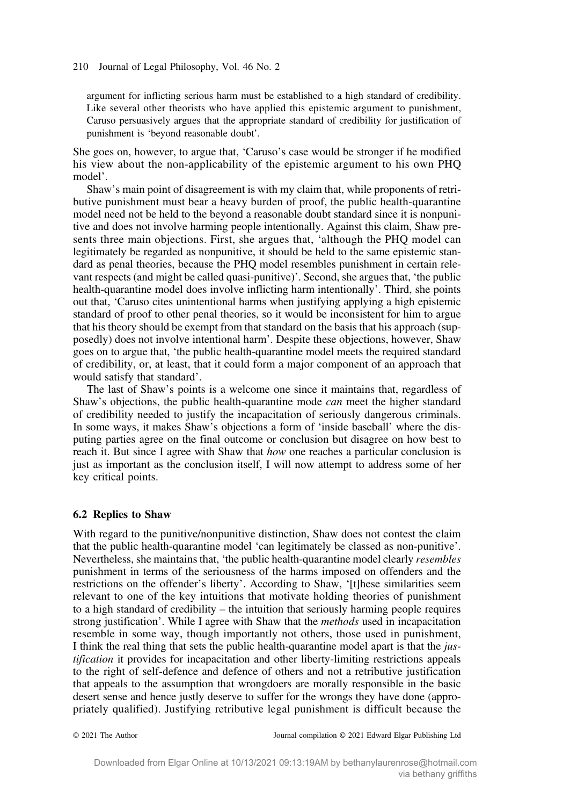argument for inflicting serious harm must be established to a high standard of credibility. Like several other theorists who have applied this epistemic argument to punishment, Caruso persuasively argues that the appropriate standard of credibility for justification of punishment is 'beyond reasonable doubt'.

She goes on, however, to argue that, 'Caruso's case would be stronger if he modified his view about the non-applicability of the epistemic argument to his own PHQ model'.

Shaw's main point of disagreement is with my claim that, while proponents of retributive punishment must bear a heavy burden of proof, the public health-quarantine model need not be held to the beyond a reasonable doubt standard since it is nonpunitive and does not involve harming people intentionally. Against this claim, Shaw presents three main objections. First, she argues that, 'although the PHQ model can legitimately be regarded as nonpunitive, it should be held to the same epistemic standard as penal theories, because the PHQ model resembles punishment in certain relevant respects (and might be called quasi-punitive)'. Second, she argues that, 'the public health-quarantine model does involve inflicting harm intentionally'. Third, she points out that, 'Caruso cites unintentional harms when justifying applying a high epistemic standard of proof to other penal theories, so it would be inconsistent for him to argue that his theory should be exempt from that standard on the basis that his approach (supposedly) does not involve intentional harm'. Despite these objections, however, Shaw goes on to argue that, 'the public health-quarantine model meets the required standard of credibility, or, at least, that it could form a major component of an approach that would satisfy that standard'.

The last of Shaw's points is a welcome one since it maintains that, regardless of Shaw's objections, the public health-quarantine mode can meet the higher standard of credibility needed to justify the incapacitation of seriously dangerous criminals. In some ways, it makes Shaw's objections a form of 'inside baseball' where the disputing parties agree on the final outcome or conclusion but disagree on how best to reach it. But since I agree with Shaw that how one reaches a particular conclusion is just as important as the conclusion itself, I will now attempt to address some of her key critical points.

## 6.2 Replies to Shaw

With regard to the punitive/nonpunitive distinction, Shaw does not contest the claim that the public health-quarantine model 'can legitimately be classed as non-punitive'. Nevertheless, she maintains that, 'the public health-quarantine model clearly resembles punishment in terms of the seriousness of the harms imposed on offenders and the restrictions on the offender's liberty'. According to Shaw, '[t]hese similarities seem relevant to one of the key intuitions that motivate holding theories of punishment to a high standard of credibility – the intuition that seriously harming people requires strong justification'. While I agree with Shaw that the *methods* used in incapacitation resemble in some way, though importantly not others, those used in punishment, I think the real thing that sets the public health-quarantine model apart is that the justification it provides for incapacitation and other liberty-limiting restrictions appeals to the right of self-defence and defence of others and not a retributive justification that appeals to the assumption that wrongdoers are morally responsible in the basic desert sense and hence justly deserve to suffer for the wrongs they have done (appropriately qualified). Justifying retributive legal punishment is difficult because the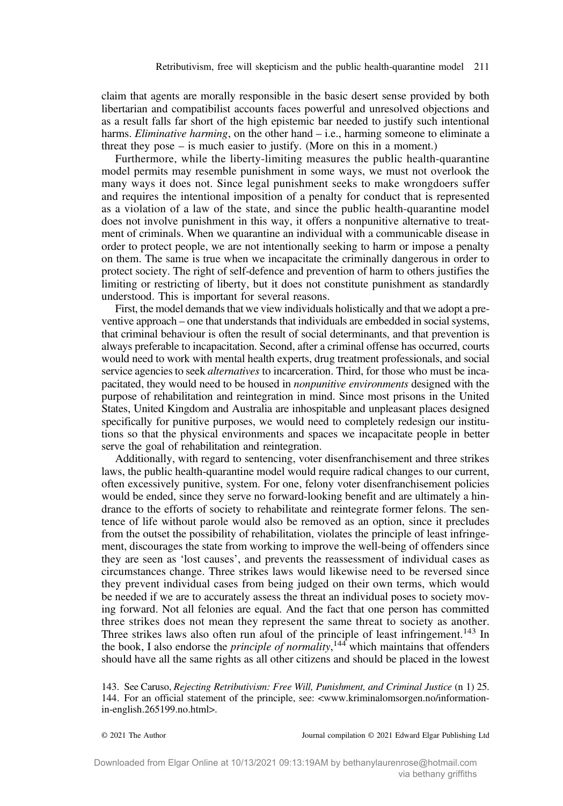claim that agents are morally responsible in the basic desert sense provided by both libertarian and compatibilist accounts faces powerful and unresolved objections and as a result falls far short of the high epistemic bar needed to justify such intentional harms. *Eliminative harming*, on the other hand  $-$  *i.e.*, harming someone to eliminate a threat they pose – is much easier to justify. (More on this in a moment.)

Furthermore, while the liberty-limiting measures the public health-quarantine model permits may resemble punishment in some ways, we must not overlook the many ways it does not. Since legal punishment seeks to make wrongdoers suffer and requires the intentional imposition of a penalty for conduct that is represented as a violation of a law of the state, and since the public health-quarantine model does not involve punishment in this way, it offers a nonpunitive alternative to treatment of criminals. When we quarantine an individual with a communicable disease in order to protect people, we are not intentionally seeking to harm or impose a penalty on them. The same is true when we incapacitate the criminally dangerous in order to protect society. The right of self-defence and prevention of harm to others justifies the limiting or restricting of liberty, but it does not constitute punishment as standardly understood. This is important for several reasons.

First, the model demands that we view individuals holistically and that we adopt a preventive approach – one that understands that individuals are embedded in social systems, that criminal behaviour is often the result of social determinants, and that prevention is always preferable to incapacitation. Second, after a criminal offense has occurred, courts would need to work with mental health experts, drug treatment professionals, and social service agencies to seek *alternatives* to incarceration. Third, for those who must be incapacitated, they would need to be housed in nonpunitive environments designed with the purpose of rehabilitation and reintegration in mind. Since most prisons in the United States, United Kingdom and Australia are inhospitable and unpleasant places designed specifically for punitive purposes, we would need to completely redesign our institutions so that the physical environments and spaces we incapacitate people in better serve the goal of rehabilitation and reintegration.

Additionally, with regard to sentencing, voter disenfranchisement and three strikes laws, the public health-quarantine model would require radical changes to our current, often excessively punitive, system. For one, felony voter disenfranchisement policies would be ended, since they serve no forward-looking benefit and are ultimately a hindrance to the efforts of society to rehabilitate and reintegrate former felons. The sentence of life without parole would also be removed as an option, since it precludes from the outset the possibility of rehabilitation, violates the principle of least infringement, discourages the state from working to improve the well-being of offenders since they are seen as 'lost causes', and prevents the reassessment of individual cases as circumstances change. Three strikes laws would likewise need to be reversed since they prevent individual cases from being judged on their own terms, which would be needed if we are to accurately assess the threat an individual poses to society moving forward. Not all felonies are equal. And the fact that one person has committed three strikes does not mean they represent the same threat to society as another. Three strikes laws also often run afoul of the principle of least infringement.<sup>143</sup> In the book, I also endorse the *principle of normality*,  $144$  which maintains that offenders should have all the same rights as all other citizens and should be placed in the lowest

<sup>143.</sup> See Caruso, Rejecting Retributivism: Free Will, Punishment, and Criminal Justice (n 1) 25. 144. For an official statement of the principle, see: <[www.kriminalomsorgen.no/information](http://www.kriminalomsorgen.no/information-in-english.265199.no.html)[in-english.265199.no.html](http://www.kriminalomsorgen.no/information-in-english.265199.no.html)>.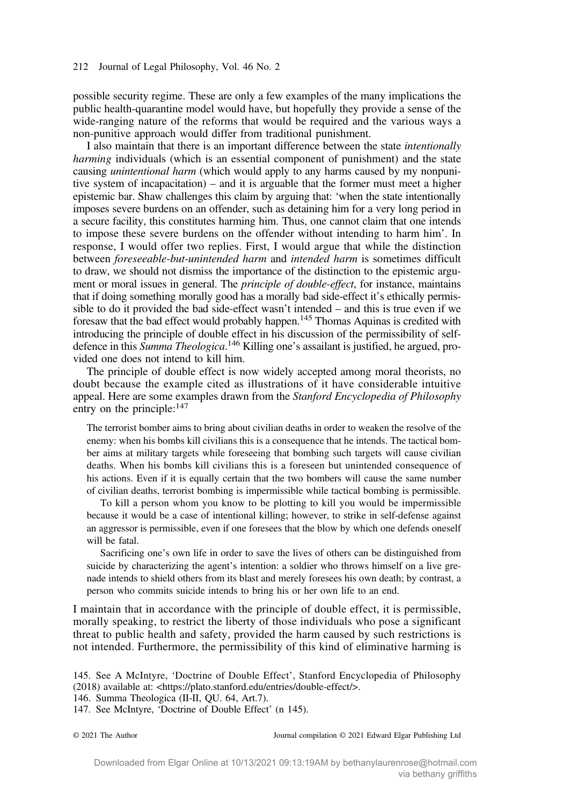possible security regime. These are only a few examples of the many implications the public health-quarantine model would have, but hopefully they provide a sense of the wide-ranging nature of the reforms that would be required and the various ways a non-punitive approach would differ from traditional punishment.

I also maintain that there is an important difference between the state intentionally harming individuals (which is an essential component of punishment) and the state causing unintentional harm (which would apply to any harms caused by my nonpunitive system of incapacitation) – and it is arguable that the former must meet a higher epistemic bar. Shaw challenges this claim by arguing that: 'when the state intentionally imposes severe burdens on an offender, such as detaining him for a very long period in a secure facility, this constitutes harming him. Thus, one cannot claim that one intends to impose these severe burdens on the offender without intending to harm him'. In response, I would offer two replies. First, I would argue that while the distinction between foreseeable-but-unintended harm and intended harm is sometimes difficult to draw, we should not dismiss the importance of the distinction to the epistemic argument or moral issues in general. The *principle of double-effect*, for instance, maintains that if doing something morally good has a morally bad side-effect it's ethically permissible to do it provided the bad side-effect wasn't intended – and this is true even if we foresaw that the bad effect would probably happen.145 Thomas Aquinas is credited with introducing the principle of double effect in his discussion of the permissibility of selfdefence in this Summa Theologica.<sup>146</sup> Killing one's assailant is justified, he argued, provided one does not intend to kill him.

The principle of double effect is now widely accepted among moral theorists, no doubt because the example cited as illustrations of it have considerable intuitive appeal. Here are some examples drawn from the *Stanford Encyclopedia of Philosophy* entry on the principle: $147$ 

The terrorist bomber aims to bring about civilian deaths in order to weaken the resolve of the enemy: when his bombs kill civilians this is a consequence that he intends. The tactical bomber aims at military targets while foreseeing that bombing such targets will cause civilian deaths. When his bombs kill civilians this is a foreseen but unintended consequence of his actions. Even if it is equally certain that the two bombers will cause the same number of civilian deaths, terrorist bombing is impermissible while tactical bombing is permissible.

To kill a person whom you know to be plotting to kill you would be impermissible because it would be a case of intentional killing; however, to strike in self-defense against an aggressor is permissible, even if one foresees that the blow by which one defends oneself will be fatal.

Sacrificing one's own life in order to save the lives of others can be distinguished from suicide by characterizing the agent's intention: a soldier who throws himself on a live grenade intends to shield others from its blast and merely foresees his own death; by contrast, a person who commits suicide intends to bring his or her own life to an end.

I maintain that in accordance with the principle of double effect, it is permissible, morally speaking, to restrict the liberty of those individuals who pose a significant threat to public health and safety, provided the harm caused by such restrictions is not intended. Furthermore, the permissibility of this kind of eliminative harming is

145. See A McIntyre, 'Doctrine of Double Effect', Stanford Encyclopedia of Philosophy (2018) available at: [<https://plato.stanford.edu/entries/double-effect/>](https://plato.stanford.edu/entries/double-effect/).

146. Summa Theologica (II-II, QU. 64, Art.7).

147. See McIntyre, 'Doctrine of Double Effect' (n 145).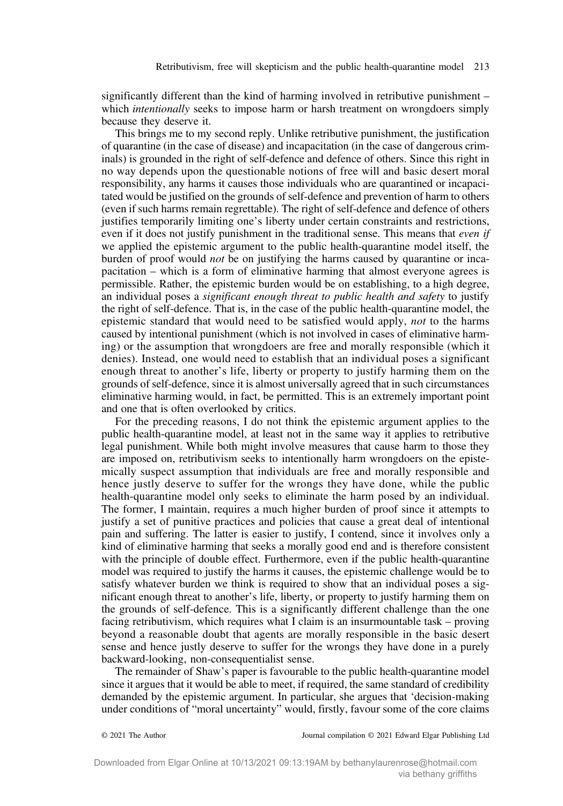significantly different than the kind of harming involved in retributive punishment – which *intentionally* seeks to impose harm or harsh treatment on wrongdoers simply because they deserve it.

This brings me to my second reply. Unlike retributive punishment, the justification of quarantine (in the case of disease) and incapacitation (in the case of dangerous criminals) is grounded in the right of self-defence and defence of others. Since this right in no way depends upon the questionable notions of free will and basic desert moral responsibility, any harms it causes those individuals who are quarantined or incapacitated would be justified on the grounds of self-defence and prevention of harm to others (even if such harms remain regrettable). The right of self-defence and defence of others justifies temporarily limiting one's liberty under certain constraints and restrictions, even if it does not justify punishment in the traditional sense. This means that *even if* we applied the epistemic argument to the public health-quarantine model itself, the burden of proof would *not* be on justifying the harms caused by quarantine or incapacitation – which is a form of eliminative harming that almost everyone agrees is permissible. Rather, the epistemic burden would be on establishing, to a high degree, an individual poses a significant enough threat to public health and safety to justify the right of self-defence. That is, in the case of the public health-quarantine model, the epistemic standard that would need to be satisfied would apply, not to the harms caused by intentional punishment (which is not involved in cases of eliminative harming) or the assumption that wrongdoers are free and morally responsible (which it denies). Instead, one would need to establish that an individual poses a significant enough threat to another's life, liberty or property to justify harming them on the grounds of self-defence, since it is almost universally agreed that in such circumstances eliminative harming would, in fact, be permitted. This is an extremely important point and one that is often overlooked by critics.

For the preceding reasons, I do not think the epistemic argument applies to the public health-quarantine model, at least not in the same way it applies to retributive legal punishment. While both might involve measures that cause harm to those they are imposed on, retributivism seeks to intentionally harm wrongdoers on the epistemically suspect assumption that individuals are free and morally responsible and hence justly deserve to suffer for the wrongs they have done, while the public health-quarantine model only seeks to eliminate the harm posed by an individual. The former, I maintain, requires a much higher burden of proof since it attempts to justify a set of punitive practices and policies that cause a great deal of intentional pain and suffering. The latter is easier to justify, I contend, since it involves only a kind of eliminative harming that seeks a morally good end and is therefore consistent with the principle of double effect. Furthermore, even if the public health-quarantine model was required to justify the harms it causes, the epistemic challenge would be to satisfy whatever burden we think is required to show that an individual poses a significant enough threat to another's life, liberty, or property to justify harming them on the grounds of self-defence. This is a significantly different challenge than the one facing retributivism, which requires what I claim is an insurmountable task – proving beyond a reasonable doubt that agents are morally responsible in the basic desert sense and hence justly deserve to suffer for the wrongs they have done in a purely backward-looking, non-consequentialist sense.

The remainder of Shaw's paper is favourable to the public health-quarantine model since it argues that it would be able to meet, if required, the same standard of credibility demanded by the epistemic argument. In particular, she argues that 'decision-making under conditions of "moral uncertainty" would, firstly, favour some of the core claims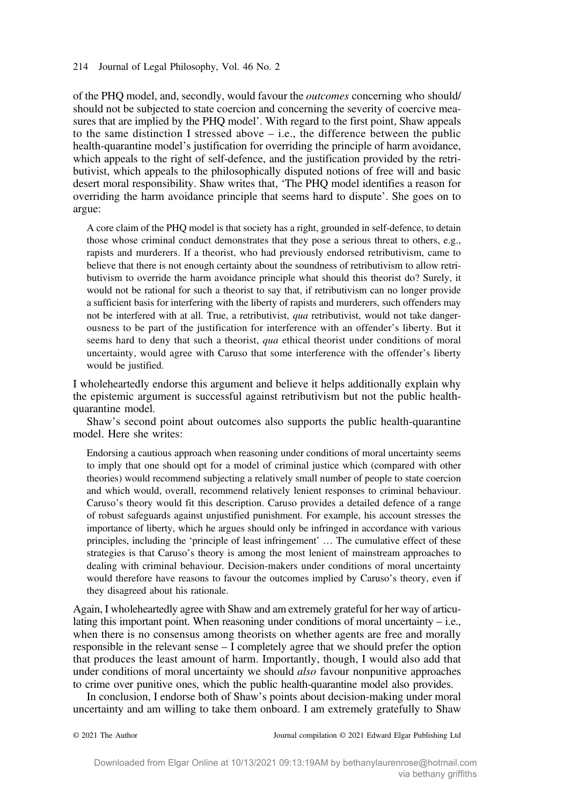of the PHQ model, and, secondly, would favour the outcomes concerning who should/ should not be subjected to state coercion and concerning the severity of coercive measures that are implied by the PHQ model'. With regard to the first point, Shaw appeals to the same distinction I stressed above  $-$  i.e., the difference between the public health-quarantine model's justification for overriding the principle of harm avoidance, which appeals to the right of self-defence, and the justification provided by the retributivist, which appeals to the philosophically disputed notions of free will and basic desert moral responsibility. Shaw writes that, 'The PHQ model identifies a reason for overriding the harm avoidance principle that seems hard to dispute'. She goes on to argue:

A core claim of the PHQ model is that society has a right, grounded in self-defence, to detain those whose criminal conduct demonstrates that they pose a serious threat to others, e.g., rapists and murderers. If a theorist, who had previously endorsed retributivism, came to believe that there is not enough certainty about the soundness of retributivism to allow retributivism to override the harm avoidance principle what should this theorist do? Surely, it would not be rational for such a theorist to say that, if retributivism can no longer provide a sufficient basis for interfering with the liberty of rapists and murderers, such offenders may not be interfered with at all. True, a retributivist, qua retributivist, would not take dangerousness to be part of the justification for interference with an offender's liberty. But it seems hard to deny that such a theorist, qua ethical theorist under conditions of moral uncertainty, would agree with Caruso that some interference with the offender's liberty would be justified.

I wholeheartedly endorse this argument and believe it helps additionally explain why the epistemic argument is successful against retributivism but not the public healthquarantine model.

Shaw's second point about outcomes also supports the public health-quarantine model. Here she writes:

Endorsing a cautious approach when reasoning under conditions of moral uncertainty seems to imply that one should opt for a model of criminal justice which (compared with other theories) would recommend subjecting a relatively small number of people to state coercion and which would, overall, recommend relatively lenient responses to criminal behaviour. Caruso's theory would fit this description. Caruso provides a detailed defence of a range of robust safeguards against unjustified punishment. For example, his account stresses the importance of liberty, which he argues should only be infringed in accordance with various principles, including the 'principle of least infringement' … The cumulative effect of these strategies is that Caruso's theory is among the most lenient of mainstream approaches to dealing with criminal behaviour. Decision-makers under conditions of moral uncertainty would therefore have reasons to favour the outcomes implied by Caruso's theory, even if they disagreed about his rationale.

Again, I wholeheartedly agree with Shaw and am extremely grateful for her way of articulating this important point. When reasoning under conditions of moral uncertainty – i.e., when there is no consensus among theorists on whether agents are free and morally responsible in the relevant sense – I completely agree that we should prefer the option that produces the least amount of harm. Importantly, though, I would also add that under conditions of moral uncertainty we should *also* favour nonpunitive approaches to crime over punitive ones, which the public health-quarantine model also provides.

In conclusion, I endorse both of Shaw's points about decision-making under moral uncertainty and am willing to take them onboard. I am extremely gratefully to Shaw